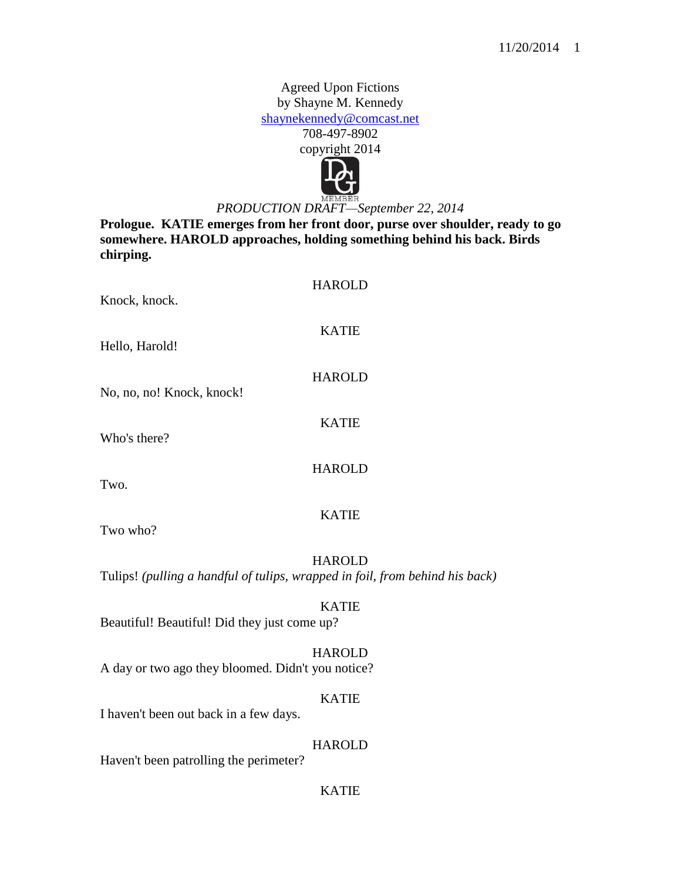Agreed Upon Fictions by Shayne M. Kennedy [shaynekennedy@comcast.net](mailto:shaynekennedy@comcast.net) 708-497-8902 copyright 2014



## *PRODUCTION DRAFT—September 22, 2014*

**Prologue. KATIE emerges from her front door, purse over shoulder, ready to go somewhere. HAROLD approaches, holding something behind his back. Birds chirping.**

| Knock, knock.                                                                | <b>HAROLD</b> |
|------------------------------------------------------------------------------|---------------|
| Hello, Harold!                                                               | <b>KATIE</b>  |
| No, no, no! Knock, knock!                                                    | <b>HAROLD</b> |
| Who's there?                                                                 | <b>KATIE</b>  |
| Two.                                                                         | <b>HAROLD</b> |
| Two who?                                                                     | <b>KATIE</b>  |
| Tulips! (pulling a handful of tulips, wrapped in foil, from behind his back) | <b>HAROLD</b> |
| Beautiful! Beautiful! Did they just come up?                                 | <b>KATIE</b>  |
| A day or two ago they bloomed. Didn't you notice?                            | <b>HAROLD</b> |
| I haven't been out back in a few days.                                       | <b>KATIE</b>  |
|                                                                              |               |

HAROLD

Haven't been patrolling the perimeter?

## KATIE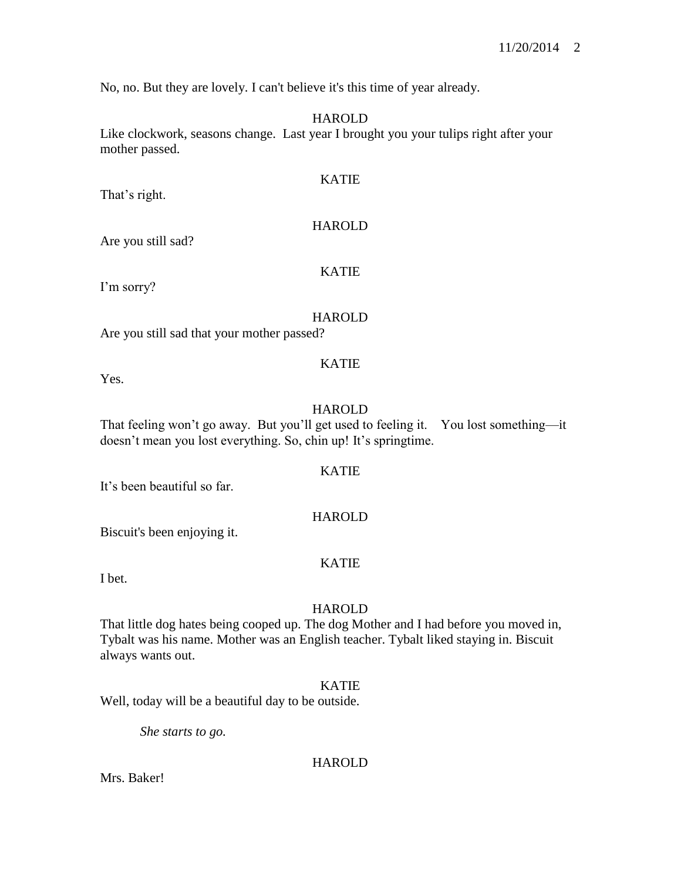No, no. But they are lovely. I can't believe it's this time of year already.

## HAROLD

Like clockwork, seasons change. Last year I brought you your tulips right after your mother passed.

That's right.

# HAROLD

KATIE

Are you still sad?

## KATIE

I'm sorry?

## HAROLD

KATIE

Are you still sad that your mother passed?

Yes.

## **HAROLD**

That feeling won't go away. But you'll get used to feeling it. You lost something—it doesn't mean you lost everything. So, chin up! It's springtime.

## KATIE

It's been beautiful so far.

## HAROLD

Biscuit's been enjoying it.

## KATIE

I bet.

## HAROLD

That little dog hates being cooped up. The dog Mother and I had before you moved in, Tybalt was his name. Mother was an English teacher. Tybalt liked staying in. Biscuit always wants out.

## KATIE

Well, today will be a beautiful day to be outside.

*She starts to go.*

## HAROLD

Mrs. Baker!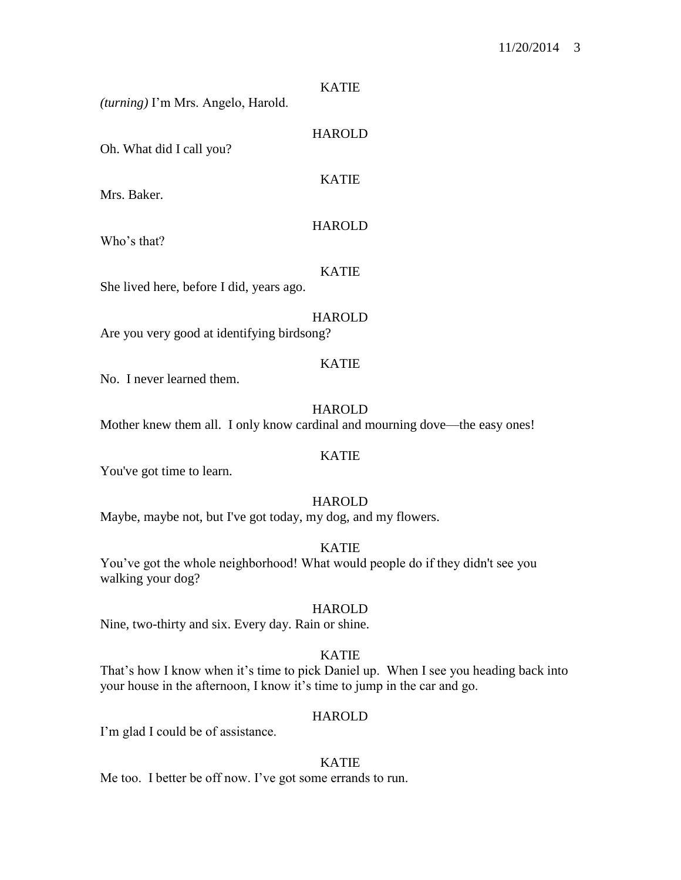#### KATIE

HAROLD

KATIE

*(turning)* I'm Mrs. Angelo, Harold.

Oh. What did I call you?

Mrs. Baker.

## **HAROLD**

Who's that?

## KATIE

She lived here, before I did, years ago.

## **HAROLD**

Are you very good at identifying birdsong?

#### KATIE

No. I never learned them.

HAROLD

Mother knew them all. I only know cardinal and mourning dove—the easy ones!

#### KATIE

You've got time to learn.

## HAROLD

Maybe, maybe not, but I've got today, my dog, and my flowers.

KATIE

You've got the whole neighborhood! What would people do if they didn't see you walking your dog?

#### HAROLD

Nine, two-thirty and six. Every day. Rain or shine.

## KATIE

That's how I know when it's time to pick Daniel up. When I see you heading back into your house in the afternoon, I know it's time to jump in the car and go.

#### HAROLD

I'm glad I could be of assistance.

## KATIE

Me too. I better be off now. I've got some errands to run.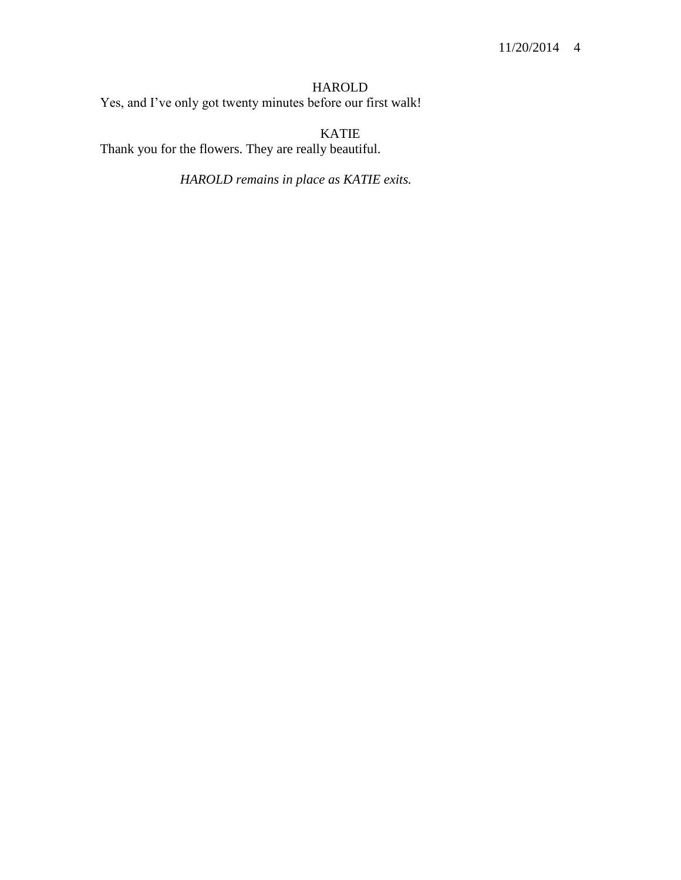## HAROLD

Yes, and I've only got twenty minutes before our first walk!

KATIE Thank you for the flowers. They are really beautiful.

*HAROLD remains in place as KATIE exits.*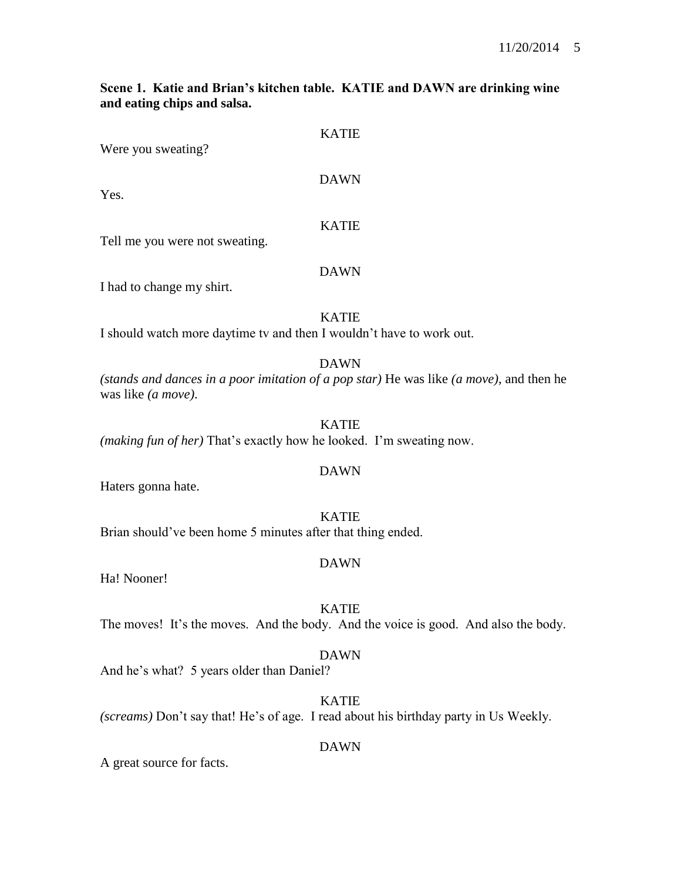## **Scene 1. Katie and Brian's kitchen table. KATIE and DAWN are drinking wine and eating chips and salsa.**

KATIE

| Were you sweating?                                                                           | NAIID        |
|----------------------------------------------------------------------------------------------|--------------|
| Yes.                                                                                         | <b>DAWN</b>  |
| Tell me you were not sweating.                                                               | <b>KATIE</b> |
| I had to change my shirt.                                                                    | <b>DAWN</b>  |
| I should watch more daytime tv and then I wouldn't have to work out.                         | <b>KATIE</b> |
| (stands and dances in a poor imitation of a pop star) He was like (a m<br>was like (a move). | <b>DAWN</b>  |
| <i>(making fun of her)</i> That's exactly how he looked. I'm sweating now.                   | <b>KATIE</b> |

DAWN

Haters gonna hate.

KATIE Brian should've been home 5 minutes after that thing ended.

## DAWN

Ha! Nooner!

## KATIE

The moves! It's the moves. And the body. And the voice is good. And also the body.

## DAWN

And he's what? 5 years older than Daniel?

KATIE *(screams)* Don't say that! He's of age. I read about his birthday party in Us Weekly.

## DAWN

A great source for facts.

*(stands and dances in a poor imitation of a pop star)* He was like *(a move)*, and then he was like *(a move)*.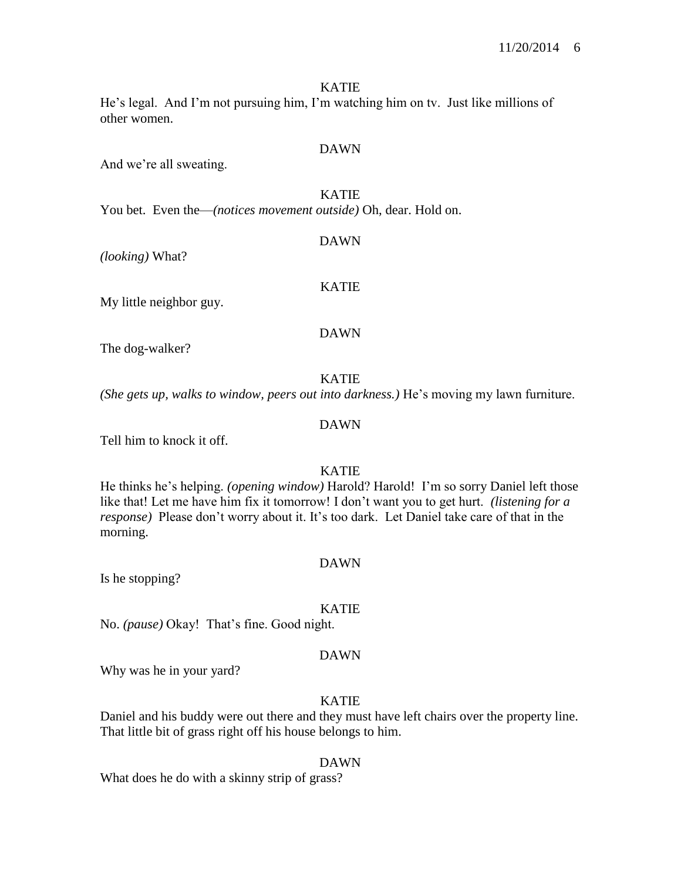#### KATIE

He's legal. And I'm not pursuing him, I'm watching him on tv. Just like millions of other women.

## DAWN

And we're all sweating.

## KATIE

DAWN

You bet. Even the—*(notices movement outside)* Oh, dear. Hold on.

*(looking)* What?

My little neighbor guy.

#### DAWN

KATIE

The dog-walker?

#### KATIE

*(She gets up, walks to window, peers out into darkness.)* He's moving my lawn furniture.

## DAWN

Tell him to knock it off.

## KATIE

He thinks he's helping. *(opening window)* Harold? Harold! I'm so sorry Daniel left those like that! Let me have him fix it tomorrow! I don't want you to get hurt. *(listening for a response)* Please don't worry about it. It's too dark. Let Daniel take care of that in the morning.

#### DAWN

Is he stopping?

#### KATIE

No. *(pause)* Okay! That's fine. Good night.

#### DAWN

Why was he in your yard?

## KATIE

Daniel and his buddy were out there and they must have left chairs over the property line. That little bit of grass right off his house belongs to him.

#### DAWN

What does he do with a skinny strip of grass?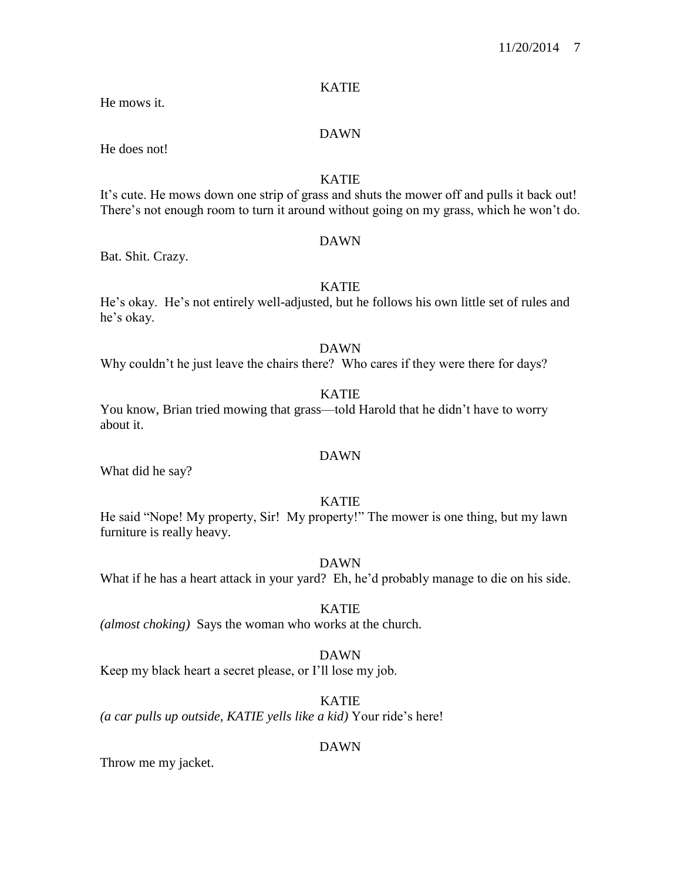## KATIE

He mows it.

### DAWN

He does not!

## KATIE

It's cute. He mows down one strip of grass and shuts the mower off and pulls it back out! There's not enough room to turn it around without going on my grass, which he won't do.

#### DAWN

Bat. Shit. Crazy.

## KATIE

He's okay. He's not entirely well-adjusted, but he follows his own little set of rules and he's okay.

## DAWN

Why couldn't he just leave the chairs there? Who cares if they were there for days?

## KATIE

You know, Brian tried mowing that grass—told Harold that he didn't have to worry about it.

## DAWN

What did he say?

## KATIE

He said "Nope! My property, Sir! My property!" The mower is one thing, but my lawn furniture is really heavy.

#### DAWN

What if he has a heart attack in your yard? Eh, he'd probably manage to die on his side.

## KATIE

*(almost choking)* Says the woman who works at the church.

## DAWN

Keep my black heart a secret please, or I'll lose my job.

## KATIE

*(a car pulls up outside, KATIE yells like a kid)* Your ride's here!

## DAWN

Throw me my jacket.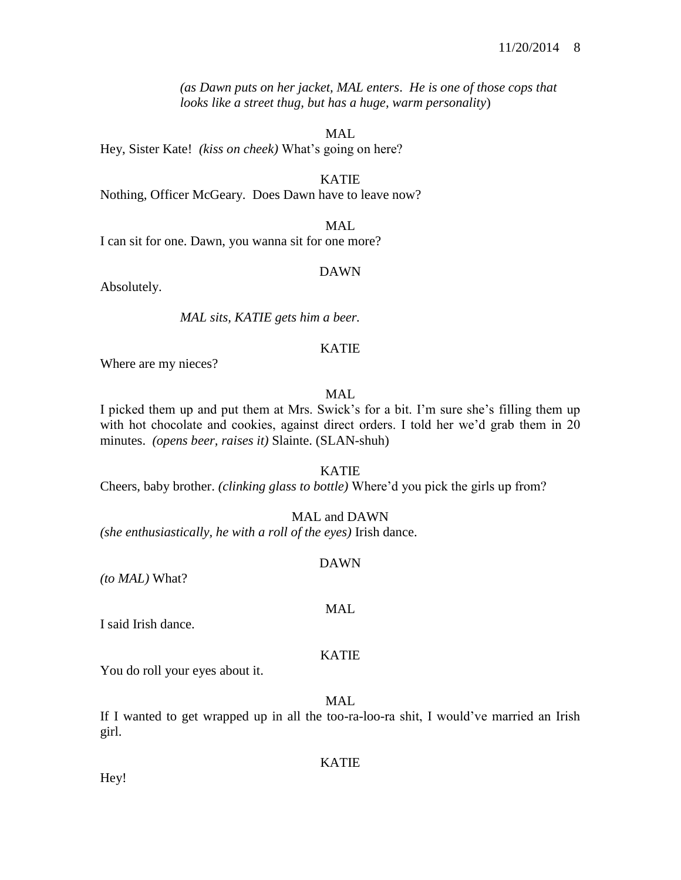*(as Dawn puts on her jacket, MAL enters*. *He is one of those cops that looks like a street thug, but has a huge, warm personality*)

MAL

Hey, Sister Kate! *(kiss on cheek)* What's going on here?

KATIE Nothing, Officer McGeary. Does Dawn have to leave now?

I can sit for one. Dawn, you wanna sit for one more?

#### DAWN

MAL

Absolutely.

*MAL sits, KATIE gets him a beer.*

## KATIE

Where are my nieces?

## MAL.

I picked them up and put them at Mrs. Swick's for a bit. I'm sure she's filling them up with hot chocolate and cookies, against direct orders. I told her we'd grab them in 20 minutes. *(opens beer, raises it)* Slainte. (SLAN-shuh)

#### KATIE

Cheers, baby brother. *(clinking glass to bottle)* Where'd you pick the girls up from?

MAL and DAWN

*(she enthusiastically, he with a roll of the eyes)* Irish dance.

## DAWN

*(to MAL)* What?

I said Irish dance.

## KATIE

MAL

You do roll your eyes about it.

MAL

If I wanted to get wrapped up in all the too-ra-loo-ra shit, I would've married an Irish girl.

## KATIE

Hey!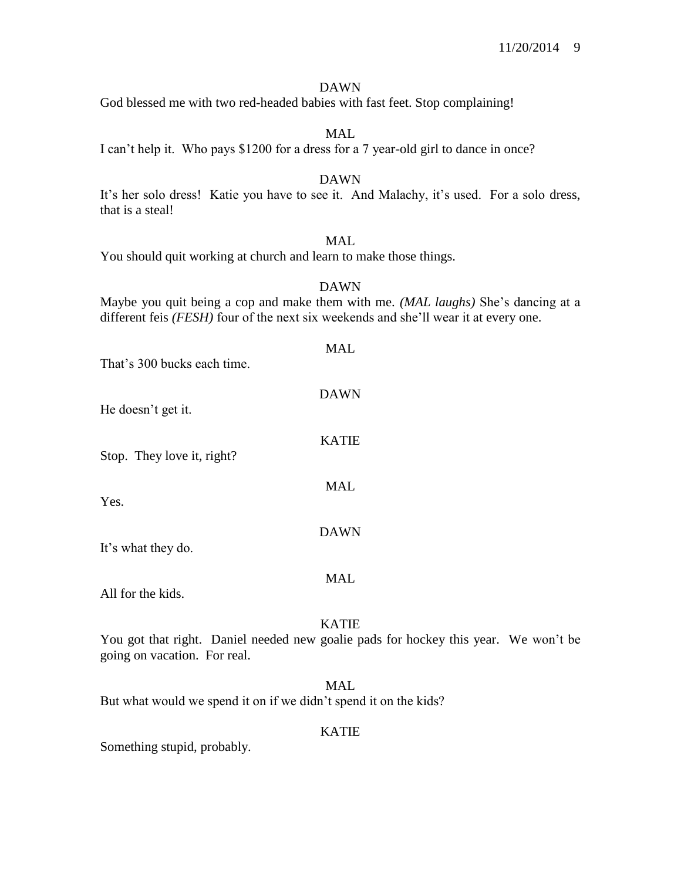#### DAWN

God blessed me with two red-headed babies with fast feet. Stop complaining!

MAL

I can't help it. Who pays \$1200 for a dress for a 7 year-old girl to dance in once?

#### DAWN

It's her solo dress! Katie you have to see it. And Malachy, it's used. For a solo dress, that is a steal!

## MAL.

You should quit working at church and learn to make those things.

#### DAWN

Maybe you quit being a cop and make them with me. *(MAL laughs)* She's dancing at a different feis *(FESH)* four of the next six weekends and she'll wear it at every one.

| That's 300 bucks each time. | MAL          |
|-----------------------------|--------------|
| He doesn't get it.          | <b>DAWN</b>  |
| Stop. They love it, right?  | <b>KATIE</b> |
| Yes.                        | <b>MAL</b>   |
| It's what they do.          | <b>DAWN</b>  |
| All for the kids.           | MAL          |

## KATIE

You got that right. Daniel needed new goalie pads for hockey this year. We won't be going on vacation. For real.

## MAL

But what would we spend it on if we didn't spend it on the kids?

#### KATIE

Something stupid, probably.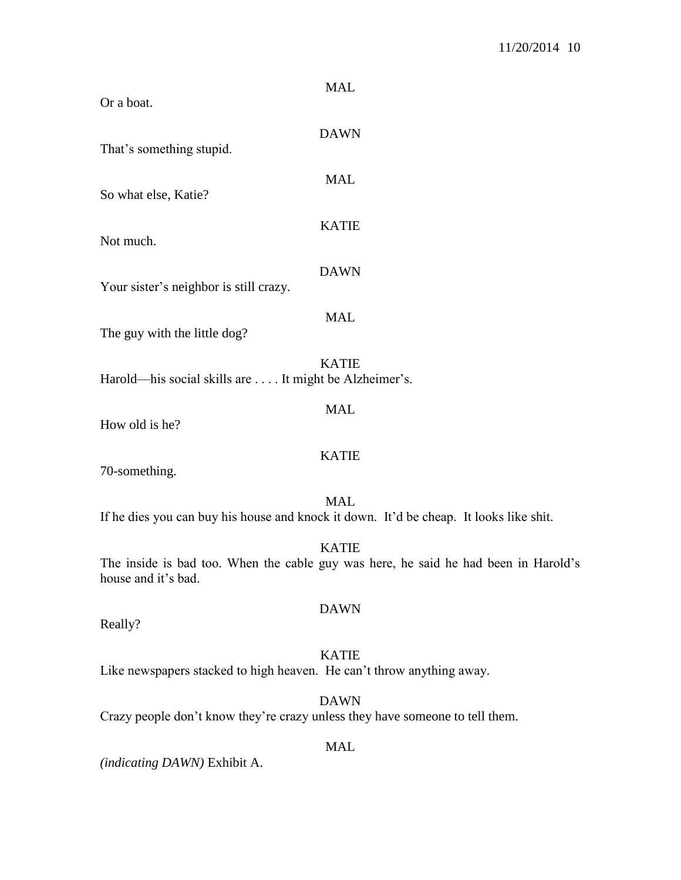| <b>MAL</b><br>Or a boat.                                                                                                   |  |
|----------------------------------------------------------------------------------------------------------------------------|--|
| <b>DAWN</b><br>That's something stupid.                                                                                    |  |
| <b>MAL</b><br>So what else, Katie?                                                                                         |  |
| <b>KATIE</b><br>Not much.                                                                                                  |  |
| <b>DAWN</b><br>Your sister's neighbor is still crazy.                                                                      |  |
| <b>MAL</b><br>The guy with the little dog?                                                                                 |  |
| <b>KATIE</b><br>Harold—his social skills are  It might be Alzheimer's.                                                     |  |
| <b>MAL</b><br>How old is he?                                                                                               |  |
| <b>KATIE</b><br>70-something.                                                                                              |  |
| <b>MAL</b><br>If he dies you can buy his house and knock it down. It'd be cheap. It looks like shit.                       |  |
| <b>KATIE</b><br>The inside is bad too. When the cable guy was here, he said he had been in Harold's<br>house and it's bad. |  |
| <b>DAWN</b><br>Really?                                                                                                     |  |
| <b>KATIE</b><br>Like newspapers stacked to high heaven. He can't throw anything away.                                      |  |
| <b>DAWN</b><br>Crazy people don't know they're crazy unless they have someone to tell them.                                |  |
| <b>MAL</b>                                                                                                                 |  |

*(indicating DAWN)* Exhibit A.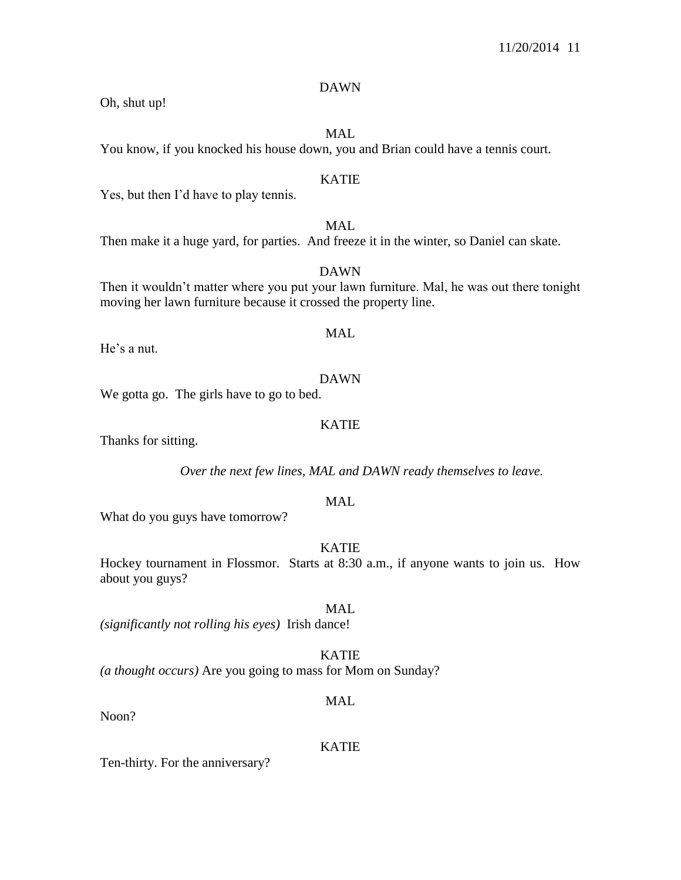## DAWN

Oh, shut up!

MAL

You know, if you knocked his house down, you and Brian could have a tennis court.

## KATIE

Yes, but then I'd have to play tennis.

MAL Then make it a huge yard, for parties. And freeze it in the winter, so Daniel can skate.

DAWN Then it wouldn't matter where you put your lawn furniture. Mal, he was out there tonight moving her lawn furniture because it crossed the property line.

He's a nut.

## DAWN

We gotta go. The girls have to go to bed.

## KATIE

Thanks for sitting.

*Over the next few lines, MAL and DAWN ready themselves to leave.*

## MAL

What do you guys have tomorrow?

## KATIE

Hockey tournament in Flossmor. Starts at 8:30 a.m., if anyone wants to join us. How about you guys?

MAL *(significantly not rolling his eyes)* Irish dance!

## KATIE

*(a thought occurs)* Are you going to mass for Mom on Sunday?

## MAL

Noon?

## KATIE

Ten-thirty. For the anniversary?

MAL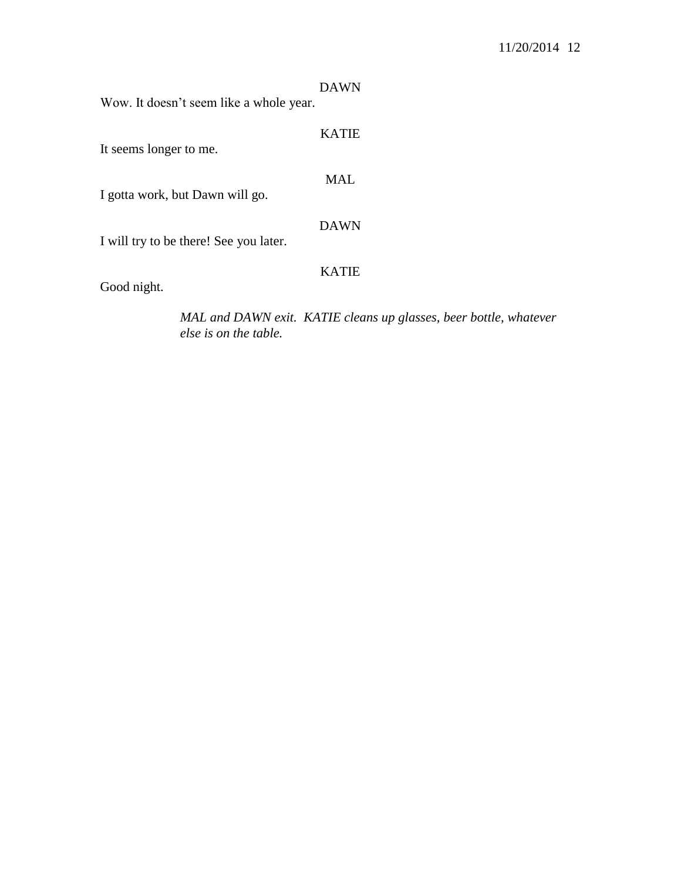| Wow. It doesn't seem like a whole year. | <b>DAWN</b>  |
|-----------------------------------------|--------------|
| It seems longer to me.                  | <b>KATIE</b> |
| I gotta work, but Dawn will go.         | <b>MAL</b>   |
| I will try to be there! See you later.  | <b>DAWN</b>  |
| Good night.                             | <b>KATIE</b> |

*MAL and DAWN exit. KATIE cleans up glasses, beer bottle, whatever else is on the table.*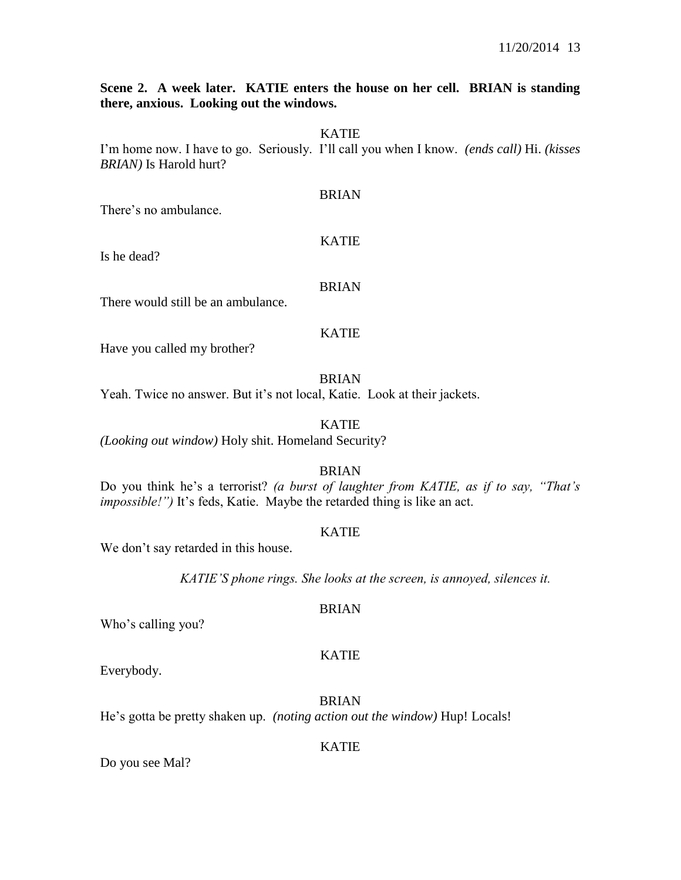## **Scene 2. A week later. KATIE enters the house on her cell. BRIAN is standing there, anxious. Looking out the windows.**

#### KATIE

I'm home now. I have to go. Seriously. I'll call you when I know. *(ends call)* Hi. *(kisses BRIAN)* Is Harold hurt?

#### BRIAN

There's no ambulance.

#### KATIE

Is he dead?

#### BRIAN

There would still be an ambulance.

## KATIE

Have you called my brother?

BRIAN

Yeah. Twice no answer. But it's not local, Katie. Look at their jackets.

## KATIE

*(Looking out window)* Holy shit. Homeland Security?

## BRIAN

Do you think he's a terrorist? *(a burst of laughter from KATIE, as if to say, "That's impossible!")* It's feds, Katie. Maybe the retarded thing is like an act.

#### KATIE

We don't say retarded in this house.

*KATIE'S phone rings. She looks at the screen, is annoyed, silences it.*

#### BRIAN

Who's calling you?

#### KATIE

Everybody.

BRIAN He's gotta be pretty shaken up. *(noting action out the window)* Hup! Locals!

#### KATIE

Do you see Mal?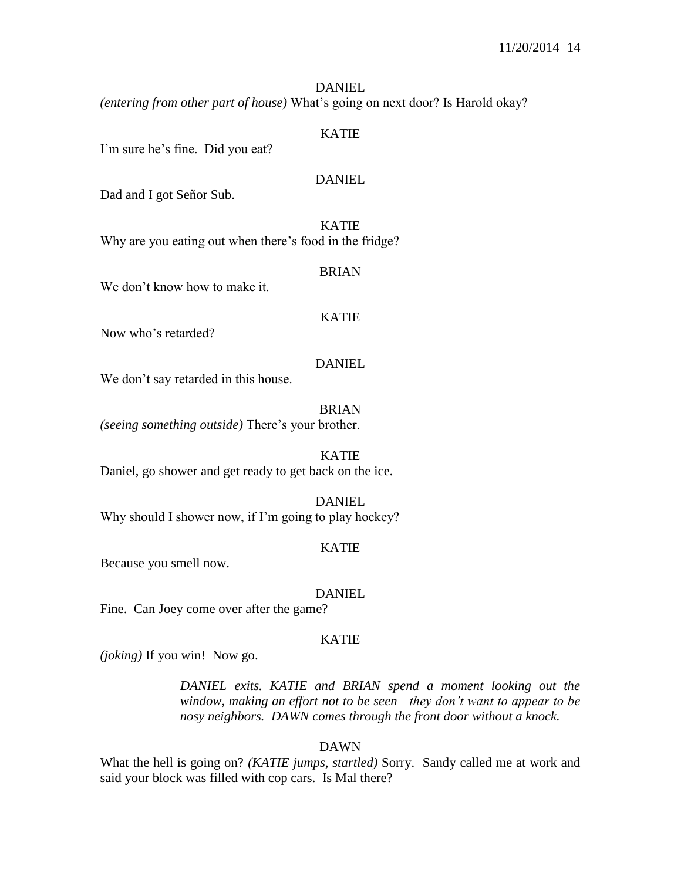## **DANIEL**

*(entering from other part of house)* What's going on next door? Is Harold okay?

#### KATIE

I'm sure he's fine. Did you eat?

#### DANIEL

Dad and I got Señor Sub.

KATIE Why are you eating out when there's food in the fridge?

#### BRIAN

We don't know how to make it.

## KATIE

Now who's retarded?

#### DANIEL

We don't say retarded in this house.

BRIAN *(seeing something outside)* There's your brother.

KATIE Daniel, go shower and get ready to get back on the ice.

DANIEL

Why should I shower now, if I'm going to play hockey?

#### KATIE

Because you smell now.

DANIEL

Fine. Can Joey come over after the game?

#### KATIE

*(joking)* If you win! Now go.

*DANIEL exits. KATIE and BRIAN spend a moment looking out the window, making an effort not to be seen—they don't want to appear to be nosy neighbors. DAWN comes through the front door without a knock.*

DAWN

What the hell is going on? *(KATIE jumps, startled)* Sorry. Sandy called me at work and said your block was filled with cop cars. Is Mal there?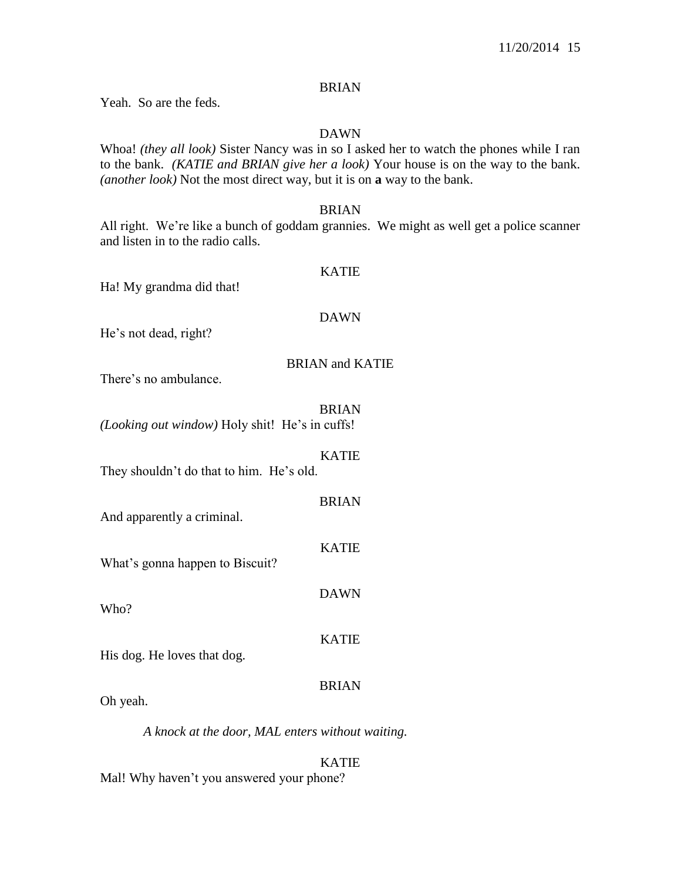## BRIAN

Yeah. So are the feds.

## DAWN

Whoa! *(they all look)* Sister Nancy was in so I asked her to watch the phones while I ran to the bank. *(KATIE and BRIAN give her a look)* Your house is on the way to the bank. *(another look)* Not the most direct way, but it is on **a** way to the bank.

## BRIAN

All right. We're like a bunch of goddam grannies. We might as well get a police scanner and listen in to the radio calls.

#### KATIE

Ha! My grandma did that!

#### DAWN

He's not dead, right?

## BRIAN and KATIE

There's no ambulance.

| (Looking out window) Holy shit! He's in cuffs! | BRIAN        |
|------------------------------------------------|--------------|
| They shouldn't do that to him. He's old.       | <b>KATIE</b> |
| And apparently a criminal.                     | <b>BRIAN</b> |
| What's gonna happen to Biscuit?                | <b>KATIE</b> |
| Who?                                           | <b>DAWN</b>  |
| His dog. He loves that dog.                    | <b>KATIE</b> |
| Oh yeah.                                       | <b>BRIAN</b> |

*A knock at the door, MAL enters without waiting.*

## KATIE

Mal! Why haven't you answered your phone?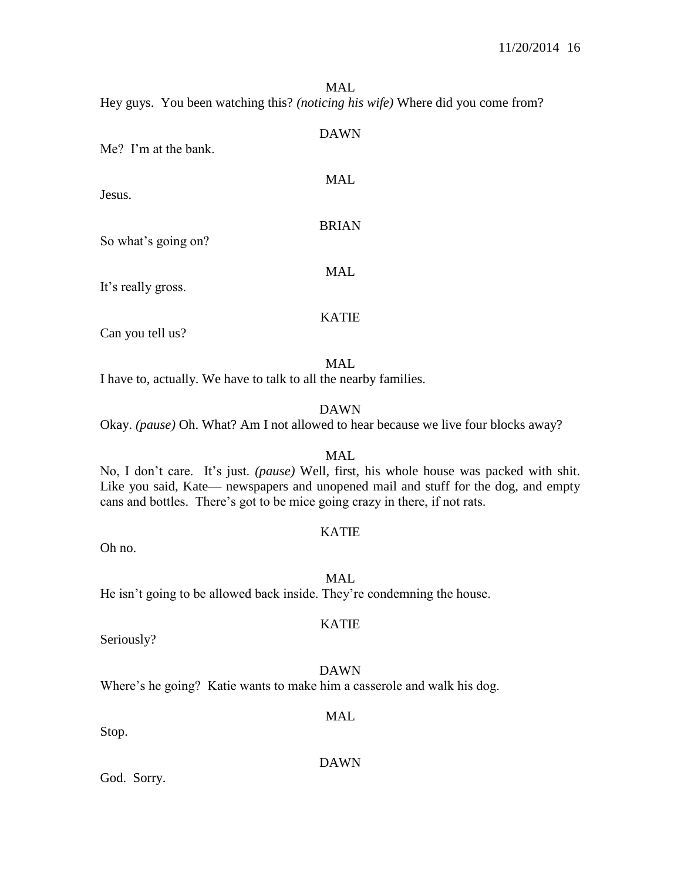#### MAL

Hey guys. You been watching this? *(noticing his wife)* Where did you come from?

| Me? I'm at the bank. | <b>DAWN</b>  |
|----------------------|--------------|
| Jesus.               | <b>MAL</b>   |
| So what's going on?  | <b>BRIAN</b> |
| It's really gross.   | <b>MAL</b>   |
|                      | <b>KATIE</b> |

Can you tell us?

MAL I have to, actually. We have to talk to all the nearby families.

#### DAWN

Okay. *(pause)* Oh. What? Am I not allowed to hear because we live four blocks away?

#### MAL

No, I don't care. It's just. *(pause)* Well, first, his whole house was packed with shit. Like you said, Kate— newspapers and unopened mail and stuff for the dog, and empty cans and bottles. There's got to be mice going crazy in there, if not rats.

## KATIE

Oh no.

MAL

He isn't going to be allowed back inside. They're condemning the house.

Seriously?

## DAWN

KATIE

Where's he going? Katie wants to make him a casserole and walk his dog.

## Stop.

God. Sorry.

## DAWN

MAL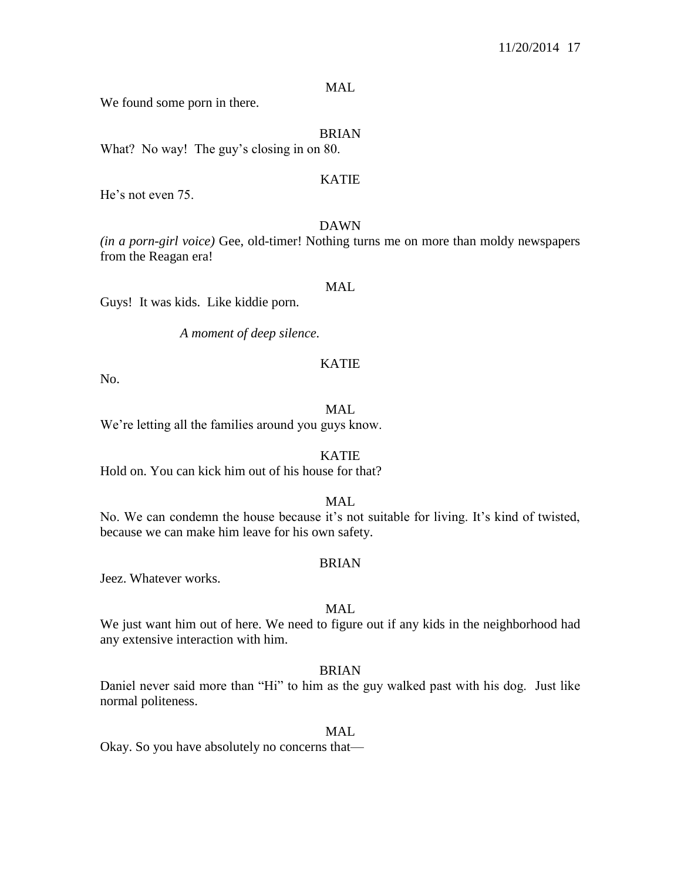## MAL

We found some porn in there.

## BRIAN

What? No way! The guy's closing in on 80.

## KATIE

He's not even 75.

#### DAWN

*(in a porn-girl voice)* Gee, old-timer! Nothing turns me on more than moldy newspapers from the Reagan era!

## MAL

Guys! It was kids. Like kiddie porn.

*A moment of deep silence.*

#### KATIE

No.

#### MAL

We're letting all the families around you guys know.

#### KATIE

Hold on. You can kick him out of his house for that?

## MAL

No. We can condemn the house because it's not suitable for living. It's kind of twisted, because we can make him leave for his own safety.

#### BRIAN

Jeez. Whatever works.

## MAL

We just want him out of here. We need to figure out if any kids in the neighborhood had any extensive interaction with him.

#### BRIAN

Daniel never said more than "Hi" to him as the guy walked past with his dog. Just like normal politeness.

#### MAL.

Okay. So you have absolutely no concerns that—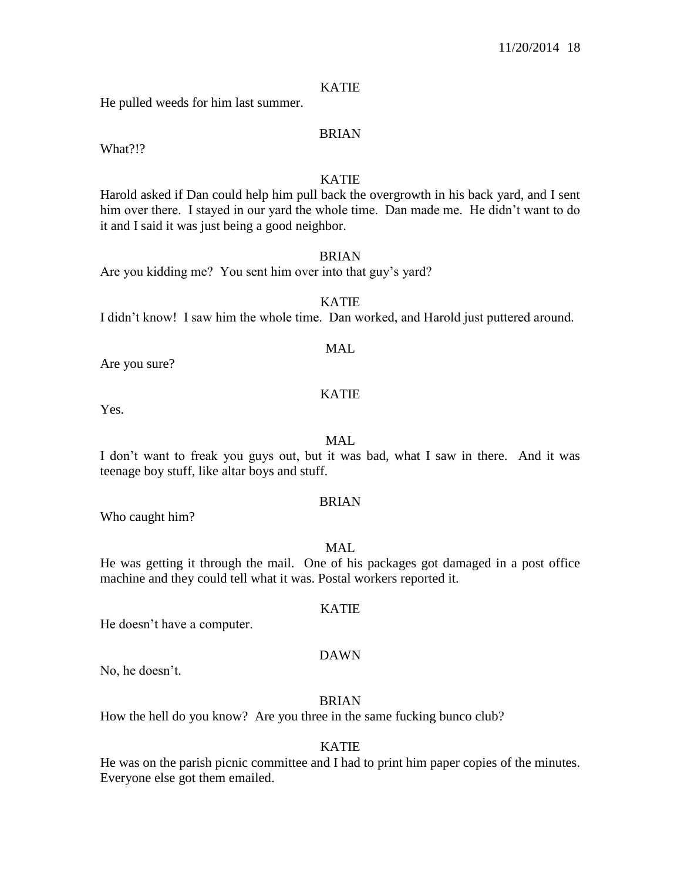#### KATIE

He pulled weeds for him last summer.

## BRIAN

What?!?

## KATIE

Harold asked if Dan could help him pull back the overgrowth in his back yard, and I sent him over there. I stayed in our yard the whole time. Dan made me. He didn't want to do it and I said it was just being a good neighbor.

#### BRIAN

Are you kidding me? You sent him over into that guy's yard?

KATIE I didn't know! I saw him the whole time. Dan worked, and Harold just puttered around.

## MAL

Are you sure?

#### KATIE

Yes.

### MAL

I don't want to freak you guys out, but it was bad, what I saw in there. And it was teenage boy stuff, like altar boys and stuff.

## BRIAN

Who caught him?

## MAL.

He was getting it through the mail. One of his packages got damaged in a post office machine and they could tell what it was. Postal workers reported it.

#### KATIE

He doesn't have a computer.

#### DAWN

No, he doesn't.

#### BRIAN

How the hell do you know? Are you three in the same fucking bunco club?

## KATIE

He was on the parish picnic committee and I had to print him paper copies of the minutes. Everyone else got them emailed.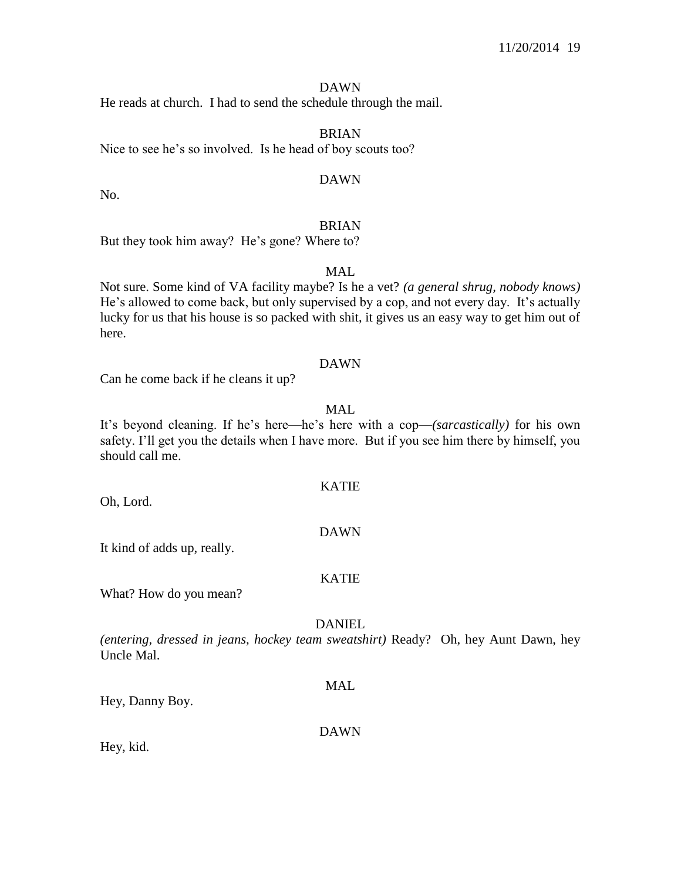#### DAWN

He reads at church. I had to send the schedule through the mail.

BRIAN Nice to see he's so involved. Is he head of boy scouts too?

## DAWN

No.

## BRIAN

But they took him away? He's gone? Where to?

## MAL

Not sure. Some kind of VA facility maybe? Is he a vet? *(a general shrug, nobody knows)*  He's allowed to come back, but only supervised by a cop, and not every day. It's actually lucky for us that his house is so packed with shit, it gives us an easy way to get him out of here.

#### DAWN

Can he come back if he cleans it up?

## MAL

It's beyond cleaning. If he's here—he's here with a cop—*(sarcastically)* for his own safety. I'll get you the details when I have more. But if you see him there by himself, you should call me.

KATIE

DAWN

Oh, Lord.

It kind of adds up, really.

## KATIE

What? How do you mean?

## **DANIEL**

*(entering, dressed in jeans, hockey team sweatshirt)* Ready? Oh, hey Aunt Dawn, hey Uncle Mal.

MAL

Hey, Danny Boy.

## DAWN

Hey, kid.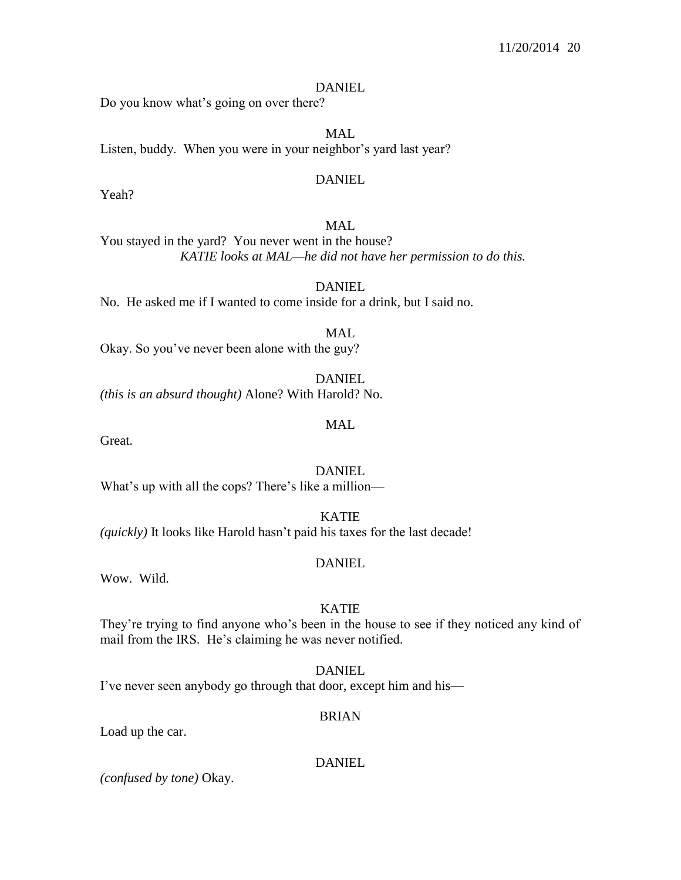#### **DANIEL**

Do you know what's going on over there?

MAL Listen, buddy. When you were in your neighbor's yard last year?

#### DANIEL

Yeah?

## MAL

You stayed in the yard? You never went in the house? *KATIE looks at MAL—he did not have her permission to do this.*

DANIEL No. He asked me if I wanted to come inside for a drink, but I said no.

MAL Okay. So you've never been alone with the guy?

DANIEL *(this is an absurd thought)* Alone? With Harold? No.

MAL

Great.

**DANIEL** 

What's up with all the cops? There's like a million—

KATIE *(quickly)* It looks like Harold hasn't paid his taxes for the last decade!

#### DANIEL

Wow. Wild.

## KATIE

They're trying to find anyone who's been in the house to see if they noticed any kind of mail from the IRS. He's claiming he was never notified.

DANIEL

I've never seen anybody go through that door, except him and his—

## BRIAN

Load up the car.

DANIEL

*(confused by tone)* Okay.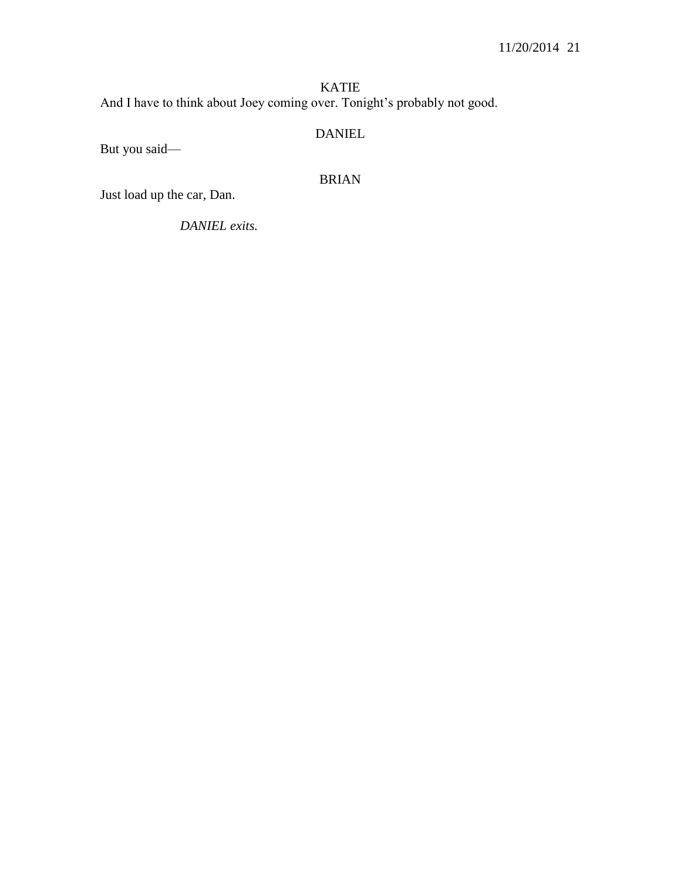KATIE And I have to think about Joey coming over. Tonight's probably not good.

## DANIEL

But you said—

BRIAN

Just load up the car, Dan.

*DANIEL exits.*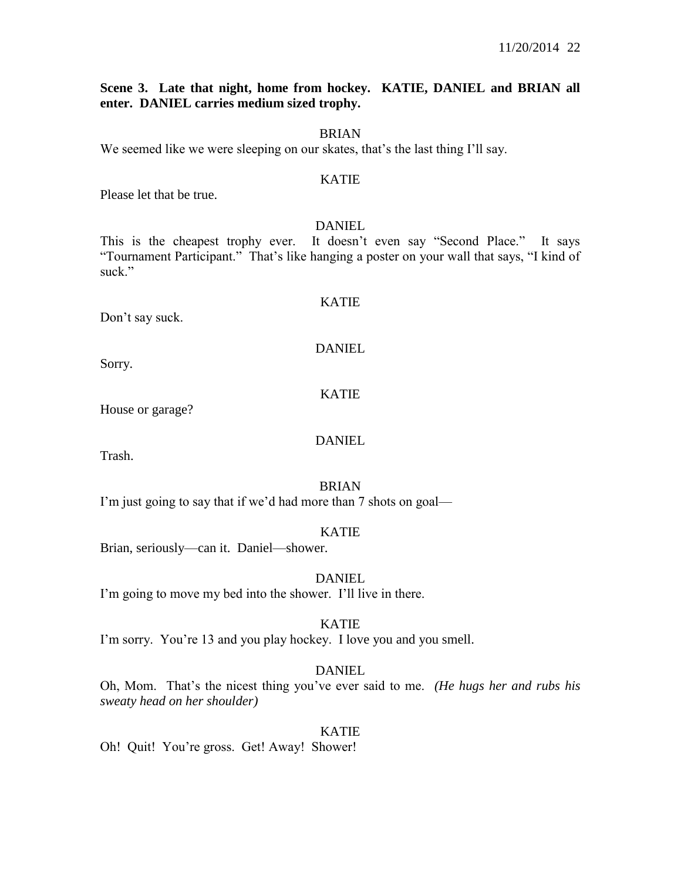## **Scene 3. Late that night, home from hockey. KATIE, DANIEL and BRIAN all enter. DANIEL carries medium sized trophy.**

#### BRIAN

We seemed like we were sleeping on our skates, that's the last thing I'll say.

## KATIE

Please let that be true.

#### DANIEL

This is the cheapest trophy ever. It doesn't even say "Second Place." It says "Tournament Participant." That's like hanging a poster on your wall that says, "I kind of suck."

#### Don't say suck.

# KATIE

DANIEL

Sorry.

## KATIE

House or garage?

## DANIEL

Trash.

#### BRIAN

I'm just going to say that if we'd had more than 7 shots on goal—

## KATIE

Brian, seriously—can it. Daniel—shower.

# DANIEL

I'm going to move my bed into the shower. I'll live in there.

## KATIE

I'm sorry. You're 13 and you play hockey. I love you and you smell.

## DANIEL

Oh, Mom. That's the nicest thing you've ever said to me. *(He hugs her and rubs his sweaty head on her shoulder)*

#### KATIE

Oh! Quit! You're gross. Get! Away! Shower!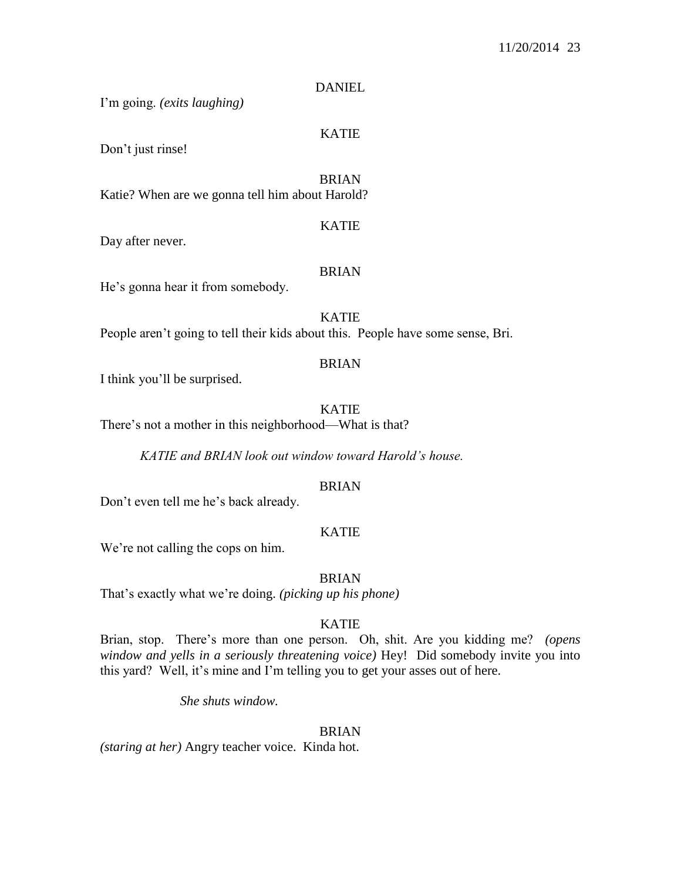## **DANIEL**

I'm going. *(exits laughing)*

## KATIE

Don't just rinse!

BRIAN Katie? When are we gonna tell him about Harold?

#### KATIE

Day after never.

#### BRIAN

He's gonna hear it from somebody.

## KATIE

People aren't going to tell their kids about this. People have some sense, Bri.

#### BRIAN

I think you'll be surprised.

KATIE

There's not a mother in this neighborhood—What is that?

*KATIE and BRIAN look out window toward Harold's house.*

#### BRIAN

Don't even tell me he's back already.

## KATIE

We're not calling the cops on him.

#### **BRIAN**

That's exactly what we're doing. *(picking up his phone)*

## KATIE

Brian, stop. There's more than one person. Oh, shit. Are you kidding me? *(opens window and yells in a seriously threatening voice)* Hey! Did somebody invite you into this yard? Well, it's mine and I'm telling you to get your asses out of here.

*She shuts window.*

#### BRIAN

*(staring at her)* Angry teacher voice. Kinda hot.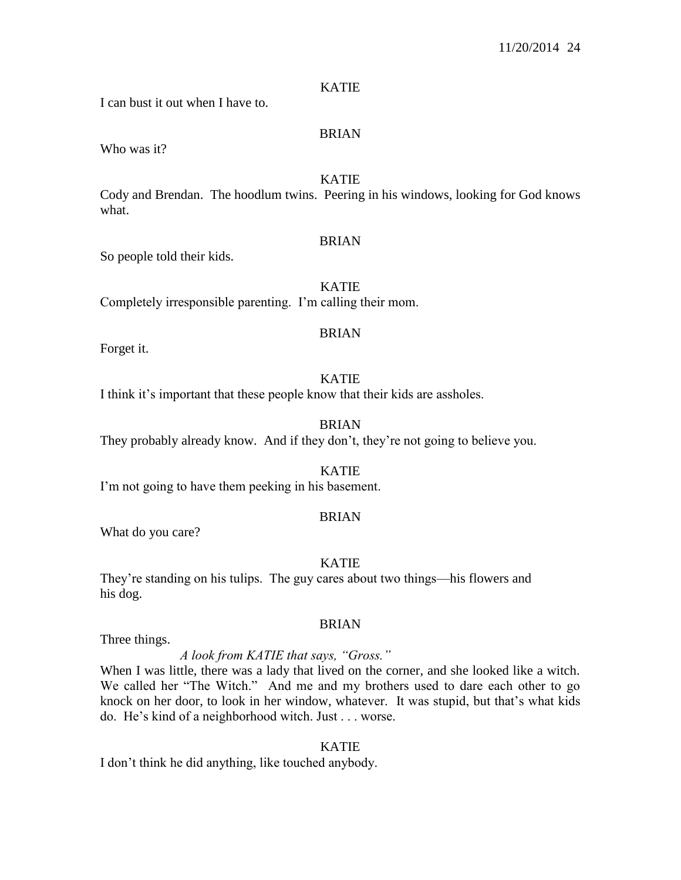## KATIE

I can bust it out when I have to.

## BRIAN

Who was it?

## KATIE

Cody and Brendan. The hoodlum twins. Peering in his windows, looking for God knows what.

## **BRIAN**

So people told their kids.

KATIE

Completely irresponsible parenting. I'm calling their mom.

## BRIAN

Forget it.

## KATIE

I think it's important that these people know that their kids are assholes.

## BRIAN

They probably already know. And if they don't, they're not going to believe you.

## KATIE

I'm not going to have them peeking in his basement.

## BRIAN

What do you care?

## KATIE

They're standing on his tulips. The guy cares about two things—his flowers and his dog.

## BRIAN

Three things.

## *A look from KATIE that says, "Gross."*

When I was little, there was a lady that lived on the corner, and she looked like a witch. We called her "The Witch." And me and my brothers used to dare each other to go knock on her door, to look in her window, whatever. It was stupid, but that's what kids do. He's kind of a neighborhood witch. Just . . . worse.

#### KATIE

I don't think he did anything, like touched anybody.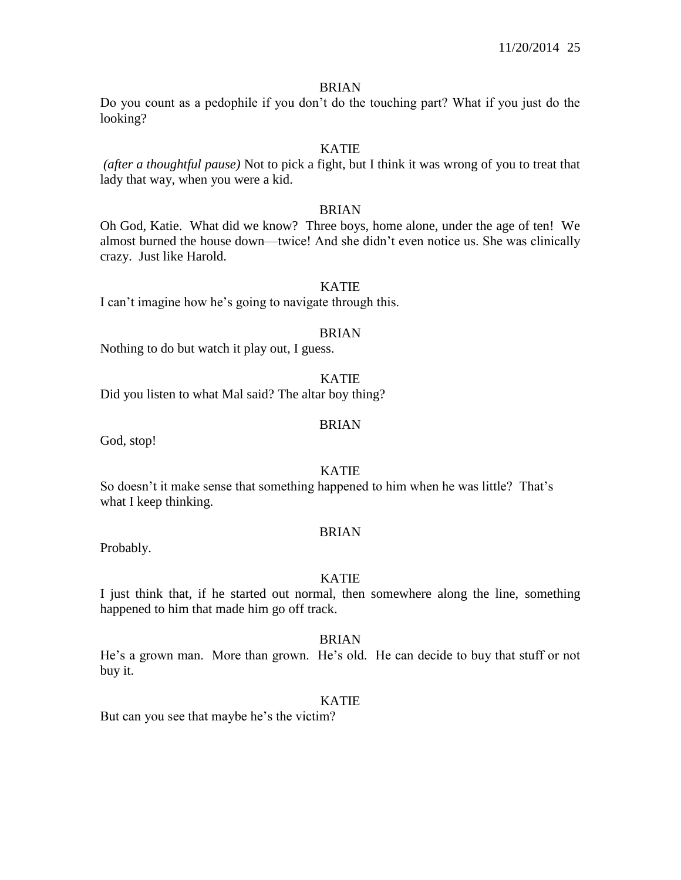#### BRIAN

Do you count as a pedophile if you don't do the touching part? What if you just do the looking?

## KATIE

*(after a thoughtful pause)* Not to pick a fight, but I think it was wrong of you to treat that lady that way, when you were a kid.

## BRIAN

Oh God, Katie. What did we know? Three boys, home alone, under the age of ten! We almost burned the house down—twice! And she didn't even notice us. She was clinically crazy. Just like Harold.

## KATIE

I can't imagine how he's going to navigate through this.

#### BRIAN

Nothing to do but watch it play out, I guess.

#### KATIE

Did you listen to what Mal said? The altar boy thing?

## BRIAN

God, stop!

## KATIE

So doesn't it make sense that something happened to him when he was little? That's what I keep thinking.

#### BRIAN

Probably.

### KATIE

I just think that, if he started out normal, then somewhere along the line, something happened to him that made him go off track.

#### BRIAN

He's a grown man. More than grown. He's old. He can decide to buy that stuff or not buy it.

#### KATIE

But can you see that maybe he's the victim?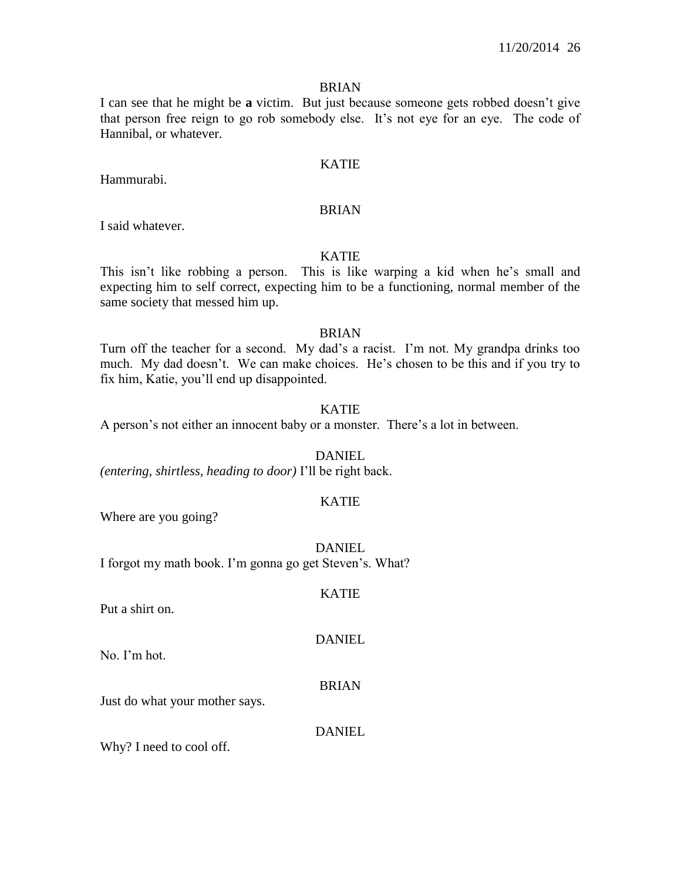#### BRIAN

I can see that he might be **a** victim. But just because someone gets robbed doesn't give that person free reign to go rob somebody else. It's not eye for an eye. The code of Hannibal, or whatever.

#### KATIE

Hammurabi.

#### BRIAN

I said whatever.

## KATIE

This isn't like robbing a person. This is like warping a kid when he's small and expecting him to self correct, expecting him to be a functioning, normal member of the same society that messed him up.

## BRIAN

Turn off the teacher for a second. My dad's a racist. I'm not. My grandpa drinks too much. My dad doesn't. We can make choices. He's chosen to be this and if you try to fix him, Katie, you'll end up disappointed.

## KATIE

A person's not either an innocent baby or a monster. There's a lot in between.

DANIEL *(entering, shirtless, heading to door)* I'll be right back.

## KATIE

Where are you going?

DANIEL I forgot my math book. I'm gonna go get Steven's. What?

Put a shirt on.

#### DANIEL

KATIE

No. I'm hot.

#### BRIAN

Just do what your mother says.

#### DANIEL

Why? I need to cool off.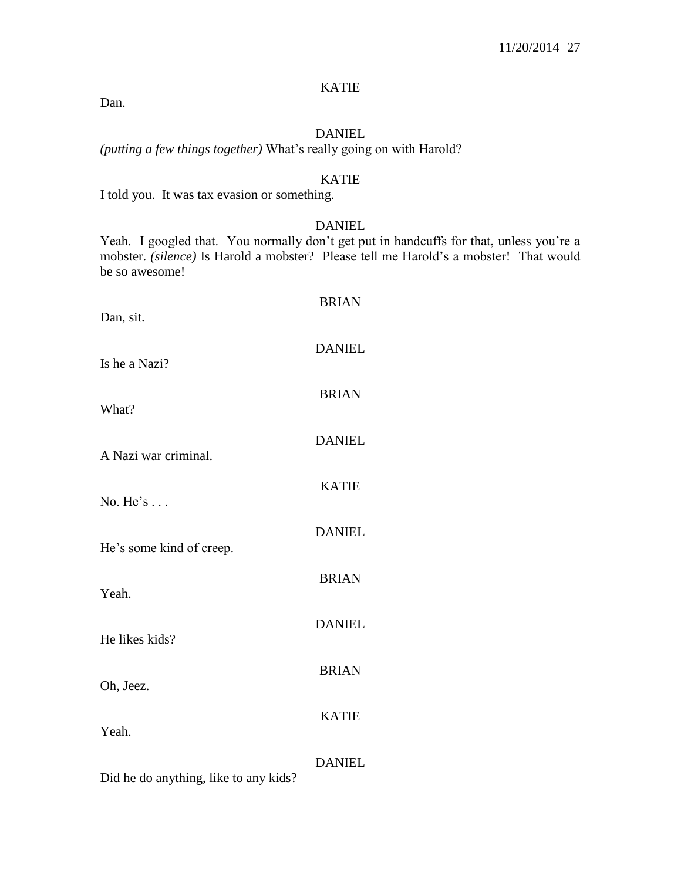## KATIE

Dan.

## DANIEL

*(putting a few things together)* What's really going on with Harold?

## KATIE

I told you. It was tax evasion or something.

## DANIEL

Yeah. I googled that. You normally don't get put in handcuffs for that, unless you're a mobster. *(silence)* Is Harold a mobster? Please tell me Harold's a mobster! That would be so awesome!

| Dan, sit.                             | <b>BRIAN</b>  |
|---------------------------------------|---------------|
| Is he a Nazi?                         | <b>DANIEL</b> |
| What?                                 | <b>BRIAN</b>  |
| A Nazi war criminal.                  | <b>DANIEL</b> |
|                                       | <b>KATIE</b>  |
| No. $He's$                            | <b>DANIEL</b> |
| He's some kind of creep.              | <b>BRIAN</b>  |
| Yeah.                                 |               |
| He likes kids?                        | <b>DANIEL</b> |
| Oh, Jeez.                             | <b>BRIAN</b>  |
| Yeah.                                 | <b>KATIE</b>  |
| Did he do anything, like to any kids? | <b>DANIEL</b> |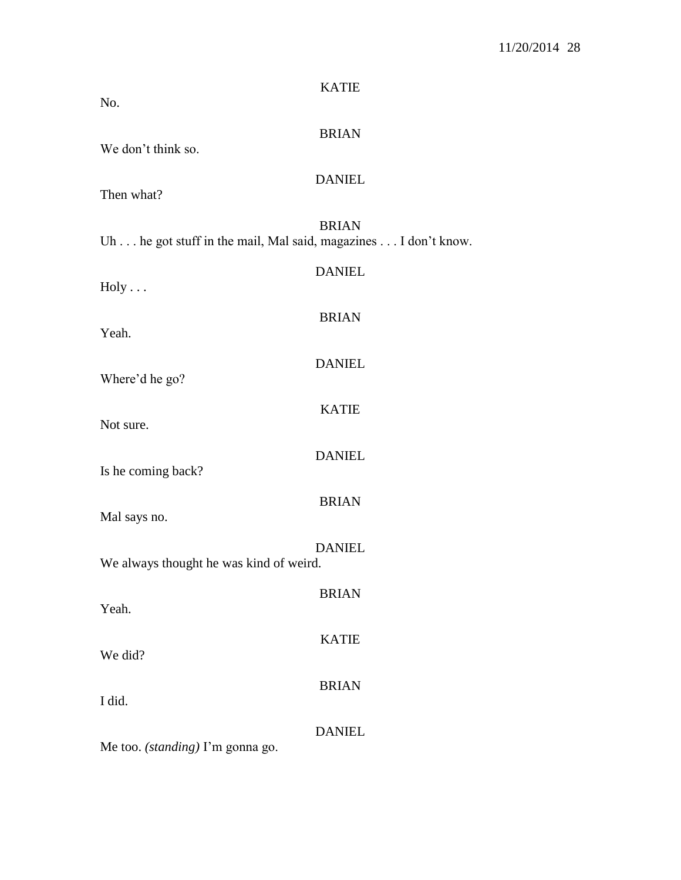| No.                                                            | <b>KATIE</b>  |
|----------------------------------------------------------------|---------------|
| We don't think so.                                             | <b>BRIAN</b>  |
| Then what?                                                     | <b>DANIEL</b> |
| Uh he got stuff in the mail, Mal said, magazines I don't know. | <b>BRIAN</b>  |
| Holy                                                           | <b>DANIEL</b> |
| Yeah.                                                          | <b>BRIAN</b>  |
| Where'd he go?                                                 | <b>DANIEL</b> |
| Not sure.                                                      | <b>KATIE</b>  |
| Is he coming back?                                             | <b>DANIEL</b> |
| Mal says no.                                                   | <b>BRIAN</b>  |
| We always thought he was kind of weird.                        | <b>DANIEL</b> |
| Yeah.                                                          | <b>BRIAN</b>  |
| We did?                                                        | <b>KATIE</b>  |
| I did.                                                         | <b>BRIAN</b>  |
| Me too. (standing) I'm gonna go.                               | <b>DANIEL</b> |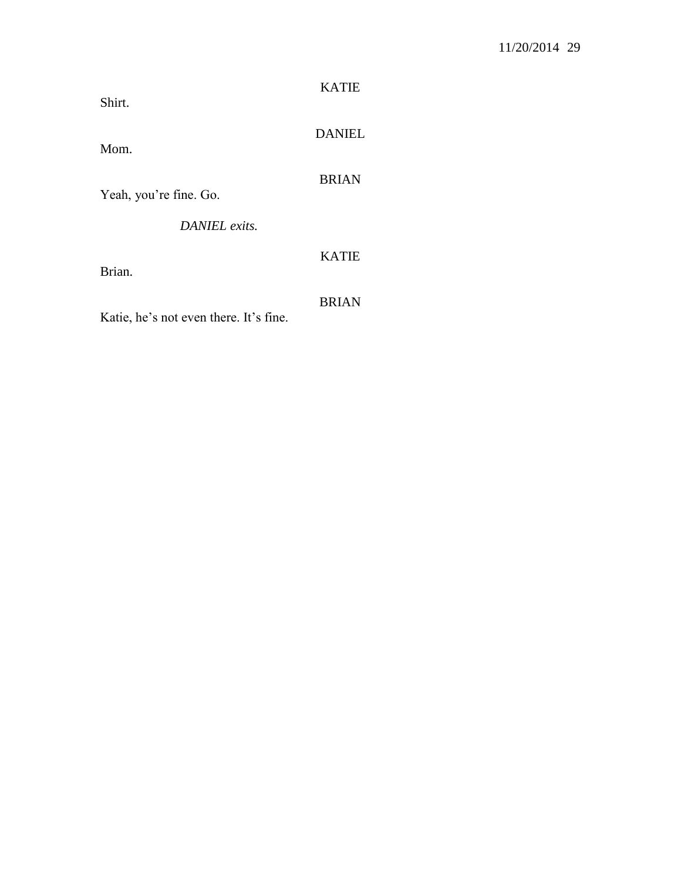| Shirt.                                 | <b>KATIE</b>  |
|----------------------------------------|---------------|
| Mom.                                   | <b>DANIEL</b> |
| Yeah, you're fine. Go.                 | <b>BRIAN</b>  |
| DANIEL exits.                          |               |
| Brian.                                 | <b>KATIE</b>  |
| Katie, he's not even there. It's fine. | <b>BRIAN</b>  |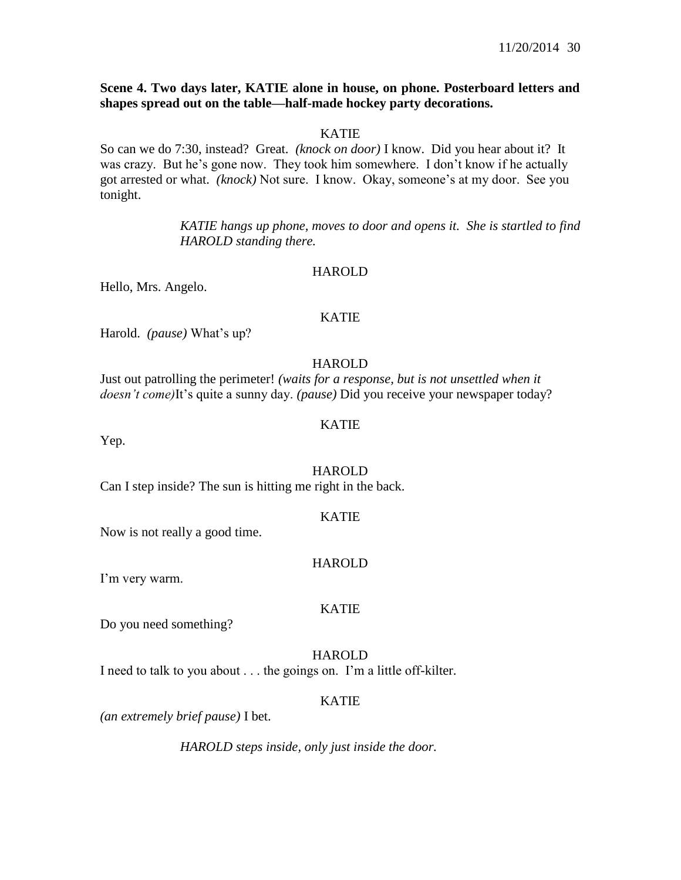## **Scene 4. Two days later, KATIE alone in house, on phone. Posterboard letters and shapes spread out on the table—half-made hockey party decorations.**

### KATIE

So can we do 7:30, instead? Great. *(knock on door)* I know. Did you hear about it? It was crazy. But he's gone now. They took him somewhere. I don't know if he actually got arrested or what. *(knock)* Not sure. I know. Okay, someone's at my door. See you tonight.

> *KATIE hangs up phone, moves to door and opens it. She is startled to find HAROLD standing there.*

#### HAROLD

Hello, Mrs. Angelo.

## KATIE

Harold. *(pause)* What's up?

#### HAROLD

Just out patrolling the perimeter! *(waits for a response, but is not unsettled when it doesn't come)*It's quite a sunny day. *(pause)* Did you receive your newspaper today?

#### KATIE

Yep.

#### HAROLD

Can I step inside? The sun is hitting me right in the back.

#### KATIE

Now is not really a good time.

#### **HAROLD**

I'm very warm.

#### KATIE

Do you need something?

#### **HAROLD**

I need to talk to you about . . . the goings on. I'm a little off-kilter.

#### KATIE

*(an extremely brief pause)* I bet.

*HAROLD steps inside, only just inside the door.*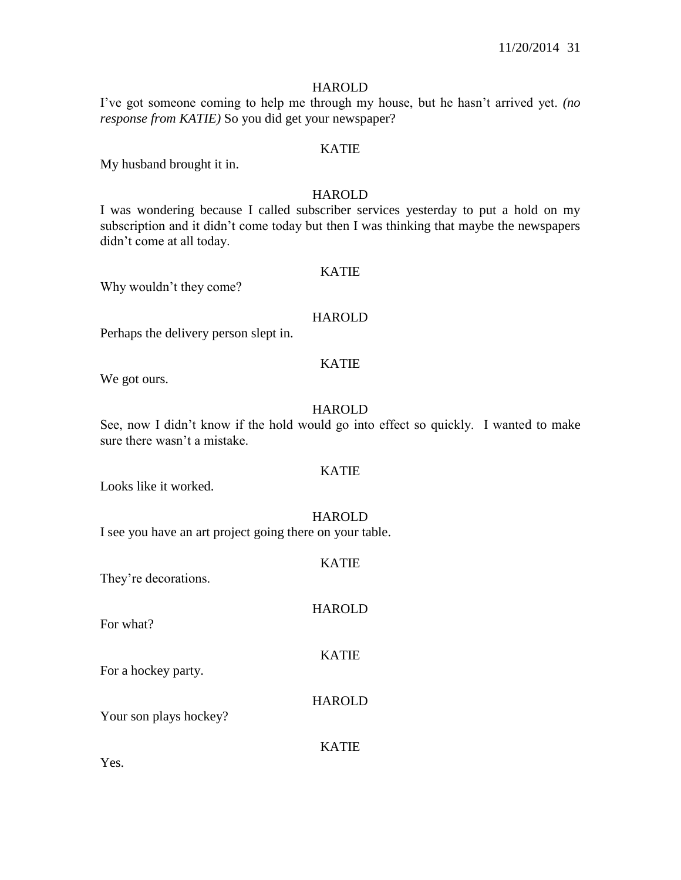## HAROLD

I've got someone coming to help me through my house, but he hasn't arrived yet. *(no response from KATIE)* So you did get your newspaper?

## KATIE

My husband brought it in.

## HAROLD

I was wondering because I called subscriber services yesterday to put a hold on my subscription and it didn't come today but then I was thinking that maybe the newspapers didn't come at all today.

#### KATIE

Why wouldn't they come?

## **HAROLD**

Perhaps the delivery person slept in.

## KATIE

We got ours.

## **HAROLD**

See, now I didn't know if the hold would go into effect so quickly. I wanted to make sure there wasn't a mistake.

## KATIE

Looks like it worked.

#### HAROLD

I see you have an art project going there on your table.

KATIE They're decorations. HAROLD For what? KATIE For a hockey party. HAROLD Your son plays hockey? KATIE Yes.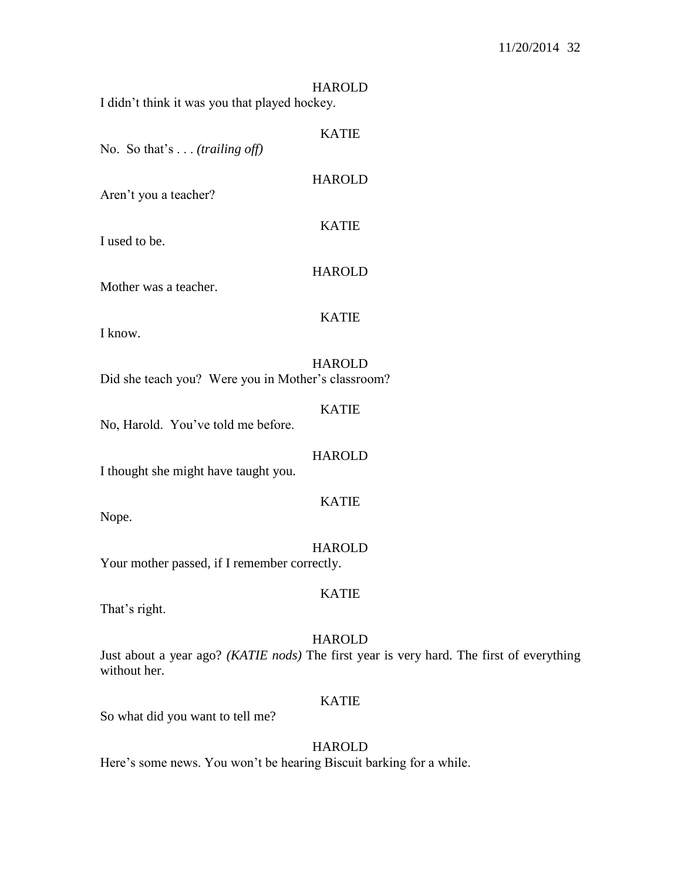| I didn't think it was you that played hockey.      | <b>HAROLD</b> |
|----------------------------------------------------|---------------|
| No. So that's $\ldots$ (trailing off)              | <b>KATIE</b>  |
| Aren't you a teacher?                              | <b>HAROLD</b> |
| I used to be.                                      | <b>KATIE</b>  |
| Mother was a teacher.                              | <b>HAROLD</b> |
| I know.                                            | <b>KATIE</b>  |
| Did she teach you? Were you in Mother's classroom? | <b>HAROLD</b> |
| No, Harold. You've told me before.                 | <b>KATIE</b>  |
|                                                    | HAROLD        |

I thought she might have taught you.

Nope.

#### HAROLD

KATIE

Your mother passed, if I remember correctly.

## KATIE

That's right.

#### HAROLD

Just about a year ago? *(KATIE nods)* The first year is very hard. The first of everything without her.

## KATIE

So what did you want to tell me?

#### HAROLD

Here's some news. You won't be hearing Biscuit barking for a while.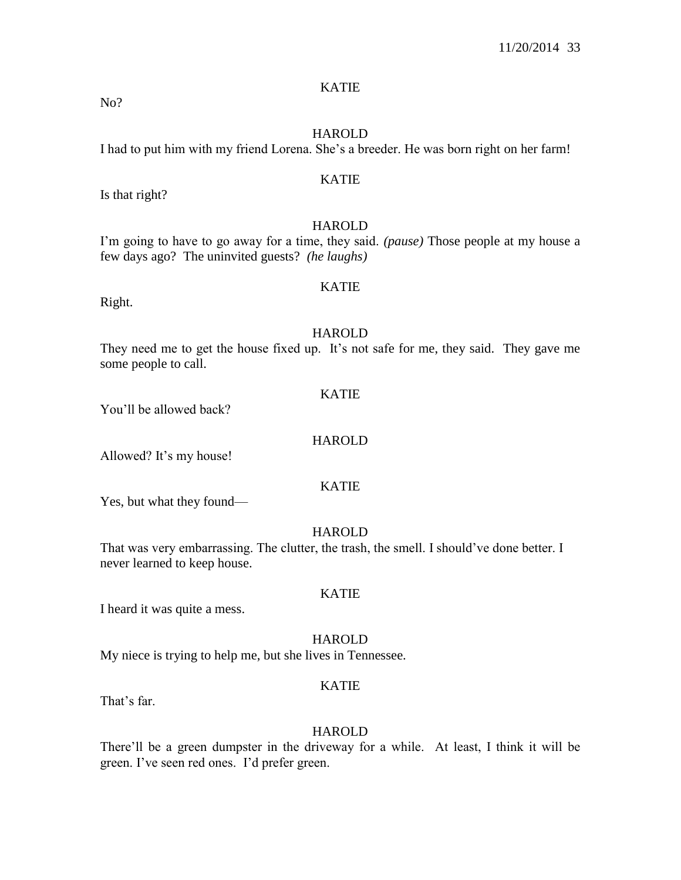## KATIE

No?

#### HAROLD

I had to put him with my friend Lorena. She's a breeder. He was born right on her farm!

## KATIE

HAROLD

I'm going to have to go away for a time, they said. *(pause)* Those people at my house a few days ago? The uninvited guests? *(he laughs)*

#### KATIE

Right.

Is that right?

## HAROLD

They need me to get the house fixed up. It's not safe for me, they said. They gave me some people to call.

#### KATIE

You'll be allowed back?

## HAROLD

Allowed? It's my house!

#### KATIE

Yes, but what they found—

## HAROLD

That was very embarrassing. The clutter, the trash, the smell. I should've done better. I never learned to keep house.

#### KATIE

I heard it was quite a mess.

#### **HAROLD**

My niece is trying to help me, but she lives in Tennessee.

## KATIE

That's far.

#### **HAROLD**

There'll be a green dumpster in the driveway for a while. At least, I think it will be green. I've seen red ones. I'd prefer green.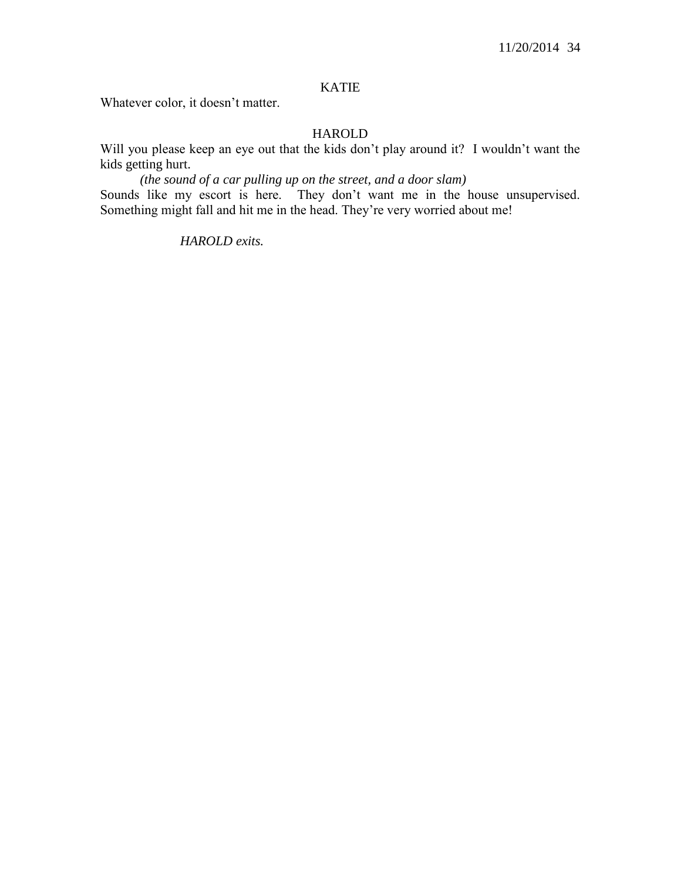## KATIE

Whatever color, it doesn't matter.

## HAROLD

Will you please keep an eye out that the kids don't play around it? I wouldn't want the kids getting hurt.

*(the sound of a car pulling up on the street, and a door slam)* Sounds like my escort is here. They don't want me in the house unsupervised. Something might fall and hit me in the head. They're very worried about me!

## *HAROLD exits.*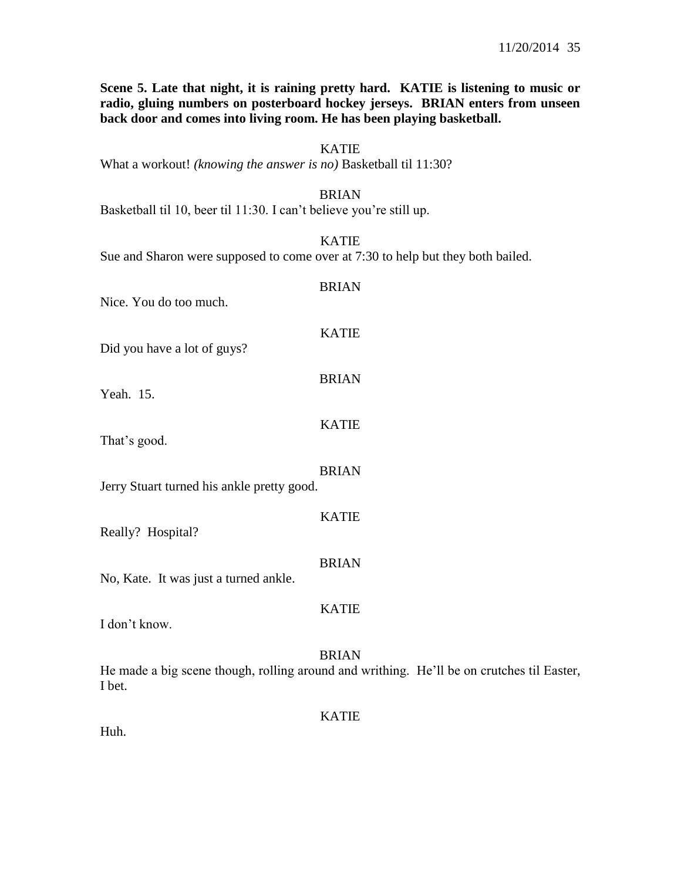**Scene 5. Late that night, it is raining pretty hard. KATIE is listening to music or radio, gluing numbers on posterboard hockey jerseys. BRIAN enters from unseen back door and comes into living room. He has been playing basketball.**

## KATIE

What a workout! *(knowing the answer is no)* Basketball til 11:30?

#### BRIAN

Basketball til 10, beer til 11:30. I can't believe you're still up.

## KATIE

Sue and Sharon were supposed to come over at 7:30 to help but they both bailed.

| Nice. You do too much.                     | <b>BRIAN</b> |
|--------------------------------------------|--------------|
| Did you have a lot of guys?                | <b>KATIE</b> |
| Yeah. 15.                                  | <b>BRIAN</b> |
| That's good.                               | <b>KATIE</b> |
| Jerry Stuart turned his ankle pretty good. | <b>BRIAN</b> |
| Really? Hospital?                          | <b>KATIE</b> |
| No, Kate. It was just a turned ankle.      | <b>BRIAN</b> |
| I don't know.                              | <b>KATIE</b> |
|                                            | BRIAN        |

He made a big scene though, rolling around and writhing. He'll be on crutches til Easter, I bet.

KATIE

Huh.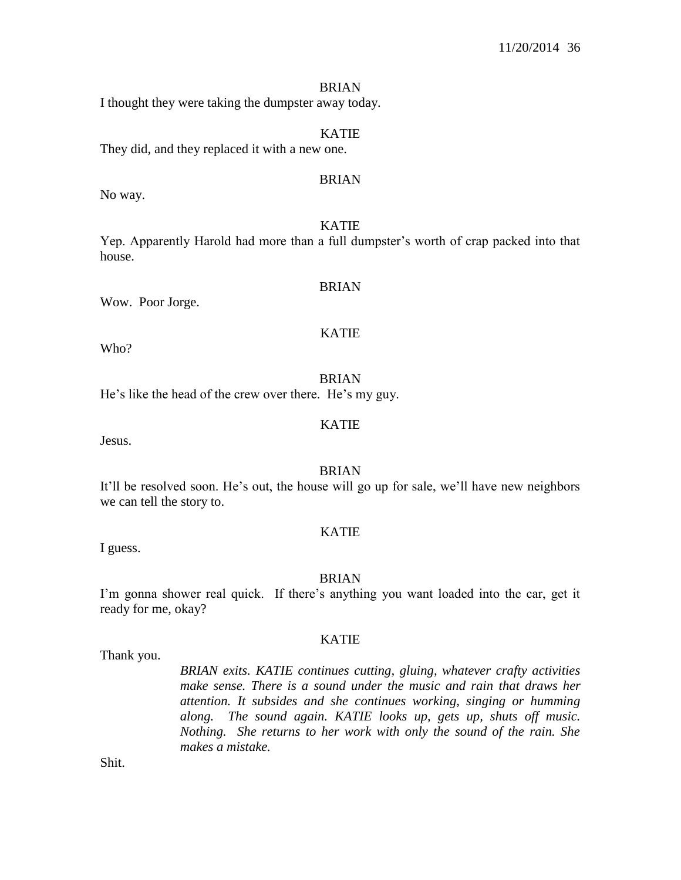#### BRIAN

I thought they were taking the dumpster away today.

## KATIE

They did, and they replaced it with a new one.

## BRIAN

No way.

#### KATIE

Yep. Apparently Harold had more than a full dumpster's worth of crap packed into that house.

#### BRIAN

Wow. Poor Jorge.

## KATIE

Who?

BRIAN

He's like the head of the crew over there. He's my guy.

## KATIE

Jesus.

## BRIAN

It'll be resolved soon. He's out, the house will go up for sale, we'll have new neighbors we can tell the story to.

## KATIE

I guess.

#### **BRIAN**

I'm gonna shower real quick. If there's anything you want loaded into the car, get it ready for me, okay?

Thank you.

# KATIE

*BRIAN exits. KATIE continues cutting, gluing, whatever crafty activities make sense. There is a sound under the music and rain that draws her attention. It subsides and she continues working, singing or humming along. The sound again. KATIE looks up, gets up, shuts off music. Nothing. She returns to her work with only the sound of the rain. She makes a mistake.*

Shit.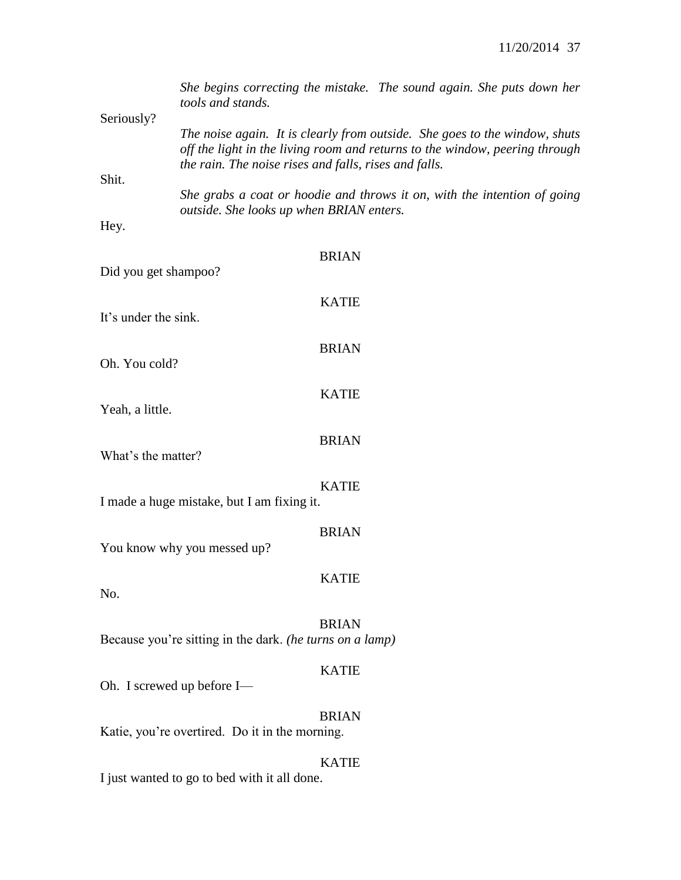| Seriously?           | She begins correcting the mistake. The sound again. She puts down her<br>tools and stands.                                                                                                                         |
|----------------------|--------------------------------------------------------------------------------------------------------------------------------------------------------------------------------------------------------------------|
|                      | The noise again. It is clearly from outside. She goes to the window, shuts<br>off the light in the living room and returns to the window, peering through<br>the rain. The noise rises and falls, rises and falls. |
| Shit.                |                                                                                                                                                                                                                    |
| Hey.                 | She grabs a coat or hoodie and throws it on, with the intention of going<br>outside. She looks up when BRIAN enters.                                                                                               |
|                      |                                                                                                                                                                                                                    |
| Did you get shampoo? | <b>BRIAN</b>                                                                                                                                                                                                       |
|                      | <b>KATIE</b>                                                                                                                                                                                                       |
| It's under the sink. |                                                                                                                                                                                                                    |
|                      | <b>BRIAN</b>                                                                                                                                                                                                       |
| Oh. You cold?        |                                                                                                                                                                                                                    |
| Yeah, a little.      | <b>KATIE</b>                                                                                                                                                                                                       |
|                      |                                                                                                                                                                                                                    |
|                      | <b>BRIAN</b>                                                                                                                                                                                                       |
| What's the matter?   |                                                                                                                                                                                                                    |
|                      | <b>KATIE</b>                                                                                                                                                                                                       |
|                      | I made a huge mistake, but I am fixing it.                                                                                                                                                                         |
|                      | <b>BRIAN</b>                                                                                                                                                                                                       |
|                      | You know why you messed up?                                                                                                                                                                                        |
|                      | <b>KATIE</b>                                                                                                                                                                                                       |
| No.                  |                                                                                                                                                                                                                    |
|                      | <b>BRIAN</b>                                                                                                                                                                                                       |
|                      | Because you're sitting in the dark. (he turns on a lamp)                                                                                                                                                           |
|                      | <b>KATIE</b>                                                                                                                                                                                                       |
|                      | Oh. I screwed up before I-                                                                                                                                                                                         |
|                      | <b>BRIAN</b>                                                                                                                                                                                                       |
|                      | Katie, you're overtired. Do it in the morning.                                                                                                                                                                     |
|                      | <b>KATIE</b>                                                                                                                                                                                                       |
|                      | I just wanted to go to bed with it all done.                                                                                                                                                                       |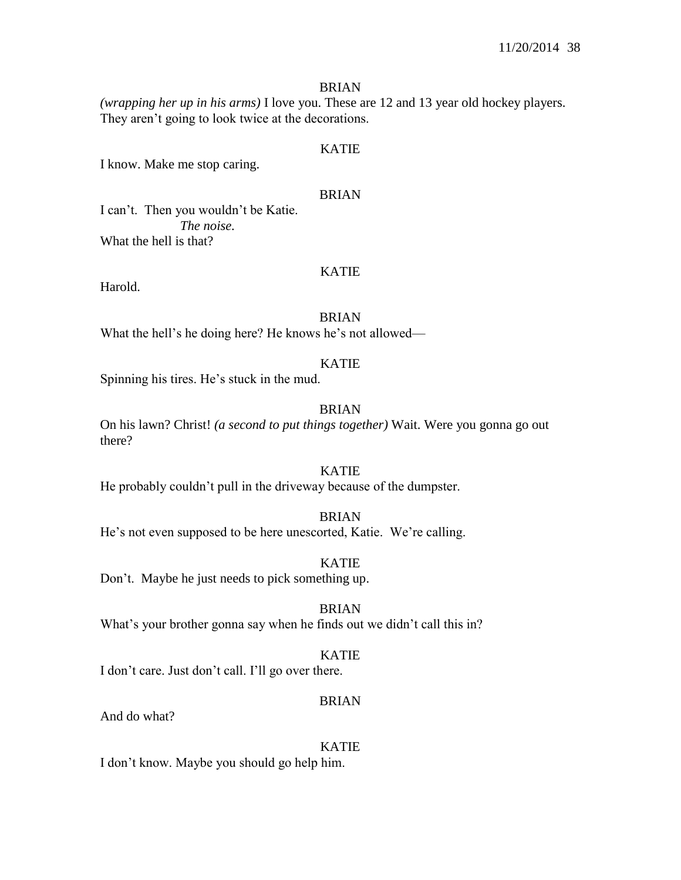### BRIAN

*(wrapping her up in his arms)* I love you. These are 12 and 13 year old hockey players. They aren't going to look twice at the decorations.

### KATIE

I know. Make me stop caring.

#### BRIAN

I can't. Then you wouldn't be Katie. *The noise.* What the hell is that?

#### KATIE

Harold.

#### BRIAN

What the hell's he doing here? He knows he's not allowed—

#### KATIE

Spinning his tires. He's stuck in the mud.

### BRIAN

On his lawn? Christ! *(a second to put things together)* Wait. Were you gonna go out there?

### KATIE

He probably couldn't pull in the driveway because of the dumpster.

#### BRIAN

He's not even supposed to be here unescorted, Katie. We're calling.

#### KATIE

Don't. Maybe he just needs to pick something up.

BRIAN What's your brother gonna say when he finds out we didn't call this in?

#### KATIE

I don't care. Just don't call. I'll go over there.

#### BRIAN

And do what?

#### KATIE

I don't know. Maybe you should go help him.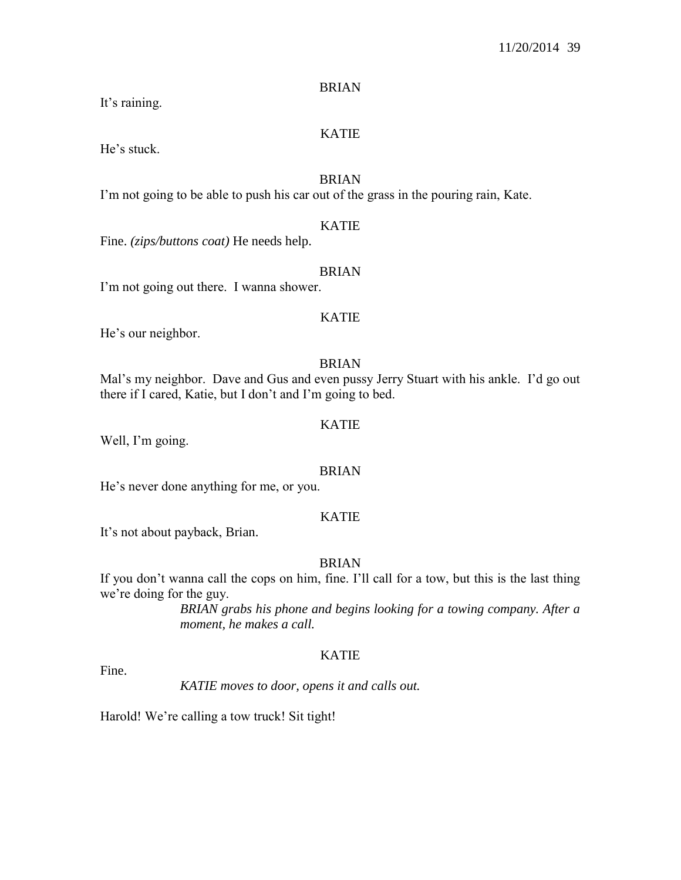BRIAN

It's raining.

### KATIE

He's stuck.

### BRIAN

I'm not going to be able to push his car out of the grass in the pouring rain, Kate.

### KATIE

Fine. *(zips/buttons coat)* He needs help.

### BRIAN

I'm not going out there. I wanna shower.

### KATIE

He's our neighbor.

#### BRIAN

Mal's my neighbor. Dave and Gus and even pussy Jerry Stuart with his ankle. I'd go out there if I cared, Katie, but I don't and I'm going to bed.

### KATIE

Well, I'm going.

### BRIAN

He's never done anything for me, or you.

### KATIE

It's not about payback, Brian.

### BRIAN

If you don't wanna call the cops on him, fine. I'll call for a tow, but this is the last thing we're doing for the guy.

> *BRIAN grabs his phone and begins looking for a towing company. After a moment, he makes a call.*

### KATIE

Fine.

*KATIE moves to door, opens it and calls out.*

Harold! We're calling a tow truck! Sit tight!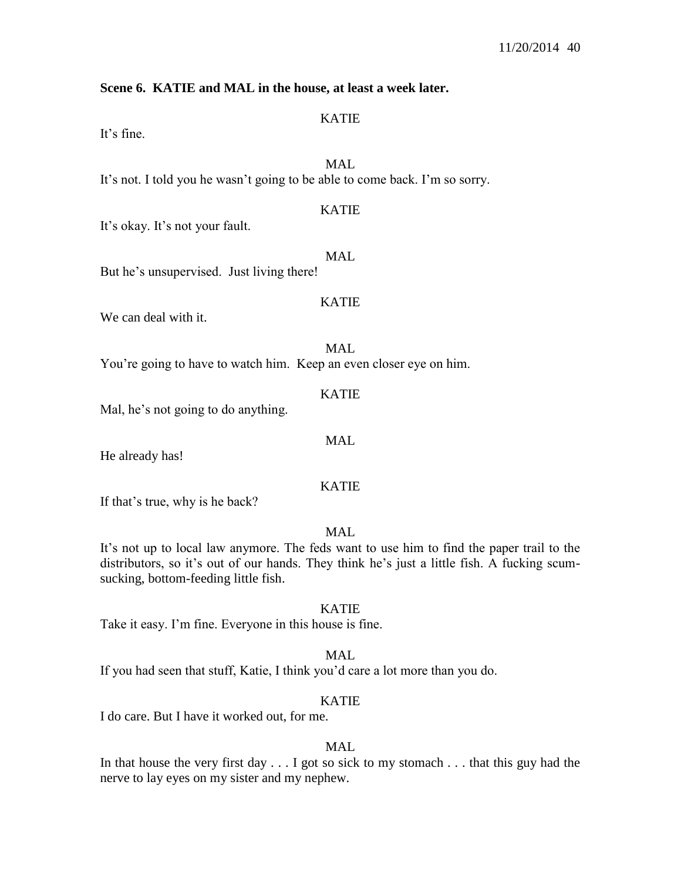### **Scene 6. KATIE and MAL in the house, at least a week later.**

### KATIE

It's fine.

# MAL

It's not. I told you he wasn't going to be able to come back. I'm so sorry.

## KATIE

It's okay. It's not your fault.

MAL But he's unsupervised. Just living there!

### KATIE

We can deal with it.

### MAL

You're going to have to watch him. Keep an even closer eye on him.

### KATIE

Mal, he's not going to do anything.

He already has!

### KATIE

MAL

If that's true, why is he back?

## MAL

It's not up to local law anymore. The feds want to use him to find the paper trail to the distributors, so it's out of our hands. They think he's just a little fish. A fucking scumsucking, bottom-feeding little fish.

### KATIE

Take it easy. I'm fine. Everyone in this house is fine.

#### MAL.

If you had seen that stuff, Katie, I think you'd care a lot more than you do.

### KATIE

I do care. But I have it worked out, for me.

## MAL

In that house the very first day . . . I got so sick to my stomach . . . that this guy had the nerve to lay eyes on my sister and my nephew.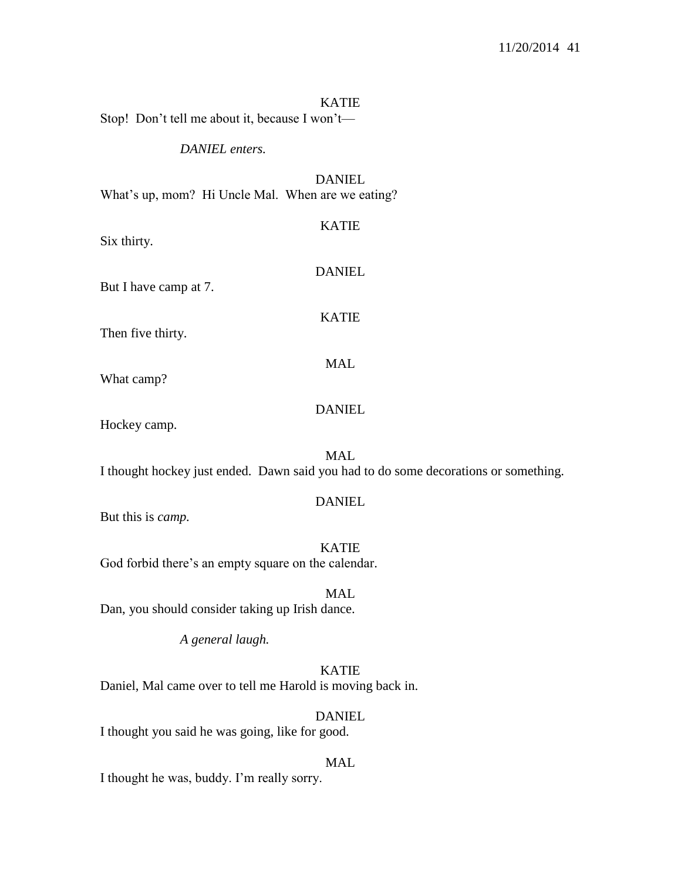#### KATIE

Stop! Don't tell me about it, because I won't—

#### *DANIEL enters.*

DANIEL What's up, mom? Hi Uncle Mal. When are we eating?

KATIE Six thirty. DANIEL But I have camp at 7. KATIE Then five thirty. MAL What camp?

DANIEL

Hockey camp.

MAL I thought hockey just ended. Dawn said you had to do some decorations or something.

#### DANIEL

But this is *camp.*

KATIE God forbid there's an empty square on the calendar.

MAL Dan, you should consider taking up Irish dance.

*A general laugh.*

KATIE Daniel, Mal came over to tell me Harold is moving back in.

DANIEL I thought you said he was going, like for good.

#### MAL

I thought he was, buddy. I'm really sorry.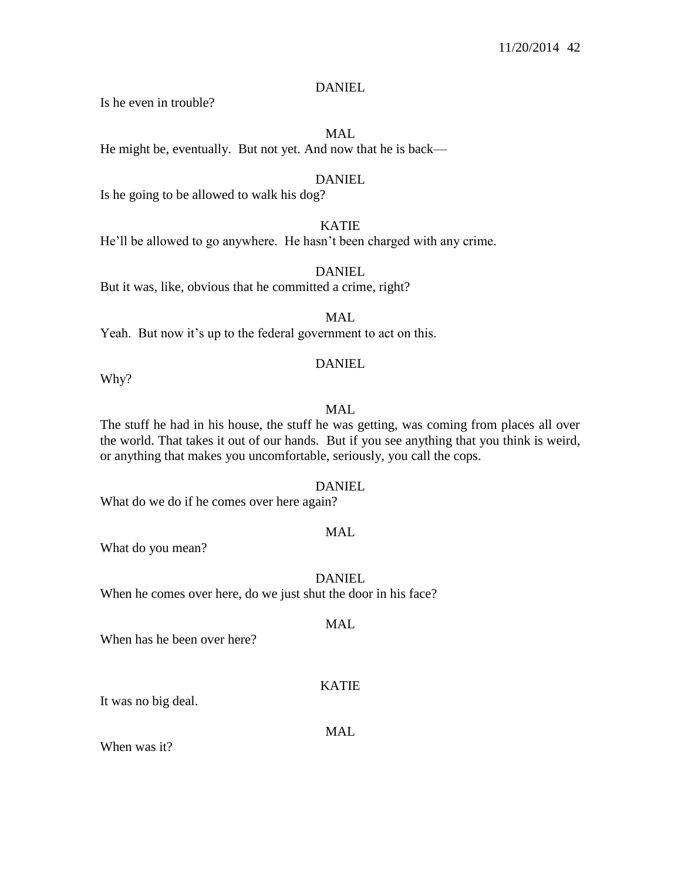### DANIEL

Is he even in trouble?

#### MAL

He might be, eventually. But not yet. And now that he is back—

### DANIEL

Is he going to be allowed to walk his dog?

## KATIE

He'll be allowed to go anywhere. He hasn't been charged with any crime.

### DANIEL

But it was, like, obvious that he committed a crime, right?

## MAL

Yeah. But now it's up to the federal government to act on this.

### DANIEL

Why?

### MAL

The stuff he had in his house, the stuff he was getting, was coming from places all over the world. That takes it out of our hands. But if you see anything that you think is weird, or anything that makes you uncomfortable, seriously, you call the cops.

#### DANIEL

What do we do if he comes over here again?

## MAL

What do you mean?

### DANIEL

When he comes over here, do we just shut the door in his face?

## MAL

When has he been over here?

## KATIE

It was no big deal.

### MAL.

When was it?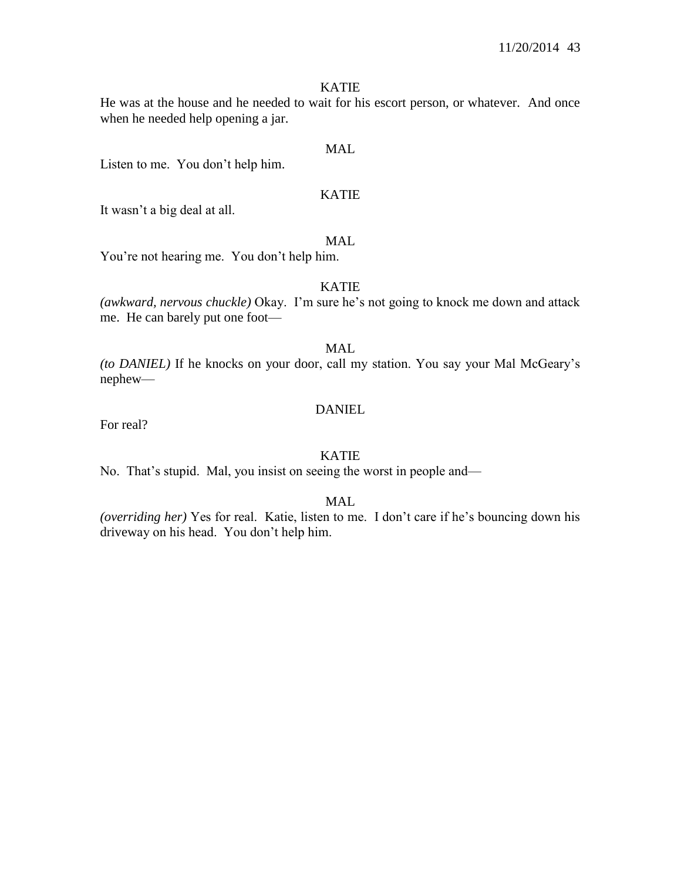### KATIE

He was at the house and he needed to wait for his escort person, or whatever. And once when he needed help opening a jar.

### MAL

Listen to me. You don't help him.

### KATIE

It wasn't a big deal at all.

## MAL.

You're not hearing me. You don't help him.

#### KATIE

*(awkward, nervous chuckle)* Okay. I'm sure he's not going to knock me down and attack me. He can barely put one foot—

### MAL

*(to DANIEL)* If he knocks on your door, call my station. You say your Mal McGeary's nephew—

### DANIEL

For real?

### KATIE

No. That's stupid. Mal, you insist on seeing the worst in people and—

## MAL

*(overriding her)* Yes for real. Katie, listen to me. I don't care if he's bouncing down his driveway on his head. You don't help him.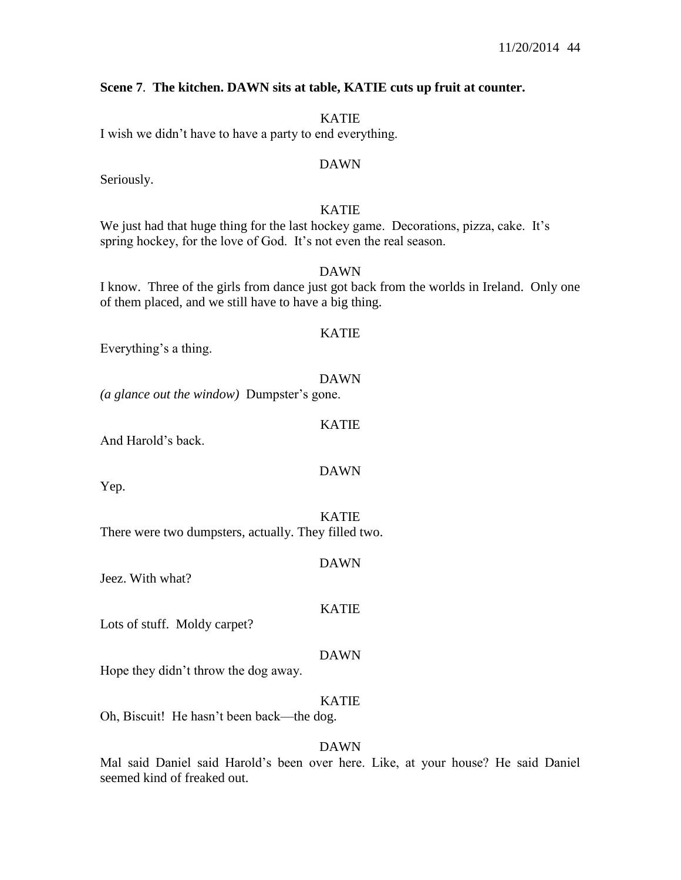### **Scene 7**. **The kitchen. DAWN sits at table, KATIE cuts up fruit at counter.**

KATIE

I wish we didn't have to have a party to end everything.

### DAWN

Seriously.

## KATIE

We just had that huge thing for the last hockey game. Decorations, pizza, cake. It's spring hockey, for the love of God. It's not even the real season.

### DAWN

I know. Three of the girls from dance just got back from the worlds in Ireland. Only one of them placed, and we still have to have a big thing.

KATIE

Everything's a thing.

DAWN

KATIE

DAWN

*(a glance out the window)* Dumpster's gone.

And Harold's back.

Yep.

KATIE There were two dumpsters, actually. They filled two.

Jeez. With what?

#### KATIE

DAWN

Lots of stuff. Moldy carpet?

#### DAWN

Hope they didn't throw the dog away.

### KATIE

Oh, Biscuit! He hasn't been back—the dog.

### DAWN

Mal said Daniel said Harold's been over here. Like, at your house? He said Daniel seemed kind of freaked out.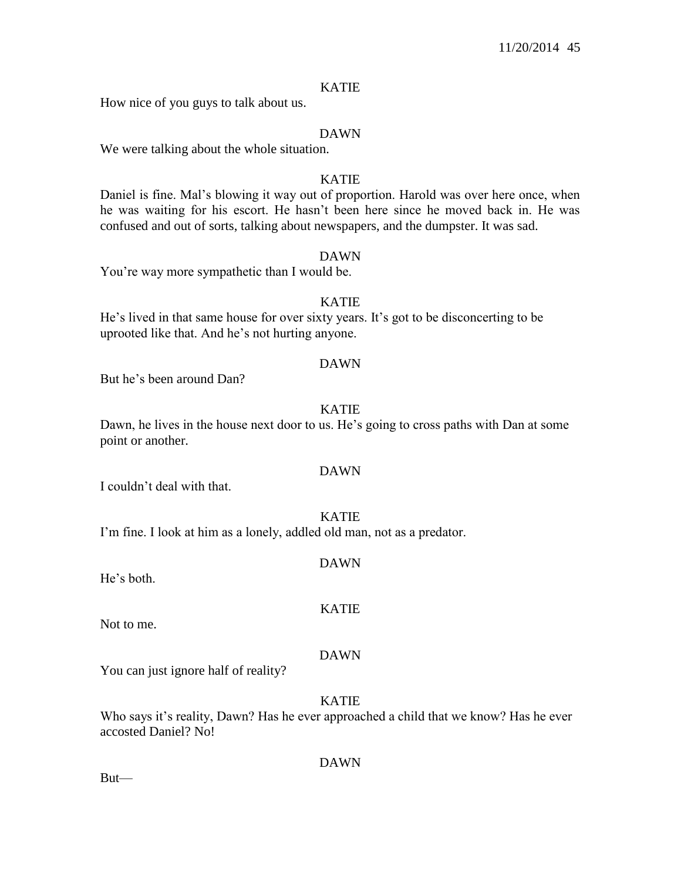### KATIE

How nice of you guys to talk about us.

### DAWN

We were talking about the whole situation.

### KATIE

Daniel is fine. Mal's blowing it way out of proportion. Harold was over here once, when he was waiting for his escort. He hasn't been here since he moved back in. He was confused and out of sorts, talking about newspapers, and the dumpster. It was sad.

#### DAWN

You're way more sympathetic than I would be.

### KATIE

He's lived in that same house for over sixty years. It's got to be disconcerting to be uprooted like that. And he's not hurting anyone.

#### DAWN

But he's been around Dan?

### KATIE

Dawn, he lives in the house next door to us. He's going to cross paths with Dan at some point or another.

### DAWN

I couldn't deal with that.

### KATIE

I'm fine. I look at him as a lonely, addled old man, not as a predator.

#### DAWN

He's both.

Not to me.

#### DAWN

KATIE

You can just ignore half of reality?

KATIE

Who says it's reality, Dawn? Has he ever approached a child that we know? Has he ever accosted Daniel? No!

#### DAWN

But—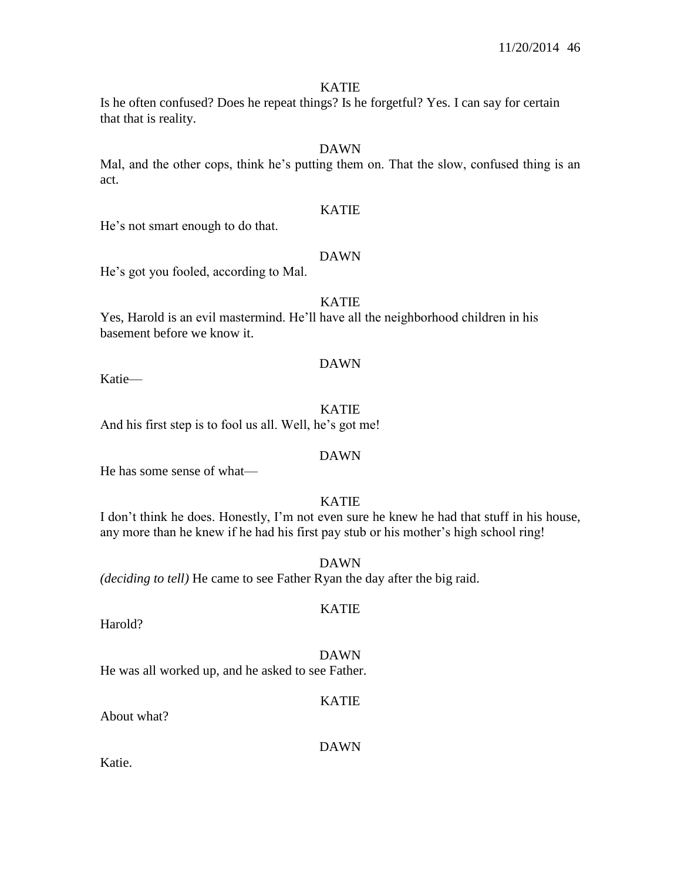#### KATIE

Is he often confused? Does he repeat things? Is he forgetful? Yes. I can say for certain that that is reality.

## DAWN

Mal, and the other cops, think he's putting them on. That the slow, confused thing is an act.

### KATIE

He's not smart enough to do that.

## DAWN

He's got you fooled, according to Mal.

#### KATIE

Yes, Harold is an evil mastermind. He'll have all the neighborhood children in his basement before we know it.

#### DAWN

Katie—

#### KATIE

And his first step is to fool us all. Well, he's got me!

#### DAWN

He has some sense of what—

## KATIE

I don't think he does. Honestly, I'm not even sure he knew he had that stuff in his house, any more than he knew if he had his first pay stub or his mother's high school ring!

KATIE

DAWN *(deciding to tell)* He came to see Father Ryan the day after the big raid.

Harold?

DAWN He was all worked up, and he asked to see Father.

#### KATIE

About what?

DAWN

Katie.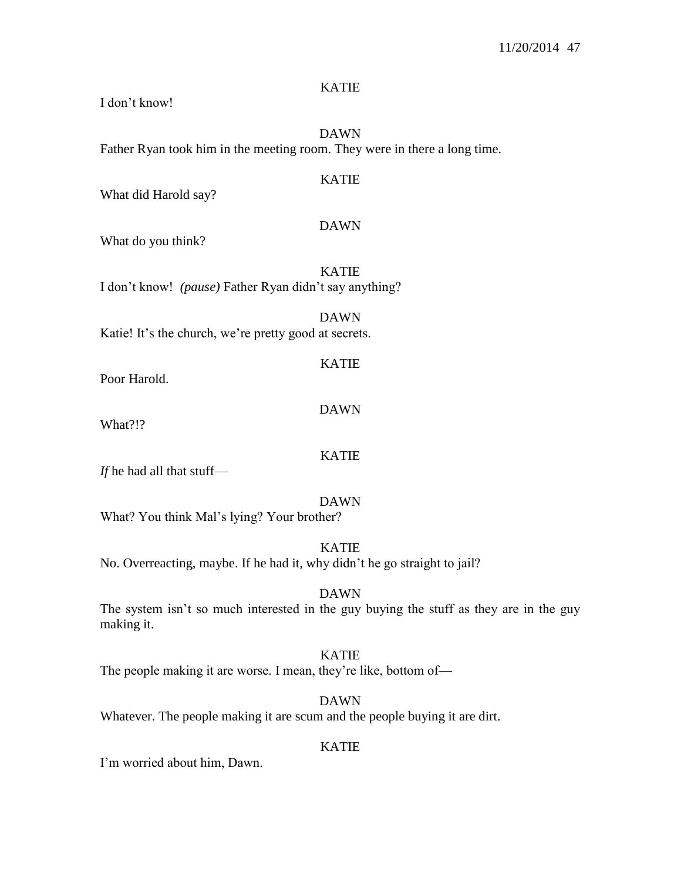### KATIE

I don't know!

DAWN Father Ryan took him in the meeting room. They were in there a long time.

### KATIE

What did Harold say?

#### DAWN

KATIE

DAWN

What do you think?

KATIE I don't know! *(pause)* Father Ryan didn't say anything?

DAWN Katie! It's the church, we're pretty good at secrets.

Poor Harold.

What?!?

*If* he had all that stuff—

#### DAWN

KATIE

What? You think Mal's lying? Your brother?

KATIE

No. Overreacting, maybe. If he had it, why didn't he go straight to jail?

### DAWN

The system isn't so much interested in the guy buying the stuff as they are in the guy making it.

### KATIE

The people making it are worse. I mean, they're like, bottom of—

#### DAWN

Whatever. The people making it are scum and the people buying it are dirt.

### KATIE

I'm worried about him, Dawn.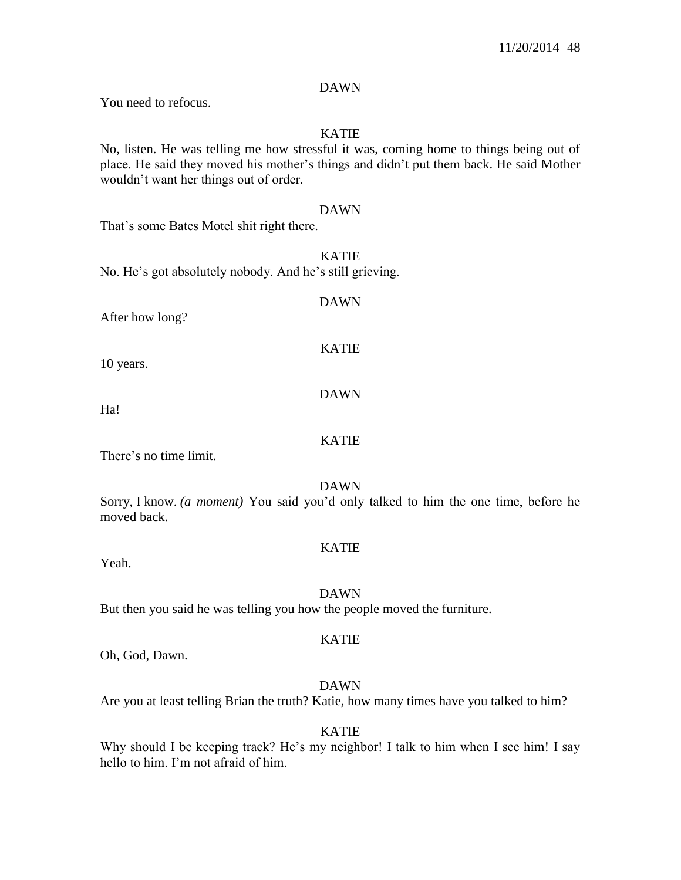### DAWN

You need to refocus.

## KATIE

No, listen. He was telling me how stressful it was, coming home to things being out of place. He said they moved his mother's things and didn't put them back. He said Mother wouldn't want her things out of order.

#### DAWN

That's some Bates Motel shit right there.

KATIE No. He's got absolutely nobody. And he's still grieving.

# DAWN

After how long?

10 years.

Ha!

### KATIE

KATIE

DAWN

There's no time limit.

### DAWN

Sorry, I know. *(a moment)* You said you'd only talked to him the one time, before he moved back.

#### KATIE

Yeah.

#### DAWN

But then you said he was telling you how the people moved the furniture.

#### KATIE

Oh, God, Dawn.

### DAWN

Are you at least telling Brian the truth? Katie, how many times have you talked to him?

#### KATIE

Why should I be keeping track? He's my neighbor! I talk to him when I see him! I say hello to him. I'm not afraid of him.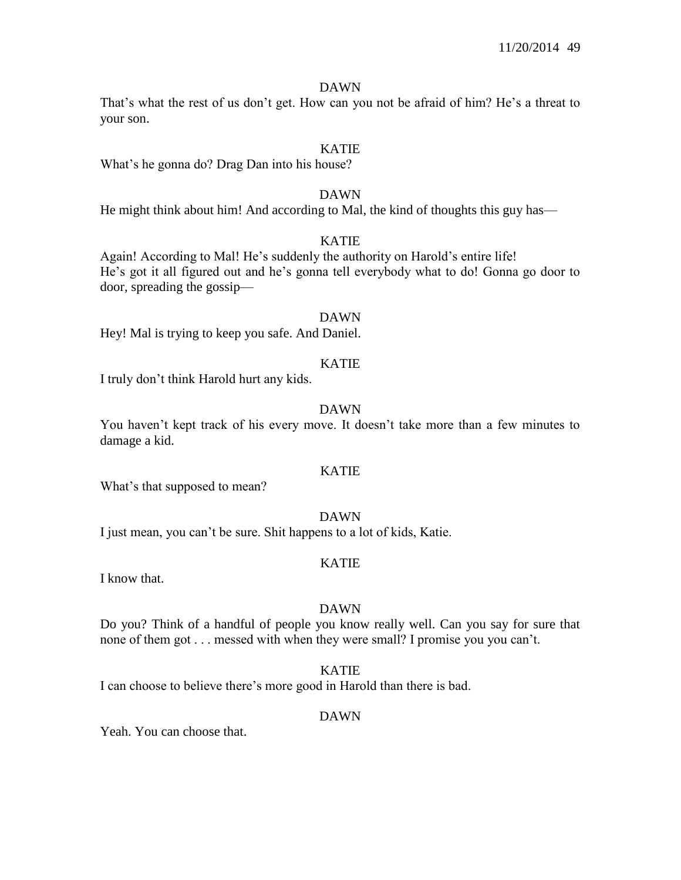#### DAWN

That's what the rest of us don't get. How can you not be afraid of him? He's a threat to your son.

#### KATIE

What's he gonna do? Drag Dan into his house?

### DAWN

He might think about him! And according to Mal, the kind of thoughts this guy has—

## KATIE

Again! According to Mal! He's suddenly the authority on Harold's entire life! He's got it all figured out and he's gonna tell everybody what to do! Gonna go door to door, spreading the gossip—

#### DAWN

Hey! Mal is trying to keep you safe. And Daniel.

#### KATIE

I truly don't think Harold hurt any kids.

### DAWN

You haven't kept track of his every move. It doesn't take more than a few minutes to damage a kid.

### KATIE

What's that supposed to mean?

#### DAWN

I just mean, you can't be sure. Shit happens to a lot of kids, Katie.

#### KATIE

I know that.

#### DAWN

Do you? Think of a handful of people you know really well. Can you say for sure that none of them got . . . messed with when they were small? I promise you you can't.

#### KATIE

I can choose to believe there's more good in Harold than there is bad.

#### DAWN

Yeah. You can choose that.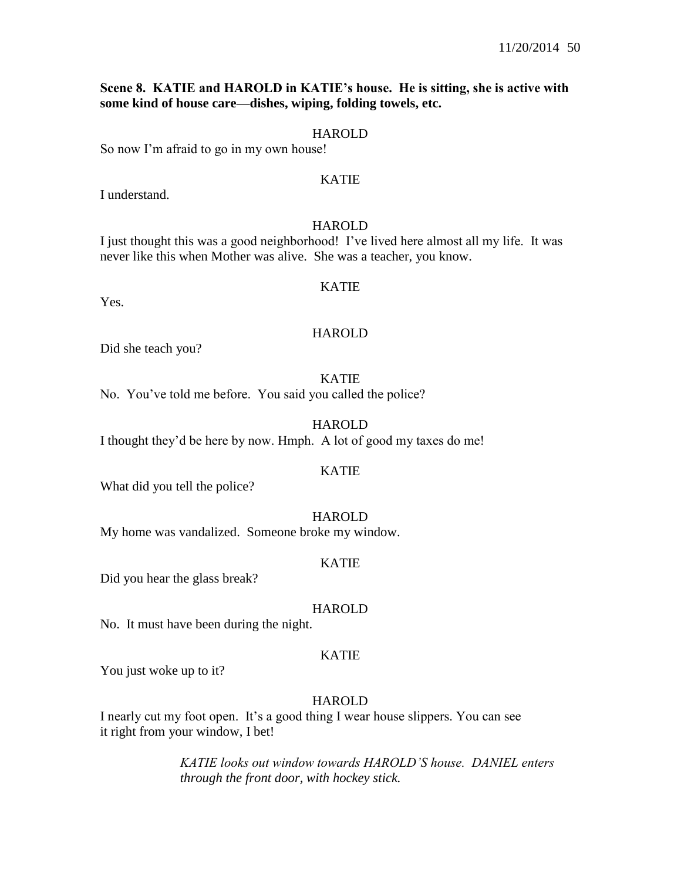### **Scene 8. KATIE and HAROLD in KATIE's house. He is sitting, she is active with some kind of house care—dishes, wiping, folding towels, etc.**

### HAROLD

So now I'm afraid to go in my own house!

### KATIE

I understand.

#### HAROLD

I just thought this was a good neighborhood! I've lived here almost all my life. It was never like this when Mother was alive. She was a teacher, you know.

### KATIE

Yes.

#### HAROLD

Did she teach you?

#### KATIE

No. You've told me before. You said you called the police?

### **HAROLD**

I thought they'd be here by now. Hmph. A lot of good my taxes do me!

### KATIE

What did you tell the police?

#### HAROLD

My home was vandalized. Someone broke my window.

#### KATIE

Did you hear the glass break?

#### HAROLD

No. It must have been during the night.

#### KATIE

You just woke up to it?

#### HAROLD

I nearly cut my foot open. It's a good thing I wear house slippers. You can see it right from your window, I bet!

> *KATIE looks out window towards HAROLD'S house. DANIEL enters through the front door, with hockey stick.*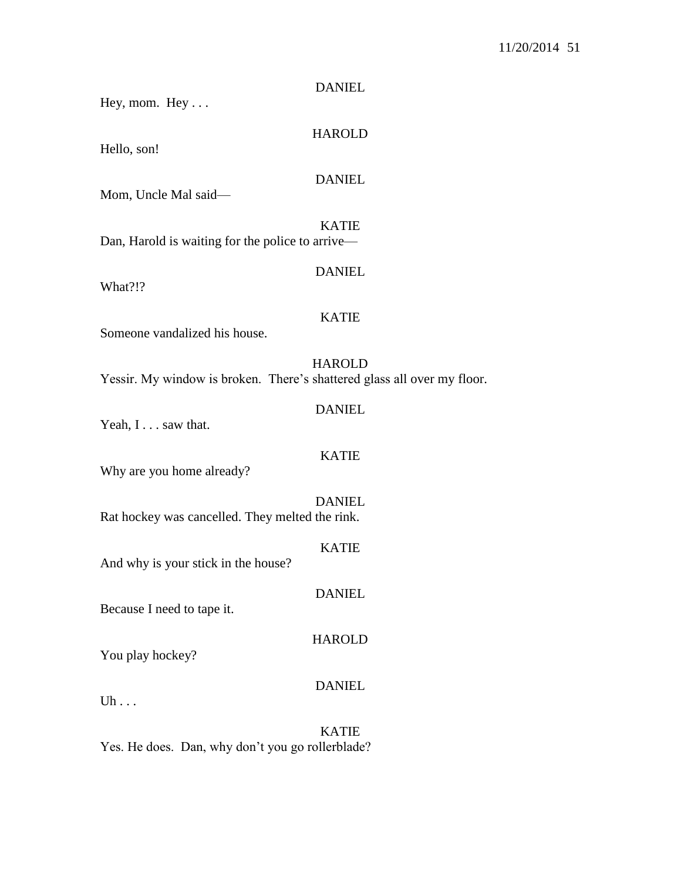| Hey, mom. $Hey \dots$                                                   | <b>DANIEL</b> |
|-------------------------------------------------------------------------|---------------|
| Hello, son!                                                             | <b>HAROLD</b> |
| Mom, Uncle Mal said-                                                    | <b>DANIEL</b> |
| Dan, Harold is waiting for the police to arrive—                        | <b>KATIE</b>  |
| What?!?                                                                 | <b>DANIEL</b> |
| Someone vandalized his house.                                           | <b>KATIE</b>  |
| Yessir. My window is broken. There's shattered glass all over my floor. | <b>HAROLD</b> |
| Yeah, I saw that.                                                       | <b>DANIEL</b> |
| Why are you home already?                                               | <b>KATIE</b>  |
| Rat hockey was cancelled. They melted the rink.                         | <b>DANIEL</b> |
| And why is your stick in the house?                                     | <b>KATIE</b>  |
| Because I need to tape it.                                              | <b>DANIEL</b> |
| You play hockey?                                                        | <b>HAROLD</b> |
| $Uh \dots$                                                              | <b>DANIEL</b> |
|                                                                         | <b>KATIE</b>  |

Yes. He does. Dan, why don't you go rollerblade?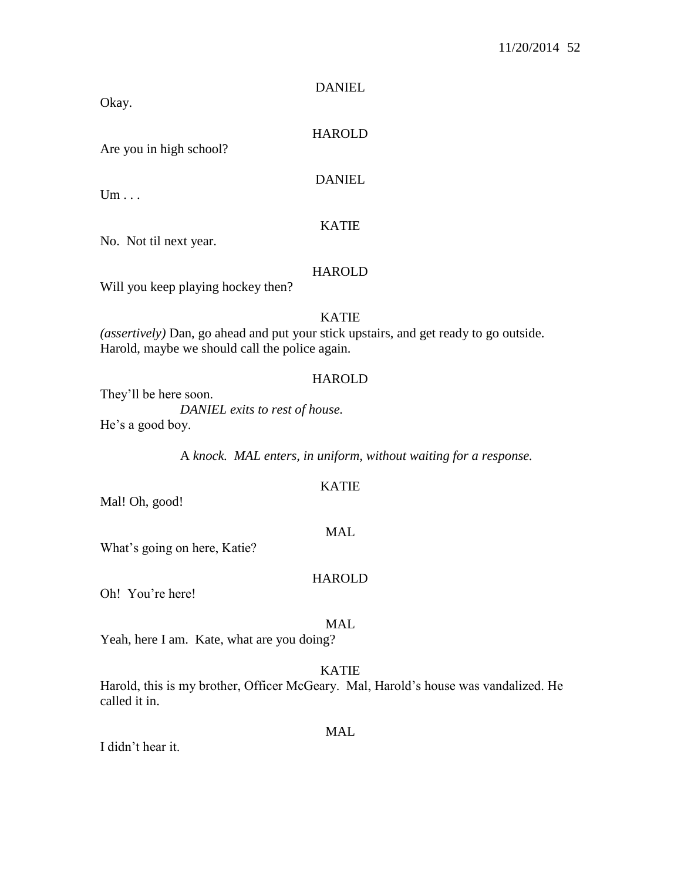HAROLD

DANIEL

Are you in high school?

DANIEL

 $Um \ldots$ 

Okay.

### KATIE

No. Not til next year.

### HAROLD

Will you keep playing hockey then?

### KATIE

*(assertively)* Dan, go ahead and put your stick upstairs, and get ready to go outside. Harold, maybe we should call the police again.

### **HAROLD**

They'll be here soon.

*DANIEL exits to rest of house.* He's a good boy.

A *knock. MAL enters, in uniform, without waiting for a response.*

### Mal! Oh, good!

What's going on here, Katie?

### **HAROLD**

MAL

Oh! You're here!

### MAL

Yeah, here I am. Kate, what are you doing?

## KATIE

Harold, this is my brother, Officer McGeary. Mal, Harold's house was vandalized. He called it in.

#### MAL

I didn't hear it.

### KATIE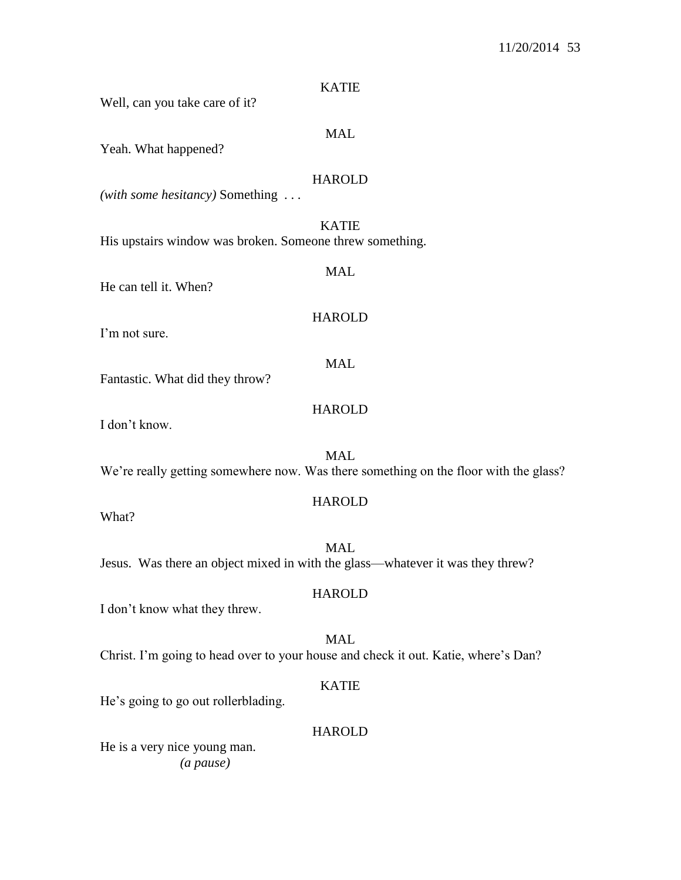| <b>KATIE</b>                                                                                       |
|----------------------------------------------------------------------------------------------------|
| Well, can you take care of it?                                                                     |
| <b>MAL</b><br>Yeah. What happened?                                                                 |
| <b>HAROLD</b><br>(with some hesitancy) Something $\dots$                                           |
| <b>KATIE</b><br>His upstairs window was broken. Someone threw something.                           |
| <b>MAL</b><br>He can tell it. When?                                                                |
| <b>HAROLD</b><br>I'm not sure.                                                                     |
| <b>MAL</b><br>Fantastic. What did they throw?                                                      |
| <b>HAROLD</b><br>I don't know.                                                                     |
| <b>MAL</b><br>We're really getting somewhere now. Was there something on the floor with the glass? |
| <b>HAROLD</b><br>What?                                                                             |
| <b>MAL</b><br>Jesus. Was there an object mixed in with the glass—whatever it was they threw?       |
| <b>HAROLD</b><br>I don't know what they threw.                                                     |
| <b>MAL</b><br>Christ. I'm going to head over to your house and check it out. Katie, where's Dan?   |
| <b>KATIE</b>                                                                                       |

He's going to go out rollerblading.

# HAROLD

He is a very nice young man. *(a pause)*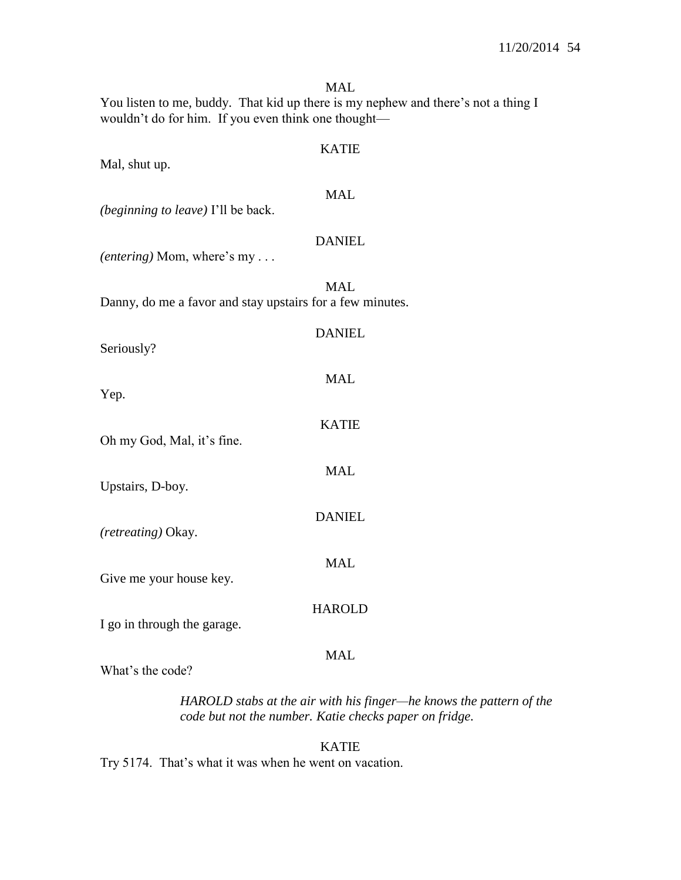MAL You listen to me, buddy. That kid up there is my nephew and there's not a thing I wouldn't do for him. If you even think one thought— KATIE Mal, shut up. MAL *(beginning to leave)* I'll be back. DANIEL *(entering)* Mom, where's my . . . MAL Danny, do me a favor and stay upstairs for a few minutes. DANIEL Seriously? MAL Yep. KATIE Oh my God, Mal, it's fine. MAL Upstairs, D-boy. DANIEL *(retreating)* Okay. MAL Give me your house key. **HAROLD** I go in through the garage. MAL What's the code?

> *HAROLD stabs at the air with his finger—he knows the pattern of the code but not the number. Katie checks paper on fridge.*

KATIE Try 5174. That's what it was when he went on vacation.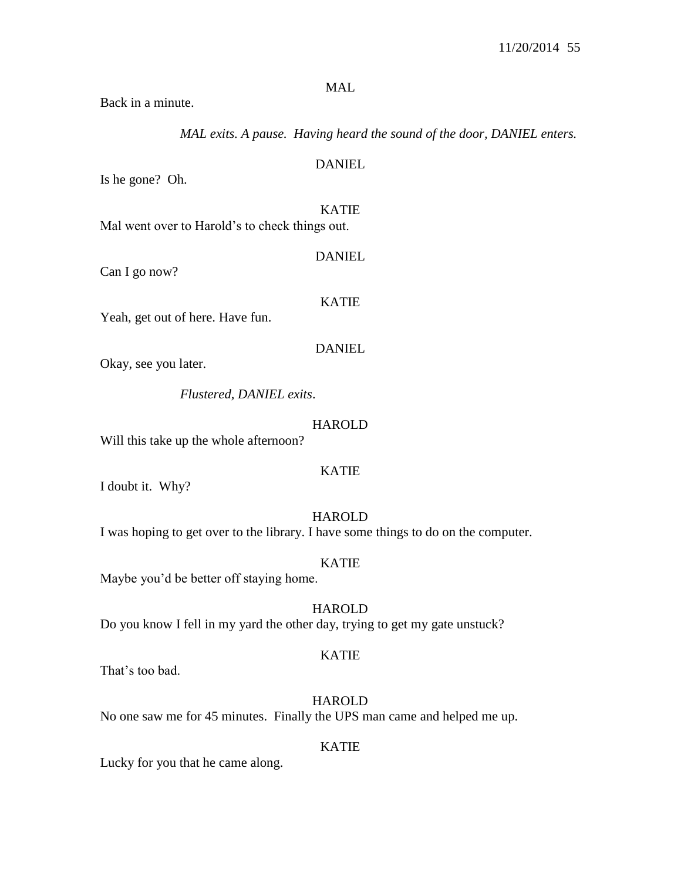### MAL

Back in a minute.

*MAL exits. A pause. Having heard the sound of the door, DANIEL enters.*

Is he gone? Oh.

KATIE

DANIEL

Mal went over to Harold's to check things out.

Can I go now?

KATIE

DANIEL

Yeah, get out of here. Have fun.

DANIEL

Okay, see you later.

*Flustered, DANIEL exits*.

#### **HAROLD**

Will this take up the whole afternoon?

### KATIE

I doubt it. Why?

#### HAROLD

I was hoping to get over to the library. I have some things to do on the computer.

#### KATIE

Maybe you'd be better off staying home.

### **HAROLD**

Do you know I fell in my yard the other day, trying to get my gate unstuck?

### KATIE

That's too bad.

HAROLD No one saw me for 45 minutes. Finally the UPS man came and helped me up.

#### KATIE

Lucky for you that he came along.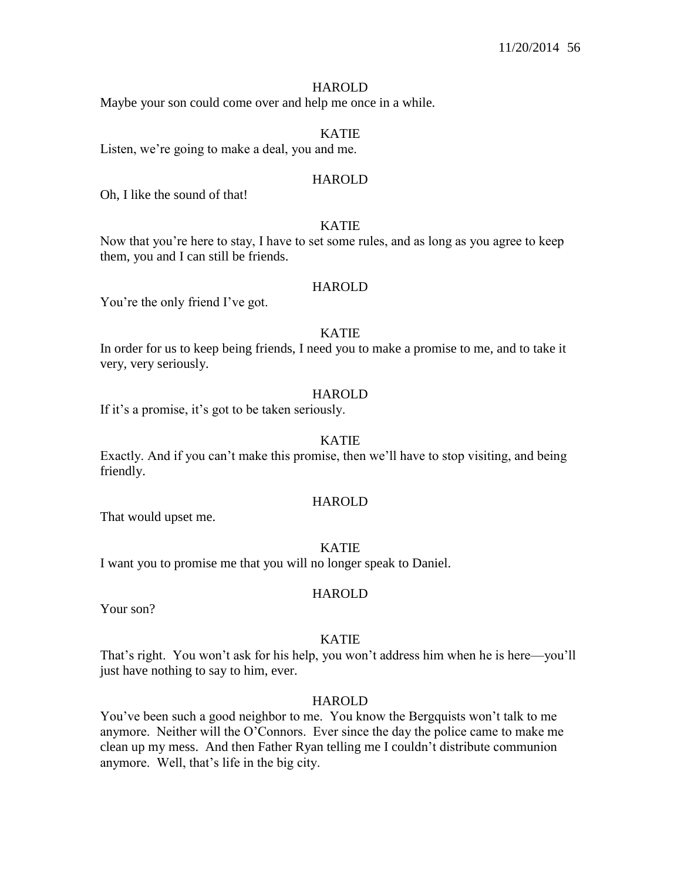### **HAROLD**

Maybe your son could come over and help me once in a while.

### KATIE

Listen, we're going to make a deal, you and me.

#### HAROLD

Oh, I like the sound of that!

### KATIE

Now that you're here to stay, I have to set some rules, and as long as you agree to keep them, you and I can still be friends.

### HAROLD

You're the only friend I've got.

### KATIE

In order for us to keep being friends, I need you to make a promise to me, and to take it very, very seriously.

### **HAROLD**

If it's a promise, it's got to be taken seriously.

#### KATIE

Exactly. And if you can't make this promise, then we'll have to stop visiting, and being friendly.

### HAROLD

That would upset me.

#### KATIE

I want you to promise me that you will no longer speak to Daniel.

### HAROLD

Your son?

#### KATIE

That's right. You won't ask for his help, you won't address him when he is here—you'll just have nothing to say to him, ever.

#### HAROLD

You've been such a good neighbor to me. You know the Bergquists won't talk to me anymore. Neither will the O'Connors. Ever since the day the police came to make me clean up my mess. And then Father Ryan telling me I couldn't distribute communion anymore. Well, that's life in the big city.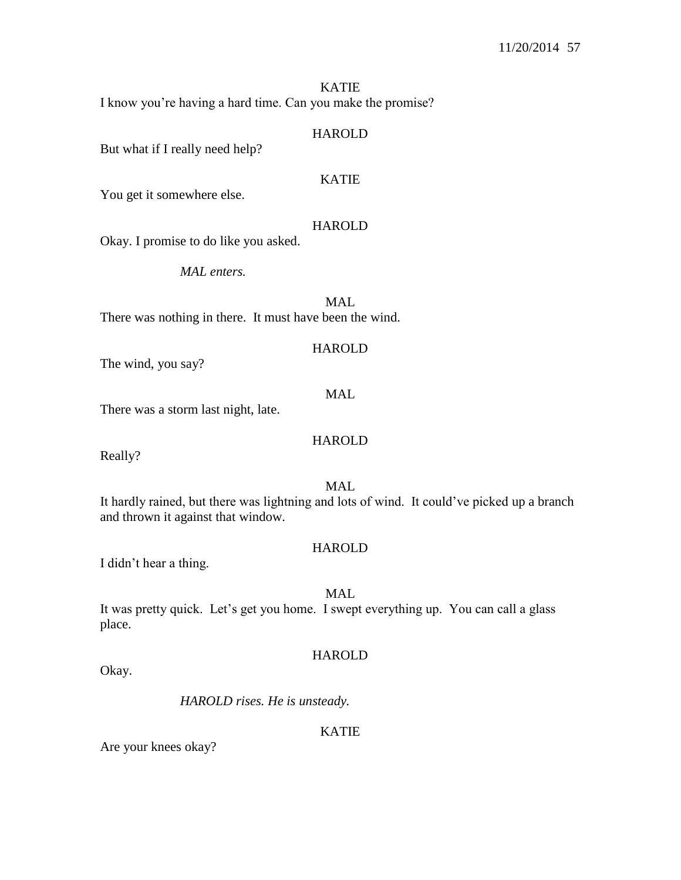KATIE I know you're having a hard time. Can you make the promise?

### HAROLD

But what if I really need help?

## KATIE

You get it somewhere else.

### HAROLD

Okay. I promise to do like you asked.

*MAL enters.* 

MAL There was nothing in there. It must have been the wind.

### HAROLD

The wind, you say?

### MAL

There was a storm last night, late.

## HAROLD

Really?

### MAL

It hardly rained, but there was lightning and lots of wind. It could've picked up a branch and thrown it against that window.

### **HAROLD**

I didn't hear a thing.

## MAL

It was pretty quick. Let's get you home. I swept everything up. You can call a glass place.

### **HAROLD**

Okay.

*HAROLD rises. He is unsteady.*

### KATIE

Are your knees okay?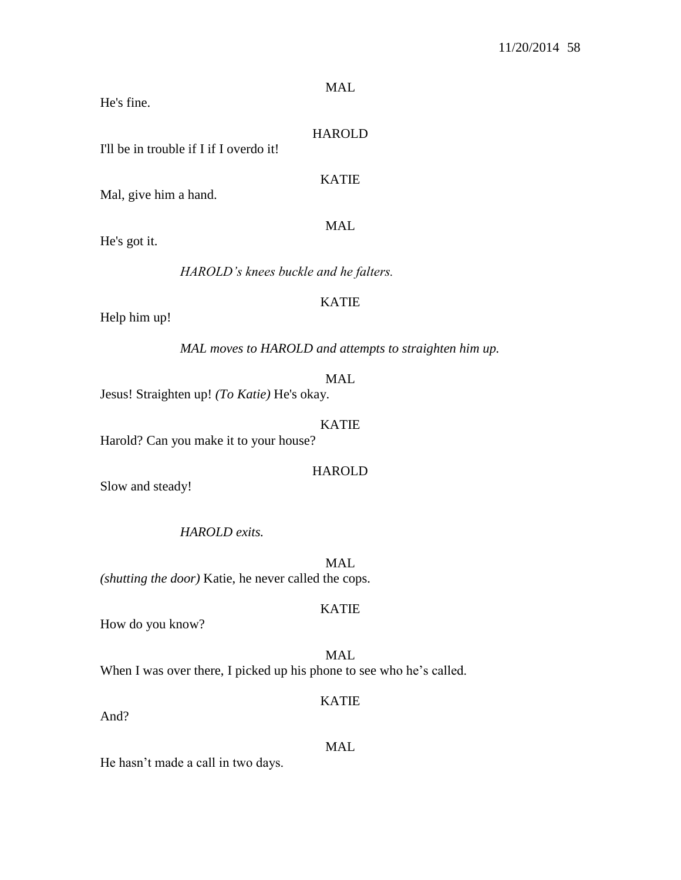MAL

He's fine.

### HAROLD

I'll be in trouble if I if I overdo it!

KATIE

MAL

Mal, give him a hand.

He's got it.

*HAROLD's knees buckle and he falters.* 

## KATIE

Help him up!

*MAL moves to HAROLD and attempts to straighten him up.*

#### MAL

Jesus! Straighten up! *(To Katie)* He's okay.

#### KATIE

Harold? Can you make it to your house?

### HAROLD

Slow and steady!

## *HAROLD exits.*

MAL *(shutting the door)* Katie, he never called the cops.

### KATIE

How do you know?

## MAL When I was over there, I picked up his phone to see who he's called.

And?

# MAL

KATIE

He hasn't made a call in two days.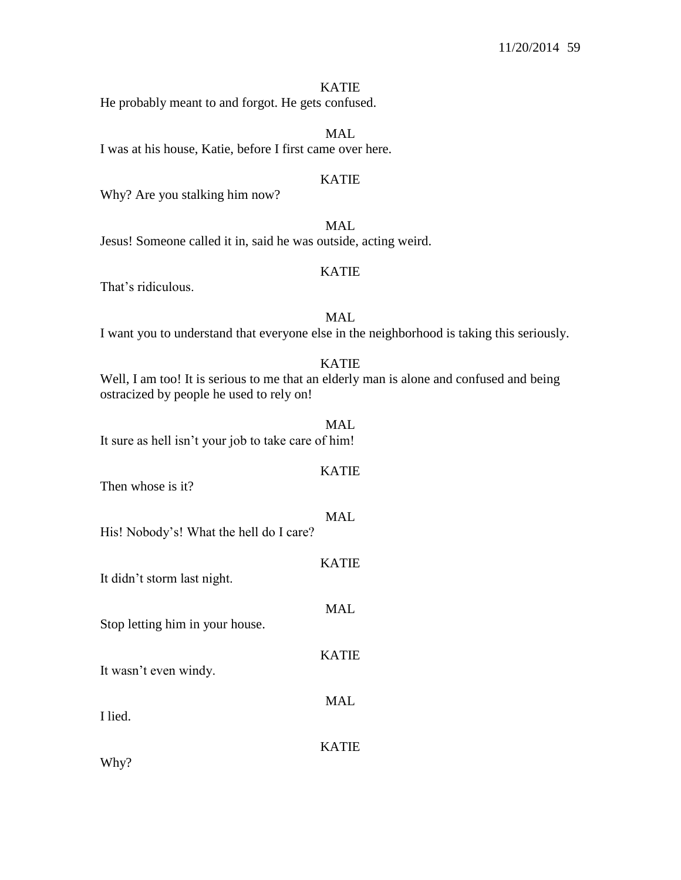#### KATIE

He probably meant to and forgot. He gets confused.

MAL I was at his house, Katie, before I first came over here.

### KATIE

Why? Are you stalking him now?

MAL Jesus! Someone called it in, said he was outside, acting weird.

### KATIE

That's ridiculous.

## MAL

I want you to understand that everyone else in the neighborhood is taking this seriously.

#### KATIE

Well, I am too! It is serious to me that an elderly man is alone and confused and being ostracized by people he used to rely on!

# MAL. It sure as hell isn't your job to take care of him!

# KATIE

MAL

KATIE

MAL

KATIE

MAL

Then whose is it?

- His! Nobody's! What the hell do I care?
- It didn't storm last night.

Stop letting him in your house.

It wasn't even windy.

I lied.

KATIE

Why?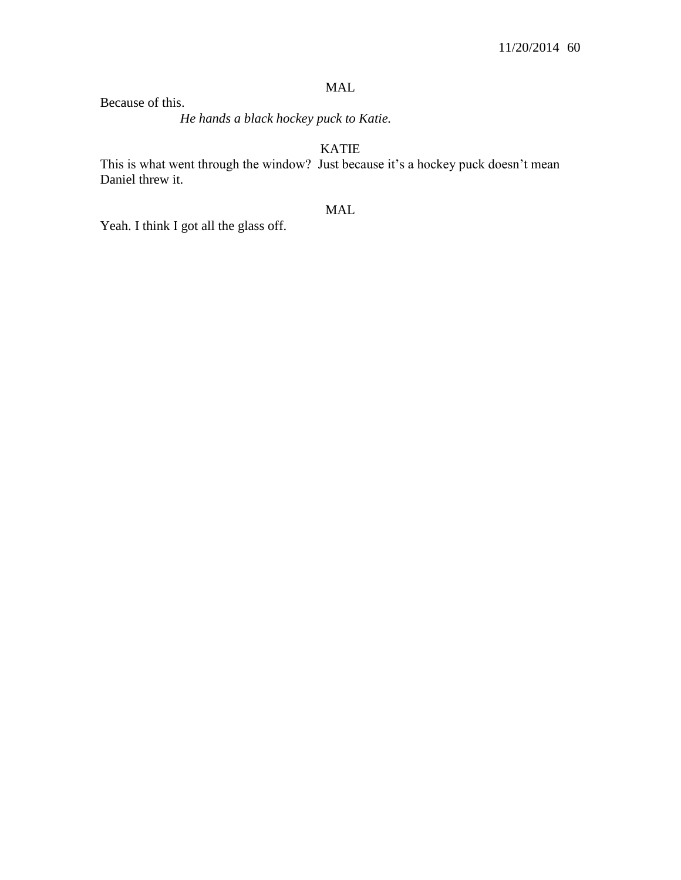## MAL

Because of this.

*He hands a black hockey puck to Katie.*

KATIE

This is what went through the window? Just because it's a hockey puck doesn't mean Daniel threw it.

## MAL

Yeah. I think I got all the glass off.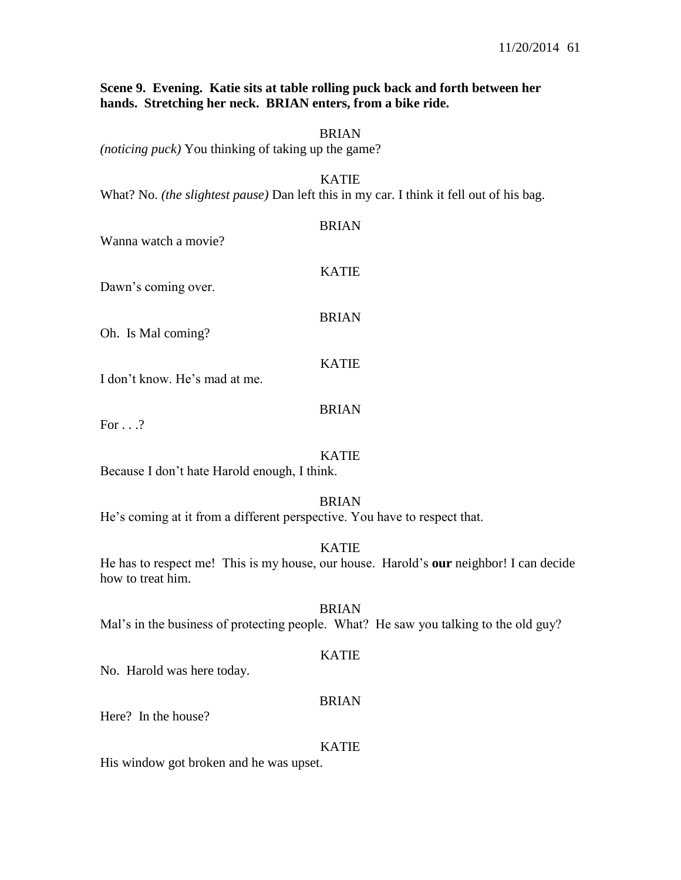### **Scene 9. Evening. Katie sits at table rolling puck back and forth between her hands. Stretching her neck. BRIAN enters, from a bike ride.**

## BRIAN

*(noticing puck)* You thinking of taking up the game?

#### KATIE

What? No. *(the slightest pause)* Dan left this in my car. I think it fell out of his bag.

| Wanna watch a movie?          | <b>BRIAN</b> |
|-------------------------------|--------------|
| Dawn's coming over.           | <b>KATIE</b> |
| Oh. Is Mal coming?            | <b>BRIAN</b> |
| I don't know. He's mad at me. | <b>KATIE</b> |
| For                           | <b>BRIAN</b> |

For . . .?

### KATIE

Because I don't hate Harold enough, I think.

### BRIAN

He's coming at it from a different perspective. You have to respect that.

### KATIE

He has to respect me! This is my house, our house. Harold's **our** neighbor! I can decide how to treat him.

#### BRIAN

Mal's in the business of protecting people. What? He saw you talking to the old guy?

#### KATIE

No. Harold was here today.

#### BRIAN

Here? In the house?

#### KATIE

His window got broken and he was upset.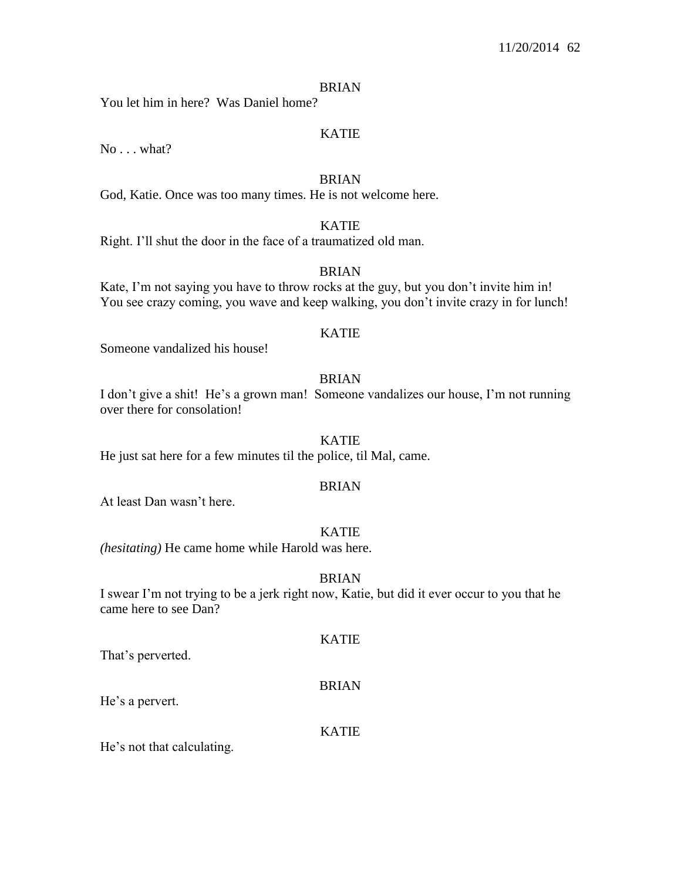#### BRIAN

You let him in here? Was Daniel home?

### KATIE

No . . . what?

#### BRIAN

God, Katie. Once was too many times. He is not welcome here.

## KATIE

Right. I'll shut the door in the face of a traumatized old man.

### BRIAN

Kate, I'm not saying you have to throw rocks at the guy, but you don't invite him in! You see crazy coming, you wave and keep walking, you don't invite crazy in for lunch!

### KATIE

Someone vandalized his house!

### BRIAN

I don't give a shit! He's a grown man! Someone vandalizes our house, I'm not running over there for consolation!

#### KATIE

He just sat here for a few minutes til the police, til Mal, came.

#### BRIAN

At least Dan wasn't here.

### KATIE

*(hesitating)* He came home while Harold was here.

#### **BRIAN**

I swear I'm not trying to be a jerk right now, Katie, but did it ever occur to you that he came here to see Dan?

That's perverted.

### BRIAN

KATIE

He's a pervert.

#### KATIE

He's not that calculating.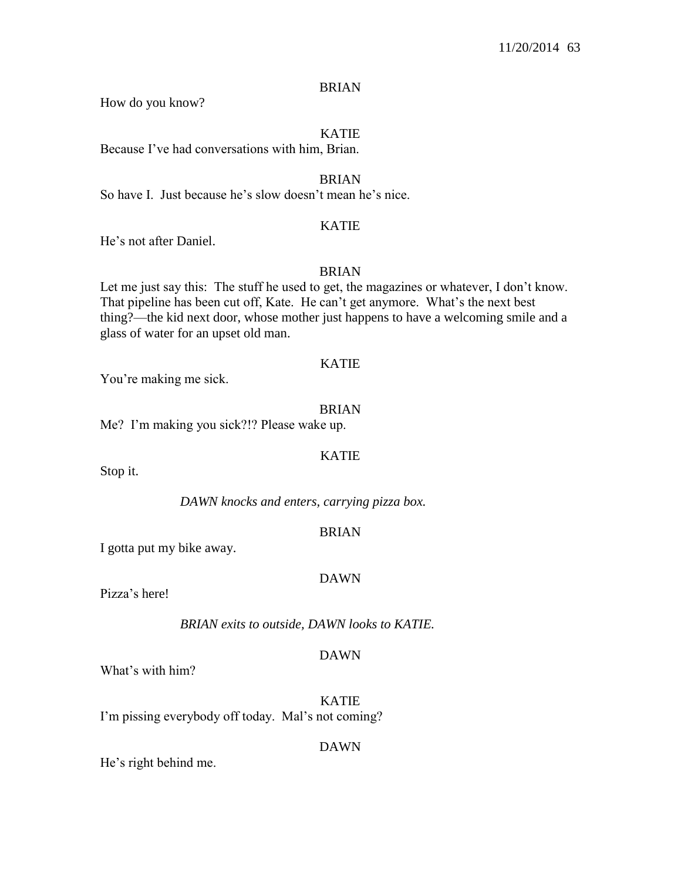### BRIAN

How do you know?

## KATIE

Because I've had conversations with him, Brian.

BRIAN

So have I. Just because he's slow doesn't mean he's nice.

### KATIE

He's not after Daniel.

### BRIAN

Let me just say this: The stuff he used to get, the magazines or whatever, I don't know. That pipeline has been cut off, Kate. He can't get anymore. What's the next best thing?—the kid next door, whose mother just happens to have a welcoming smile and a glass of water for an upset old man.

### KATIE

You're making me sick.

### BRIAN

Me? I'm making you sick?!? Please wake up.

### KATIE

Stop it.

*DAWN knocks and enters, carrying pizza box.*

### BRIAN

I gotta put my bike away.

### DAWN

Pizza's here!

*BRIAN exits to outside, DAWN looks to KATIE.*

### DAWN

What's with him?

KATIE I'm pissing everybody off today. Mal's not coming?

### DAWN

He's right behind me.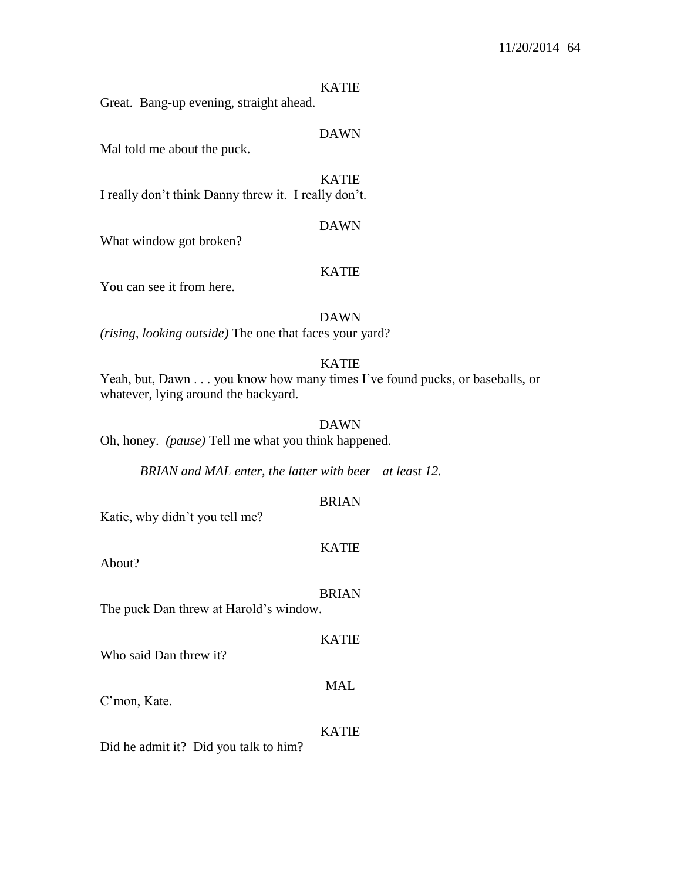#### KATIE

Great. Bang-up evening, straight ahead.

### DAWN

Mal told me about the puck.

KATIE I really don't think Danny threw it. I really don't.

#### DAWN

What window got broken?

#### KATIE

You can see it from here.

#### DAWN

*(rising, looking outside)* The one that faces your yard?

#### KATIE

Yeah, but, Dawn . . . you know how many times I've found pucks, or baseballs, or whatever, lying around the backyard.

### DAWN

Oh, honey. *(pause)* Tell me what you think happened.

*BRIAN and MAL enter, the latter with beer—at least 12.*

### BRIAN

Katie, why didn't you tell me?

#### KATIE

About?

#### BRIAN

KATIE

MAL

The puck Dan threw at Harold's window.

Who said Dan threw it?

C'mon, Kate.

#### KATIE

Did he admit it? Did you talk to him?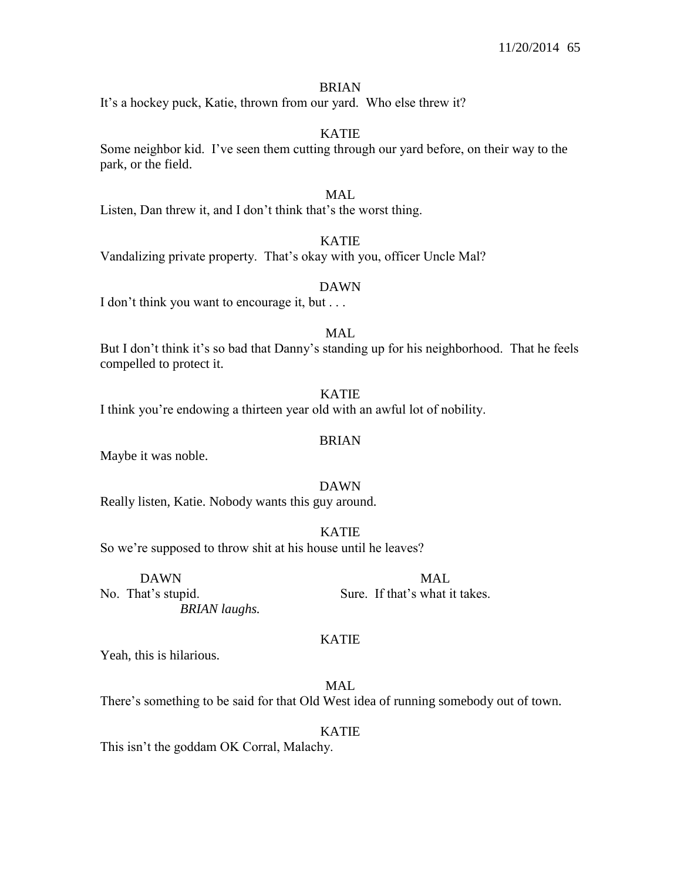#### BRIAN

It's a hockey puck, Katie, thrown from our yard. Who else threw it?

### KATIE

Some neighbor kid. I've seen them cutting through our yard before, on their way to the park, or the field.

### MAL

Listen, Dan threw it, and I don't think that's the worst thing.

### KATIE

Vandalizing private property. That's okay with you, officer Uncle Mal?

#### DAWN

I don't think you want to encourage it, but . . .

## MAL

But I don't think it's so bad that Danny's standing up for his neighborhood. That he feels compelled to protect it.

### KATIE

I think you're endowing a thirteen year old with an awful lot of nobility.

#### BRIAN

Maybe it was noble.

#### DAWN

Really listen, Katie. Nobody wants this guy around.

## KATIE

So we're supposed to throw shit at his house until he leaves?

DAWN MAL No. That's stupid. Sure. If that's what it takes.

## KATIE

Yeah, this is hilarious.

## MAL

There's something to be said for that Old West idea of running somebody out of town.

#### KATIE

This isn't the goddam OK Corral, Malachy.

*BRIAN laughs.*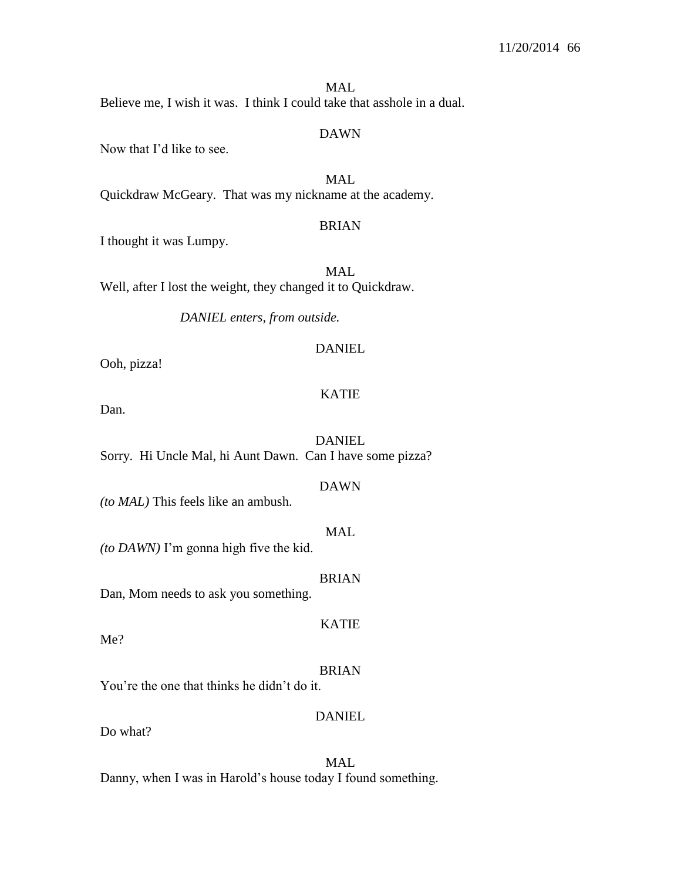### MAL

Believe me, I wish it was. I think I could take that asshole in a dual.

#### DAWN

Now that I'd like to see.

MAL Quickdraw McGeary. That was my nickname at the academy.

### BRIAN

I thought it was Lumpy.

MAL Well, after I lost the weight, they changed it to Quickdraw.

*DANIEL enters, from outside.*

### DANIEL

Ooh, pizza!

## KATIE

Dan.

#### DANIEL

Sorry. Hi Uncle Mal, hi Aunt Dawn. Can I have some pizza?

#### DAWN

*(to MAL)* This feels like an ambush.

#### MAL

*(to DAWN)* I'm gonna high five the kid.

#### BRIAN

KATIE

Dan, Mom needs to ask you something.

Me?

#### BRIAN

You're the one that thinks he didn't do it.

# DANIEL

Do what?

MAL Danny, when I was in Harold's house today I found something.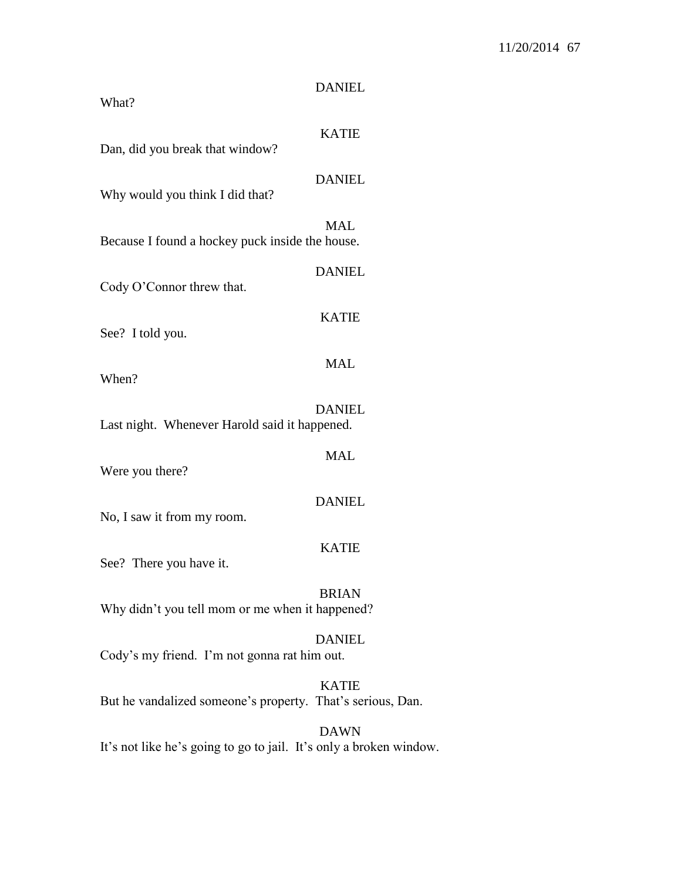| What?                                                      | <b>DANIEL</b> |
|------------------------------------------------------------|---------------|
| Dan, did you break that window?                            | <b>KATIE</b>  |
| Why would you think I did that?                            | <b>DANIEL</b> |
| Because I found a hockey puck inside the house.            | <b>MAL</b>    |
| Cody O'Connor threw that.                                  | <b>DANIEL</b> |
| See? I told you.                                           | <b>KATIE</b>  |
| When?                                                      | <b>MAL</b>    |
| Last night. Whenever Harold said it happened.              | <b>DANIEL</b> |
| Were you there?                                            | <b>MAL</b>    |
| No, I saw it from my room.                                 | <b>DANIEL</b> |
| See? There you have it.                                    | <b>KATIE</b>  |
| Why didn't you tell mom or me when it happened?            | <b>BRIAN</b>  |
| Cody's my friend. I'm not gonna rat him out.               | <b>DANIEL</b> |
| But he vandalized someone's property. That's serious, Dan. | <b>KATIE</b>  |

DAWN It's not like he's going to go to jail. It's only a broken window.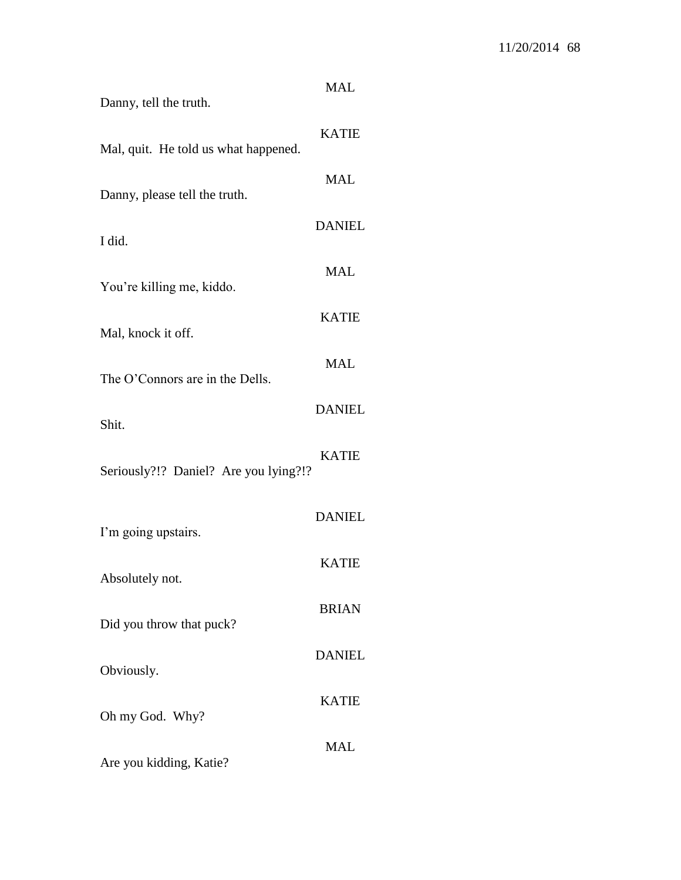| <b>MAL</b>    |
|---------------|
| <b>KATIE</b>  |
| <b>MAL</b>    |
| <b>DANIEL</b> |
| <b>MAL</b>    |
| <b>KATIE</b>  |
| <b>MAL</b>    |
| <b>DANIEL</b> |
| <b>KATIE</b>  |
| <b>DANIEL</b> |
| <b>KATIE</b>  |
| <b>BRIAN</b>  |
| <b>DANIEL</b> |
| <b>KATIE</b>  |
| <b>MAL</b>    |
|               |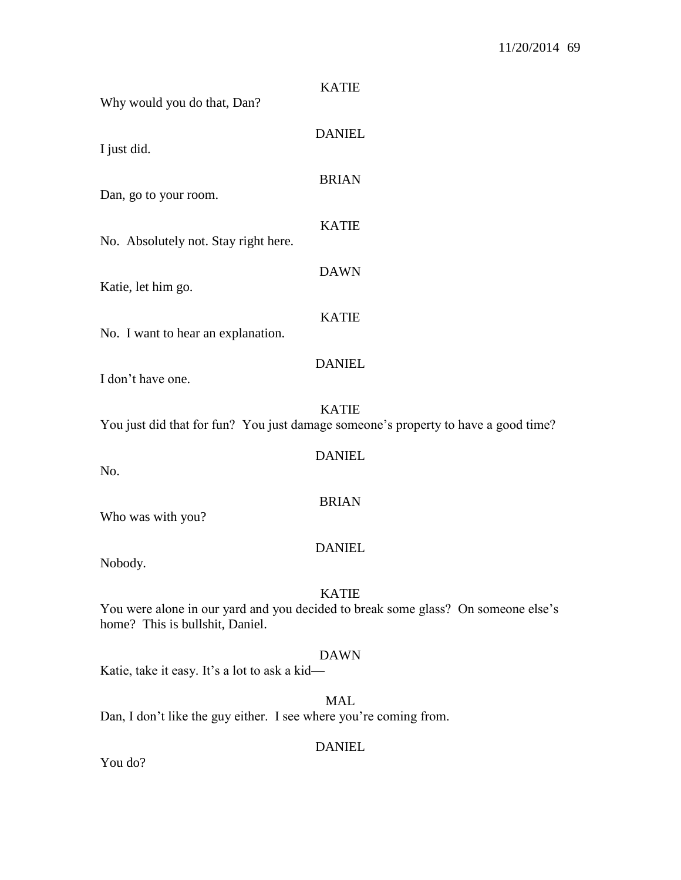| <b>KATIE</b><br>Why would you do that, Dan?                                                                                          |
|--------------------------------------------------------------------------------------------------------------------------------------|
| <b>DANIEL</b><br>I just did.                                                                                                         |
| <b>BRIAN</b><br>Dan, go to your room.                                                                                                |
| <b>KATIE</b><br>No. Absolutely not. Stay right here.                                                                                 |
| <b>DAWN</b><br>Katie, let him go.                                                                                                    |
| <b>KATIE</b><br>No. I want to hear an explanation.                                                                                   |
| <b>DANIEL</b><br>I don't have one.                                                                                                   |
| <b>KATIE</b><br>You just did that for fun? You just damage someone's property to have a good time?                                   |
| <b>DANIEL</b><br>No.                                                                                                                 |
| <b>BRIAN</b><br>Who was with you?                                                                                                    |
| <b>DANIEL</b><br>Nobody.                                                                                                             |
| <b>KATIE</b><br>You were alone in our yard and you decided to break some glass? On someone else's<br>home? This is bullshit, Daniel. |
| <b>DAWN</b><br>Katie, take it easy. It's a lot to ask a kid-                                                                         |
| <b>MAL</b><br>Dan, I don't like the guy either. I see where you're coming from.                                                      |

DANIEL

You do?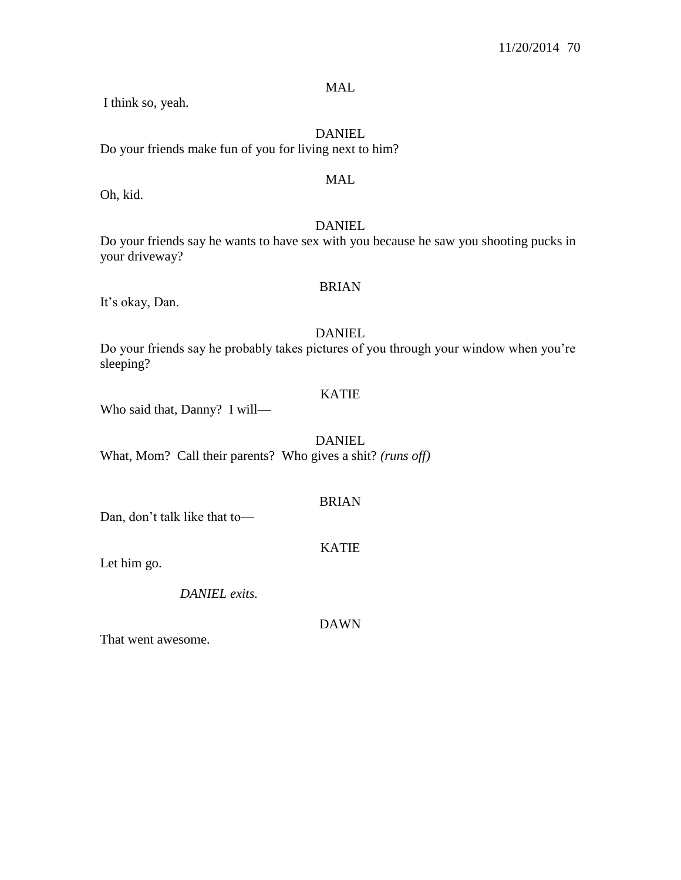MAL

I think so, yeah.

DANIEL Do your friends make fun of you for living next to him?

## MAL

Oh, kid.

## DANIEL

Do your friends say he wants to have sex with you because he saw you shooting pucks in your driveway?

### BRIAN

It's okay, Dan.

### DANIEL

Do your friends say he probably takes pictures of you through your window when you're sleeping?

## KATIE

Who said that, Danny? I will—

DANIEL What, Mom? Call their parents? Who gives a shit? *(runs off)*

## BRIAN

Dan, don't talk like that to—

KATIE

Let him go.

*DANIEL exits.*

DAWN

That went awesome.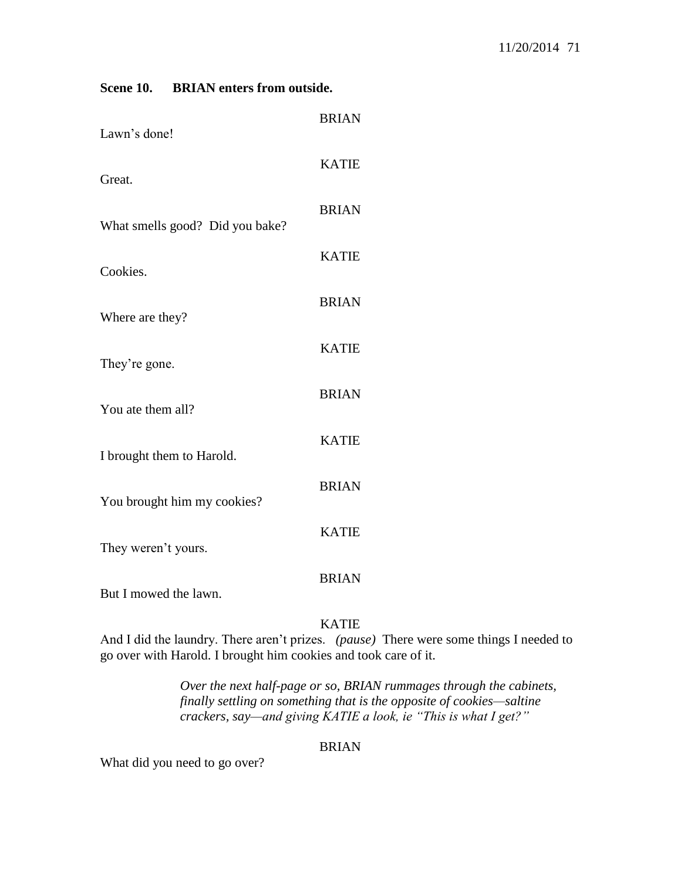| Lawn's done!                    | <b>BRIAN</b> |
|---------------------------------|--------------|
| Great.                          | <b>KATIE</b> |
| What smells good? Did you bake? | <b>BRIAN</b> |
| Cookies.                        | <b>KATIE</b> |
|                                 | <b>BRIAN</b> |
| Where are they?                 | <b>KATIE</b> |
| They're gone.                   | <b>BRIAN</b> |
| You ate them all?               | <b>KATIE</b> |
| I brought them to Harold.       | <b>BRIAN</b> |
| You brought him my cookies?     | <b>KATIE</b> |
| They weren't yours.             | <b>BRIAN</b> |
| But I mowed the lawn.           |              |

**Scene 10. BRIAN enters from outside.**

KATIE

And I did the laundry. There aren't prizes. *(pause)* There were some things I needed to go over with Harold. I brought him cookies and took care of it.

> *Over the next half-page or so, BRIAN rummages through the cabinets, finally settling on something that is the opposite of cookies—saltine crackers, say—and giving KATIE a look, ie "This is what I get?"*

## BRIAN

What did you need to go over?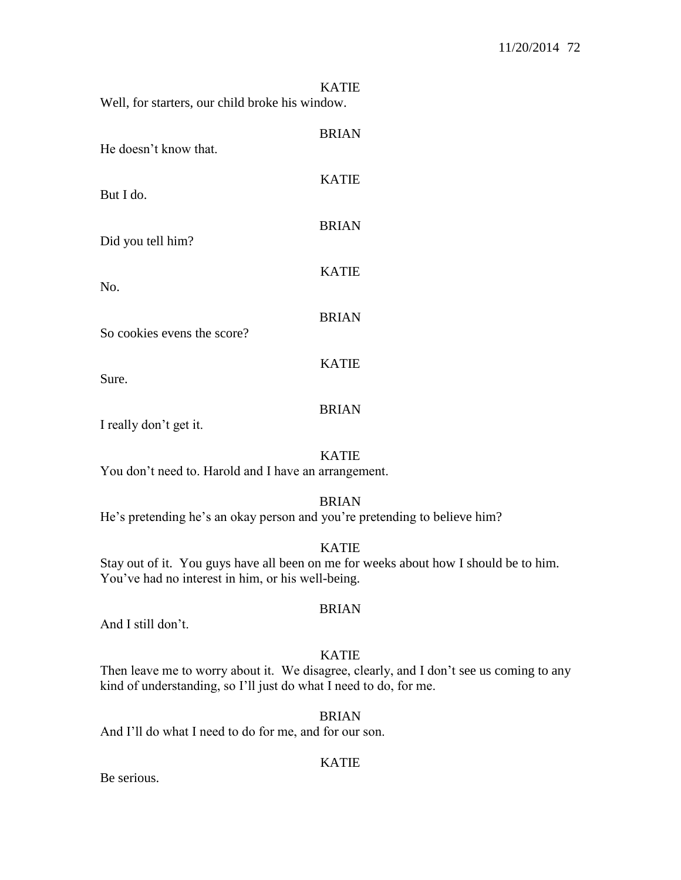|                                                 |  | <b>KATIE</b> |
|-------------------------------------------------|--|--------------|
| Well, for starters, our child broke his window. |  |              |

| He doesn't know that.       | <b>BRIAN</b> |
|-----------------------------|--------------|
| But I do.                   | <b>KATIE</b> |
| Did you tell him?           | <b>BRIAN</b> |
| No.                         | <b>KATIE</b> |
| So cookies evens the score? | <b>BRIAN</b> |
| Sure.                       | <b>KATIE</b> |
|                             | <b>BRIAN</b> |

I really don't get it.

#### KATIE

You don't need to. Harold and I have an arrangement.

### BRIAN

He's pretending he's an okay person and you're pretending to believe him?

### KATIE

Stay out of it. You guys have all been on me for weeks about how I should be to him. You've had no interest in him, or his well-being.

#### BRIAN

And I still don't.

#### KATIE

Then leave me to worry about it. We disagree, clearly, and I don't see us coming to any kind of understanding, so I'll just do what I need to do, for me.

BRIAN

And I'll do what I need to do for me, and for our son.

### KATIE

Be serious.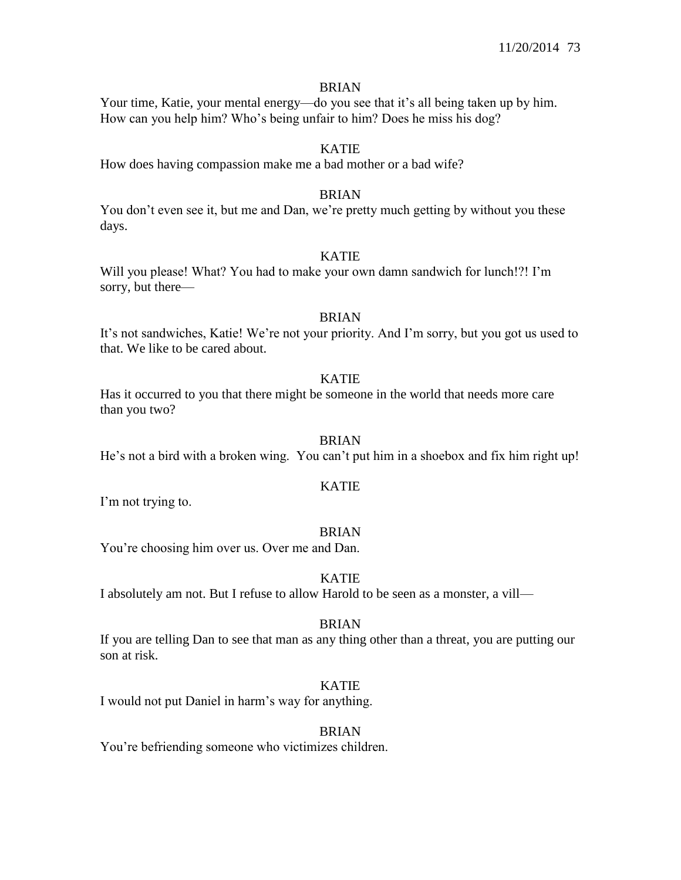#### BRIAN

Your time, Katie, your mental energy—do you see that it's all being taken up by him. How can you help him? Who's being unfair to him? Does he miss his dog?

# KATIE

How does having compassion make me a bad mother or a bad wife?

## BRIAN

You don't even see it, but me and Dan, we're pretty much getting by without you these days.

# KATIE

Will you please! What? You had to make your own damn sandwich for lunch!?! I'm sorry, but there—

# BRIAN

It's not sandwiches, Katie! We're not your priority. And I'm sorry, but you got us used to that. We like to be cared about.

## KATIE

Has it occurred to you that there might be someone in the world that needs more care than you two?

## BRIAN

He's not a bird with a broken wing. You can't put him in a shoebox and fix him right up!

#### KATIE

I'm not trying to.

#### BRIAN

You're choosing him over us. Over me and Dan.

# KATIE

I absolutely am not. But I refuse to allow Harold to be seen as a monster, a vill—

# BRIAN

If you are telling Dan to see that man as any thing other than a threat, you are putting our son at risk.

# KATIE

I would not put Daniel in harm's way for anything.

#### **BRIAN**

You're befriending someone who victimizes children.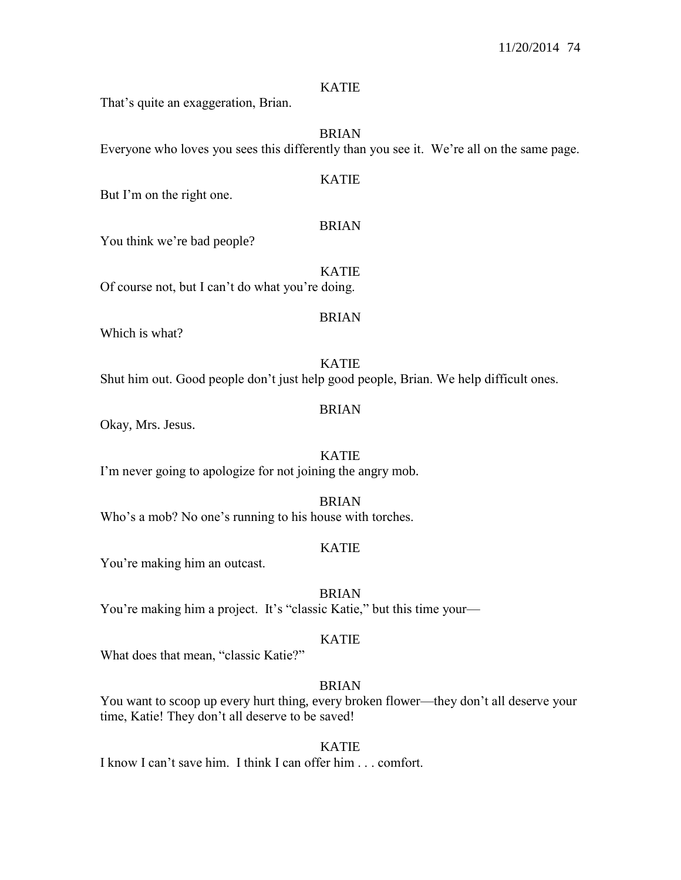#### KATIE

That's quite an exaggeration, Brian.

BRIAN

Everyone who loves you sees this differently than you see it. We're all on the same page.

KATIE

But I'm on the right one.

#### BRIAN

You think we're bad people?

KATIE Of course not, but I can't do what you're doing.

#### BRIAN

Which is what?

KATIE Shut him out. Good people don't just help good people, Brian. We help difficult ones.

# BRIAN

Okay, Mrs. Jesus.

KATIE I'm never going to apologize for not joining the angry mob.

BRIAN

Who's a mob? No one's running to his house with torches.

# KATIE

You're making him an outcast.

BRIAN

You're making him a project. It's "classic Katie," but this time your—

#### KATIE

What does that mean, "classic Katie?"

# BRIAN

You want to scoop up every hurt thing, every broken flower—they don't all deserve your time, Katie! They don't all deserve to be saved!

KATIE I know I can't save him. I think I can offer him . . . comfort.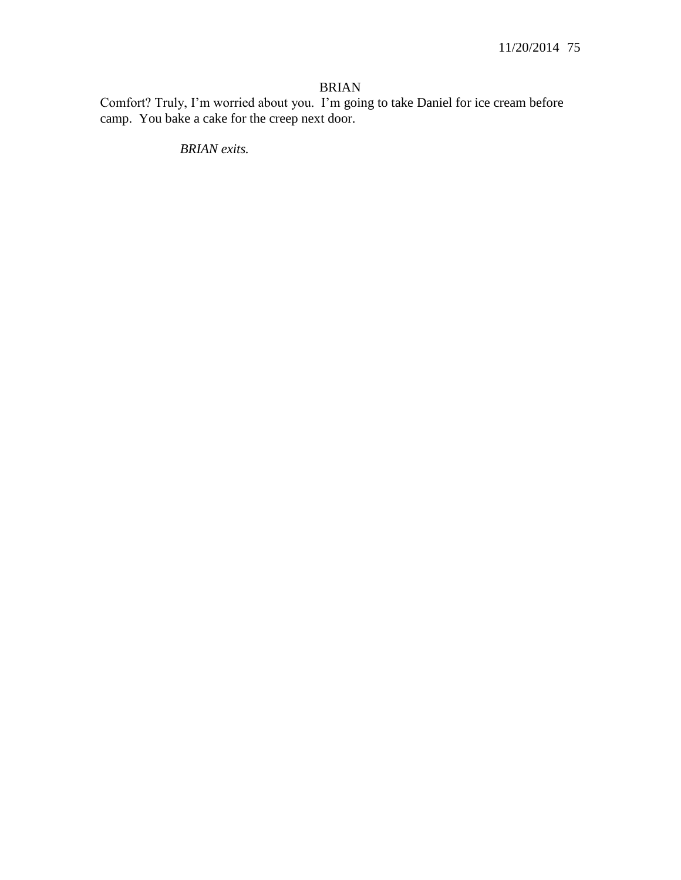# BRIAN

Comfort? Truly, I'm worried about you. I'm going to take Daniel for ice cream before camp. You bake a cake for the creep next door.

*BRIAN exits.*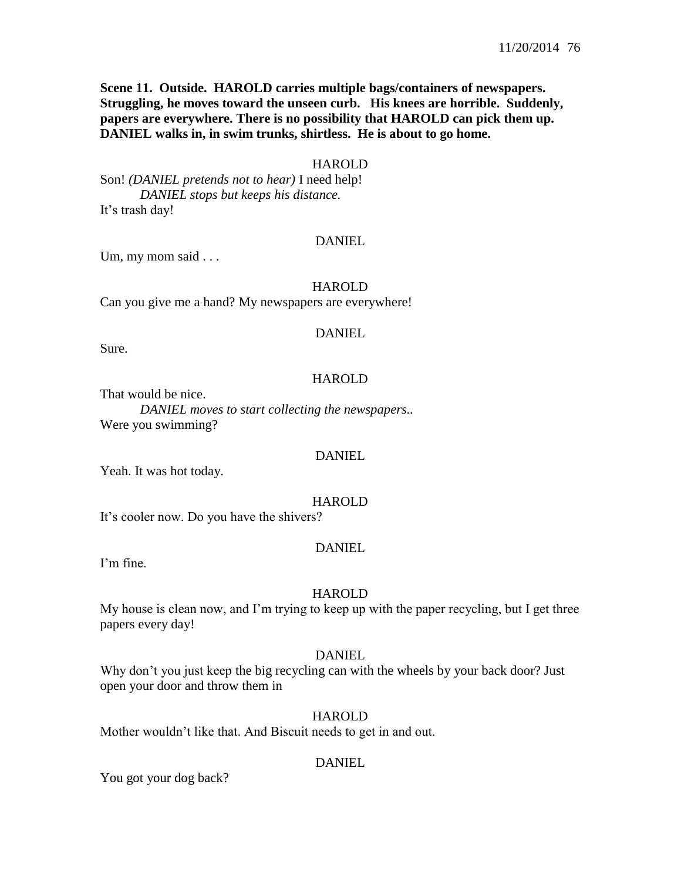**Scene 11. Outside. HAROLD carries multiple bags/containers of newspapers. Struggling, he moves toward the unseen curb. His knees are horrible. Suddenly, papers are everywhere. There is no possibility that HAROLD can pick them up. DANIEL walks in, in swim trunks, shirtless. He is about to go home.**

## **HAROLD**

Son! *(DANIEL pretends not to hear)* I need help! *DANIEL stops but keeps his distance.* It's trash day!

## DANIEL

Um, my mom said . . .

#### HAROLD

Can you give me a hand? My newspapers are everywhere!

#### DANIEL

Sure.

#### HAROLD

That would be nice.

*DANIEL moves to start collecting the newspapers..*  Were you swimming?

#### DANIEL

Yeah. It was hot today.

#### HAROLD

It's cooler now. Do you have the shivers?

#### DANIEL

I'm fine.

#### HAROLD

My house is clean now, and I'm trying to keep up with the paper recycling, but I get three papers every day!

#### **DANIEL**

Why don't you just keep the big recycling can with the wheels by your back door? Just open your door and throw them in

#### **HAROLD**

Mother wouldn't like that. And Biscuit needs to get in and out.

#### DANIEL

You got your dog back?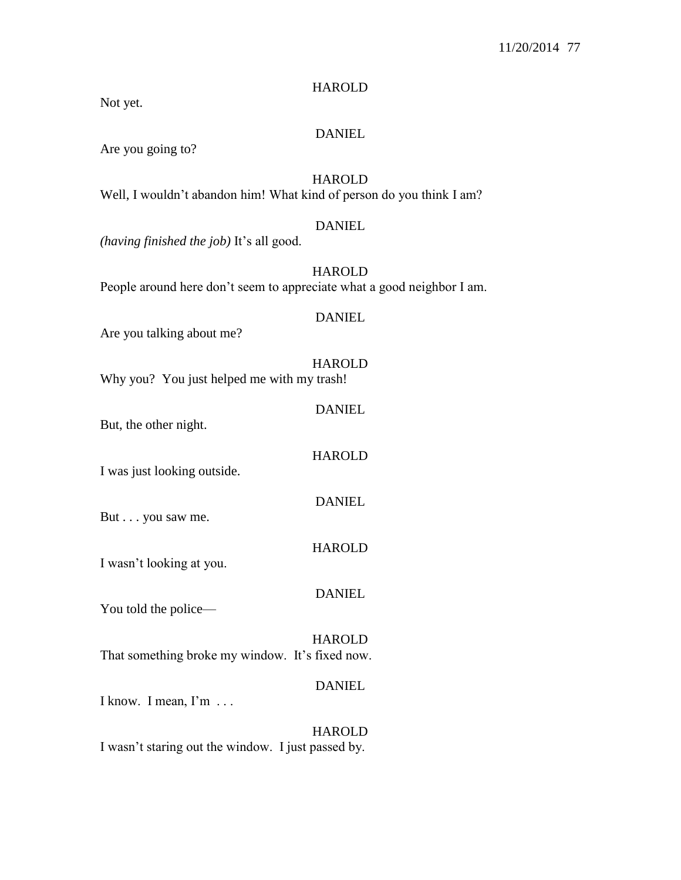# HAROLD

Not yet.

## DANIEL

Are you going to?

# HAROLD

Well, I wouldn't abandon him! What kind of person do you think I am?

#### DANIEL

*(having finished the job)* It's all good.

**HAROLD** People around here don't seem to appreciate what a good neighbor I am.

#### DANIEL

Are you talking about me?

#### HAROLD

Why you? You just helped me with my trash!

# DANIEL

But, the other night.

I was just looking outside.

DANIEL

HAROLD

But . . . you saw me.

HAROLD

I wasn't looking at you.

You told the police—

#### HAROLD

DANIEL

That something broke my window. It's fixed now.

# DANIEL

I know. I mean, I'm . . .

# HAROLD

I wasn't staring out the window. I just passed by.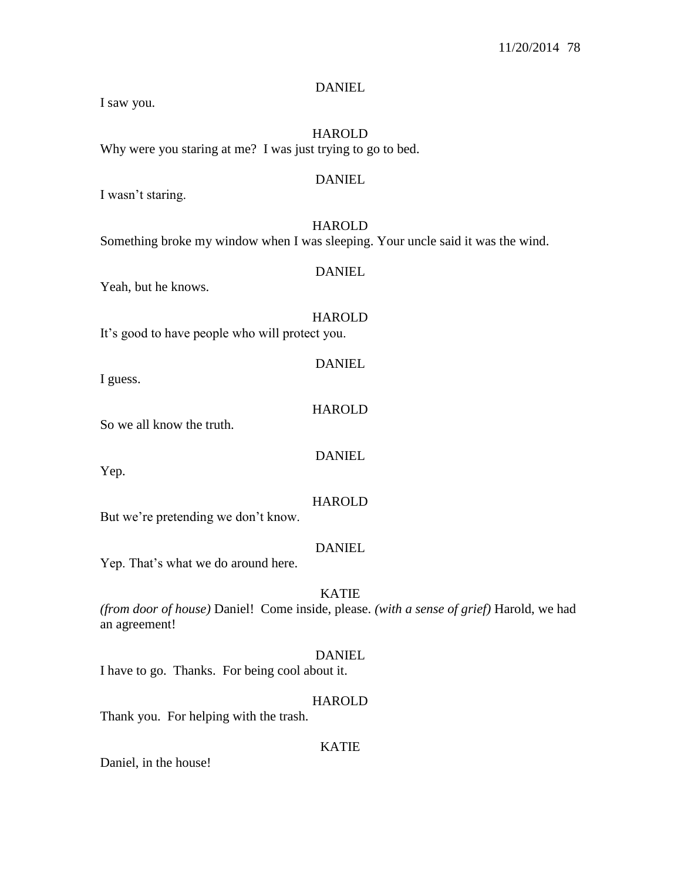HAROLD Why were you staring at me? I was just trying to go to bed. DANIEL I wasn't staring. **HAROLD** Something broke my window when I was sleeping. Your uncle said it was the wind. DANIEL Yeah, but he knows. **HAROLD** It's good to have people who will protect you. DANIEL I guess. HAROLD So we all know the truth.

**DANIEL** 

Yep.

I saw you.

HAROLD But we're pretending we don't know.

Yep. That's what we do around here.

# KATIE

**DANIEL** 

DANIEL

*(from door of house)* Daniel! Come inside, please. *(with a sense of grief)* Harold, we had an agreement!

# DANIEL

I have to go. Thanks. For being cool about it.

# HAROLD

Thank you. For helping with the trash.

# KATIE

Daniel, in the house!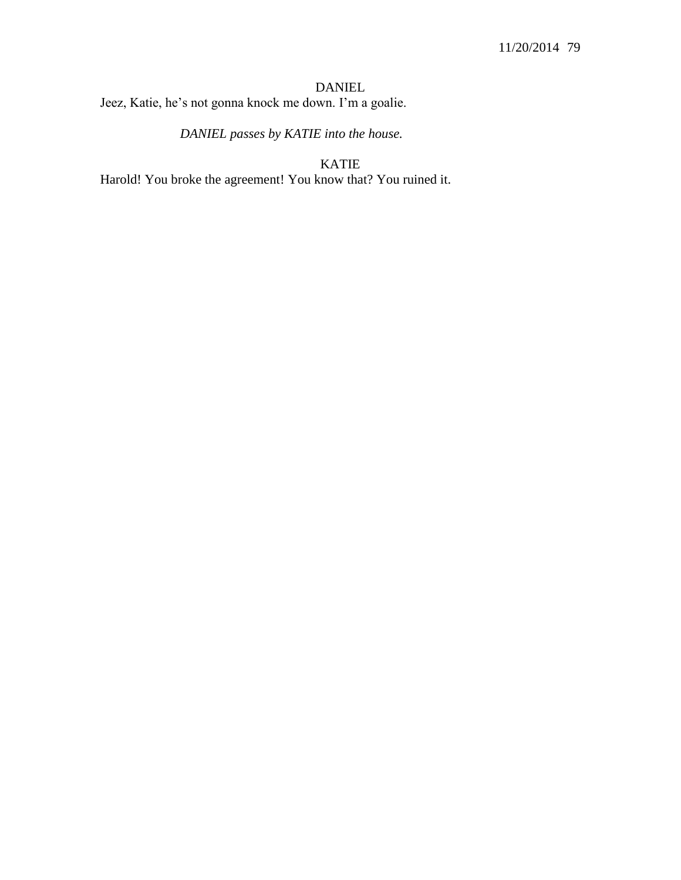DANIEL Jeez, Katie, he's not gonna knock me down. I'm a goalie.

*DANIEL passes by KATIE into the house.*

KATIE

Harold! You broke the agreement! You know that? You ruined it.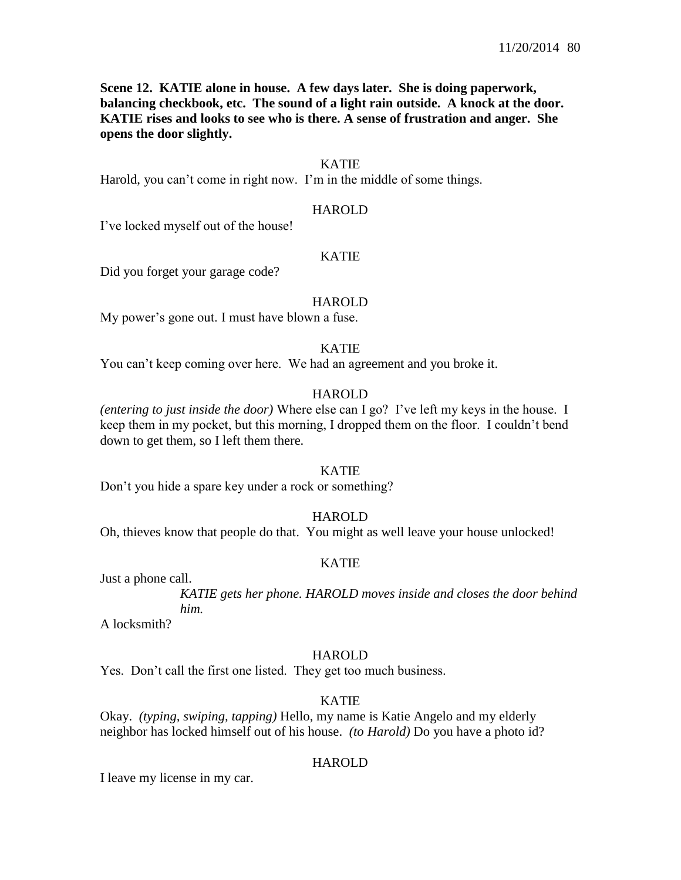**Scene 12. KATIE alone in house. A few days later. She is doing paperwork, balancing checkbook, etc. The sound of a light rain outside. A knock at the door. KATIE rises and looks to see who is there. A sense of frustration and anger. She opens the door slightly.**

## KATIE

Harold, you can't come in right now. I'm in the middle of some things.

#### HAROLD

I've locked myself out of the house!

# KATIE

Did you forget your garage code?

#### HAROLD

My power's gone out. I must have blown a fuse.

#### KATIE

You can't keep coming over here. We had an agreement and you broke it.

#### **HAROLD**

*(entering to just inside the door)* Where else can I go? I've left my keys in the house. I keep them in my pocket, but this morning, I dropped them on the floor. I couldn't bend down to get them, so I left them there.

#### KATIE

Don't you hide a spare key under a rock or something?

#### HAROLD

Oh, thieves know that people do that. You might as well leave your house unlocked!

#### KATIE

Just a phone call.

A locksmith?

#### **HAROLD**

Yes. Don't call the first one listed. They get too much business.

#### KATIE

Okay. *(typing, swiping, tapping)* Hello, my name is Katie Angelo and my elderly neighbor has locked himself out of his house. *(to Harold)* Do you have a photo id?

#### HAROLD

I leave my license in my car.

*KATIE gets her phone. HAROLD moves inside and closes the door behind him.*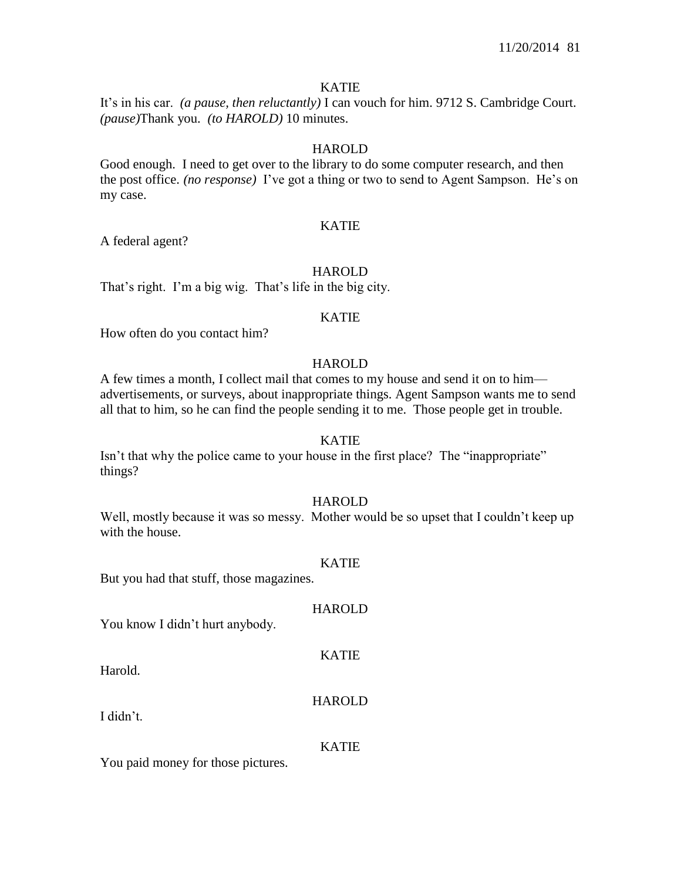It's in his car. *(a pause, then reluctantly)* I can vouch for him. 9712 S. Cambridge Court. *(pause)*Thank you. *(to HAROLD)* 10 minutes.

# HAROLD

Good enough. I need to get over to the library to do some computer research, and then the post office. *(no response)* I've got a thing or two to send to Agent Sampson. He's on my case.

# KATIE

A federal agent?

# **HAROLD**

That's right. I'm a big wig. That's life in the big city.

# KATIE

How often do you contact him?

# **HAROLD**

A few times a month, I collect mail that comes to my house and send it on to him advertisements, or surveys, about inappropriate things. Agent Sampson wants me to send all that to him, so he can find the people sending it to me. Those people get in trouble.

#### KATIE

Isn't that why the police came to your house in the first place? The "inappropriate" things?

# HAROLD

Well, mostly because it was so messy. Mother would be so upset that I couldn't keep up with the house.

#### KATIE

But you had that stuff, those magazines.

#### HAROLD

You know I didn't hurt anybody.

Harold.

# HAROLD

KATIE

I didn't.

#### KATIE

You paid money for those pictures.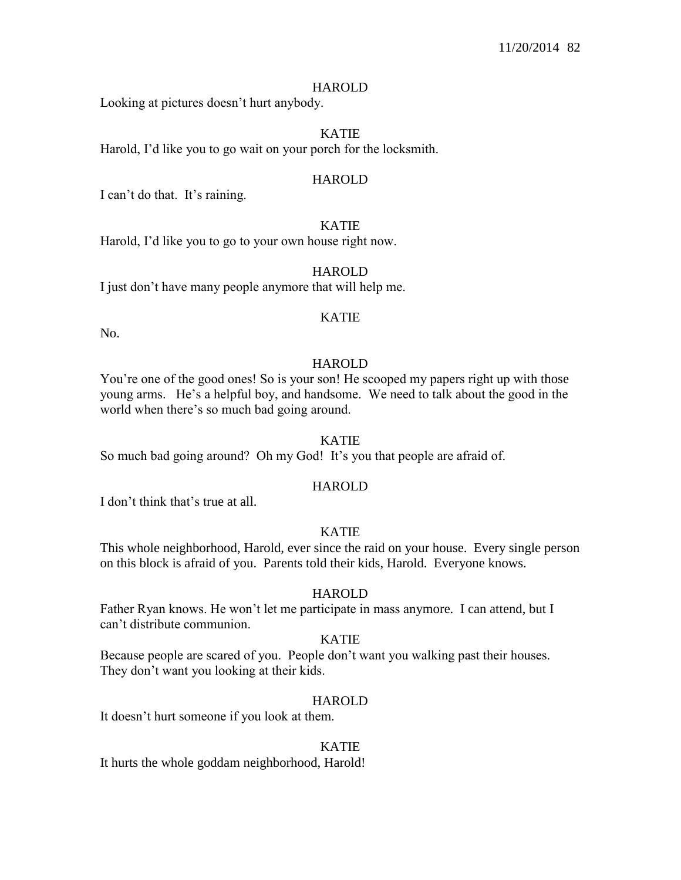Looking at pictures doesn't hurt anybody.

#### KATIE

Harold, I'd like you to go wait on your porch for the locksmith.

#### HAROLD

I can't do that. It's raining.

# KATIE

Harold, I'd like you to go to your own house right now.

# HAROLD

I just don't have many people anymore that will help me.

#### KATIE

No.

## **HAROLD**

You're one of the good ones! So is your son! He scooped my papers right up with those young arms. He's a helpful boy, and handsome. We need to talk about the good in the world when there's so much bad going around.

#### KATIE

So much bad going around? Oh my God! It's you that people are afraid of.

#### HAROLD

I don't think that's true at all.

## KATIE

This whole neighborhood, Harold, ever since the raid on your house. Every single person on this block is afraid of you. Parents told their kids, Harold. Everyone knows.

#### HAROLD

Father Ryan knows. He won't let me participate in mass anymore. I can attend, but I can't distribute communion.

#### KATIE

Because people are scared of you. People don't want you walking past their houses. They don't want you looking at their kids.

#### HAROLD

It doesn't hurt someone if you look at them.

#### KATIE

It hurts the whole goddam neighborhood, Harold!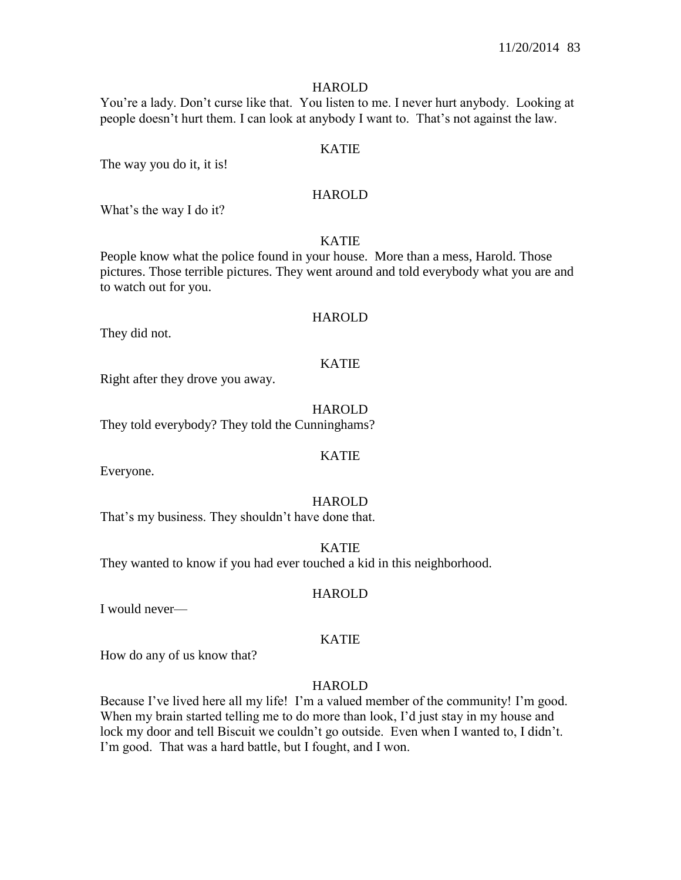You're a lady. Don't curse like that. You listen to me. I never hurt anybody. Looking at people doesn't hurt them. I can look at anybody I want to. That's not against the law.

## KATIE

The way you do it, it is!

## HAROLD

What's the way I do it?

# KATIE

People know what the police found in your house. More than a mess, Harold. Those pictures. Those terrible pictures. They went around and told everybody what you are and to watch out for you.

#### HAROLD

They did not.

#### KATIE

Right after they drove you away.

**HAROLD** They told everybody? They told the Cunninghams?

Everyone.

# **HAROLD**

KATIE

That's my business. They shouldn't have done that.

KATIE

They wanted to know if you had ever touched a kid in this neighborhood.

I would never—

# KATIE

HAROLD

How do any of us know that?

# **HAROLD**

Because I've lived here all my life! I'm a valued member of the community! I'm good. When my brain started telling me to do more than look, I'd just stay in my house and lock my door and tell Biscuit we couldn't go outside. Even when I wanted to, I didn't. I'm good. That was a hard battle, but I fought, and I won.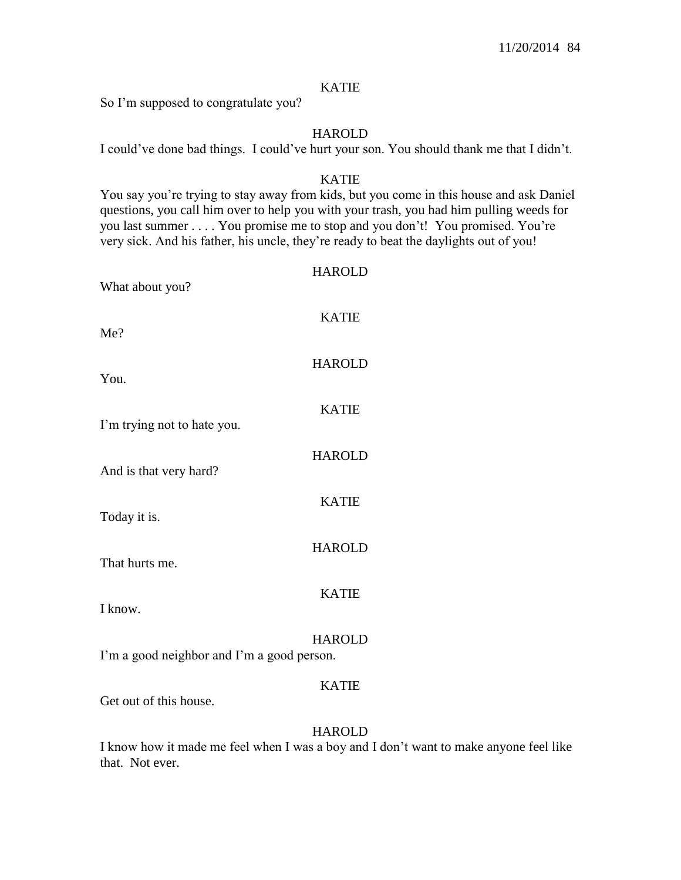So I'm supposed to congratulate you?

# HAROLD

I could've done bad things. I could've hurt your son. You should thank me that I didn't.

# KATIE

You say you're trying to stay away from kids, but you come in this house and ask Daniel questions, you call him over to help you with your trash, you had him pulling weeds for you last summer . . . . You promise me to stop and you don't! You promised. You're very sick. And his father, his uncle, they're ready to beat the daylights out of you!

# **HAROLD**

KATIE

HAROLD

KATIE

**HAROLD** 

KATIE

HAROLD

What about you?

Me?

You.

I'm trying not to hate you.

And is that very hard?

Today it is.

That hurts me.

I know.

**HAROLD** 

KATIE

I'm a good neighbor and I'm a good person.

# KATIE

Get out of this house.

# **HAROLD**

I know how it made me feel when I was a boy and I don't want to make anyone feel like that. Not ever.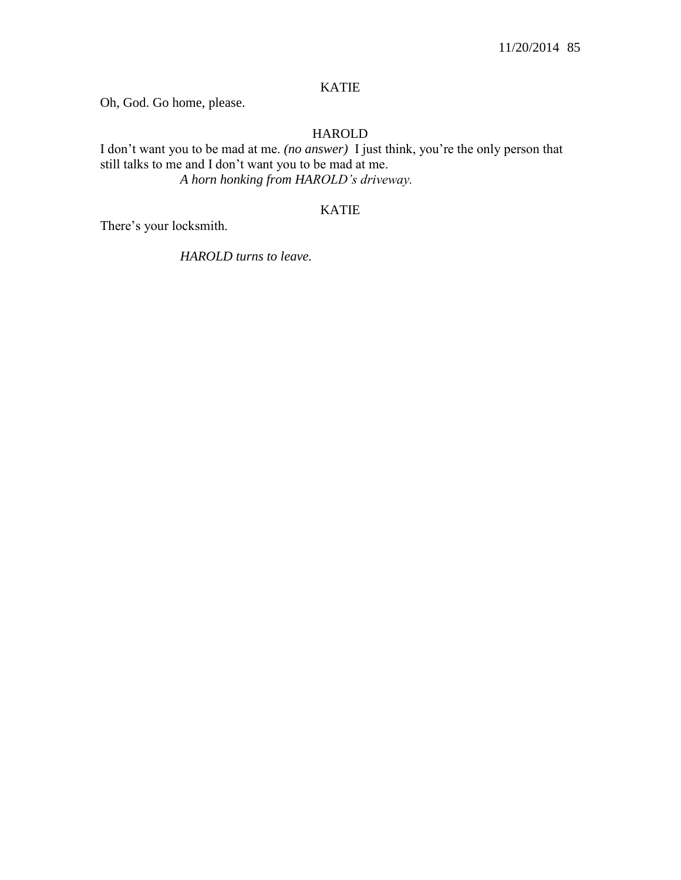Oh, God. Go home, please.

# HAROLD

I don't want you to be mad at me. *(no answer)* I just think, you're the only person that still talks to me and I don't want you to be mad at me. *A horn honking from HAROLD's driveway.*

# KATIE

There's your locksmith.

*HAROLD turns to leave.*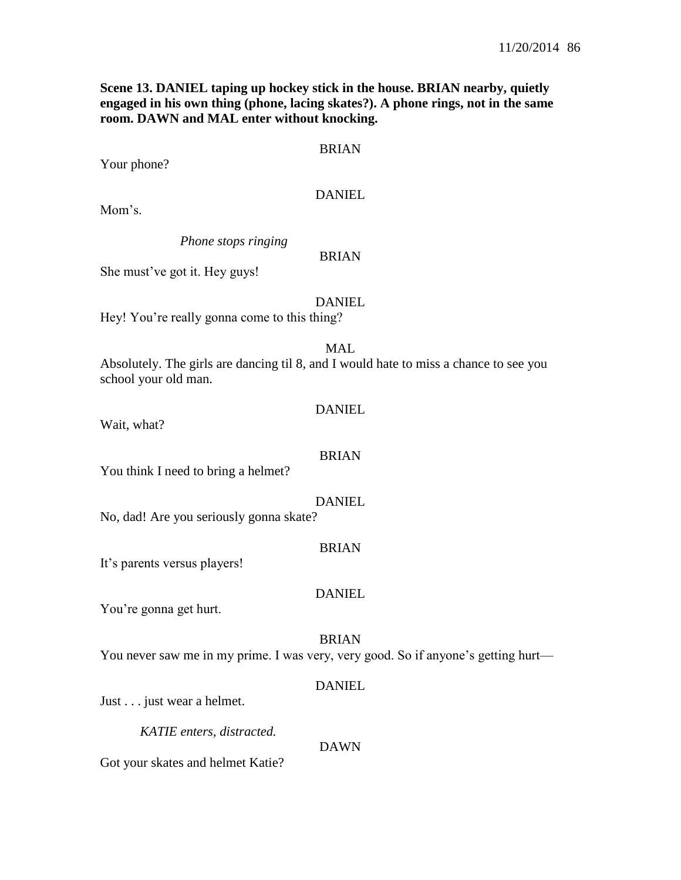**Scene 13. DANIEL taping up hockey stick in the house. BRIAN nearby, quietly engaged in his own thing (phone, lacing skates?). A phone rings, not in the same room. DAWN and MAL enter without knocking.**

## BRIAN

Your phone?

## DANIEL

Mom's.

*Phone stops ringing*

# BRIAN

She must've got it. Hey guys!

#### DANIEL

Hey! You're really gonna come to this thing?

#### MAL

Absolutely. The girls are dancing til 8, and I would hate to miss a chance to see you school your old man.

#### DANIEL

Wait, what?

#### BRIAN

You think I need to bring a helmet?

#### DANIEL

No, dad! Are you seriously gonna skate?

#### BRIAN

It's parents versus players!

# DANIEL

You're gonna get hurt.

# BRIAN

You never saw me in my prime. I was very, very good. So if anyone's getting hurt—

# DANIEL

Just . . . just wear a helmet.

*KATIE enters, distracted.*

DAWN

Got your skates and helmet Katie?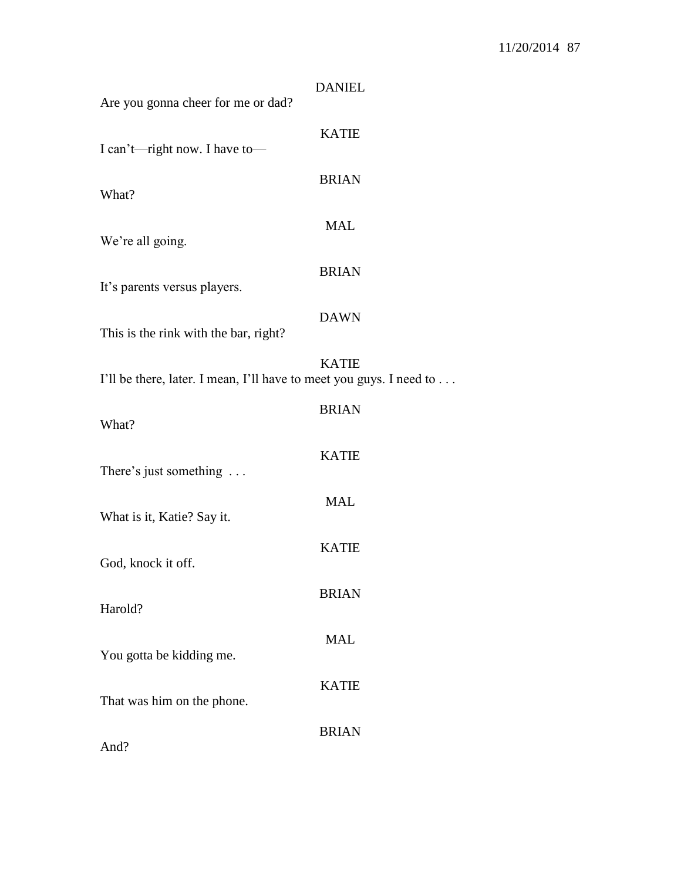| Are you gonna cheer for me or dad?                                  | <b>DANIEL</b> |
|---------------------------------------------------------------------|---------------|
| I can't—right now. I have to—                                       | <b>KATIE</b>  |
| What?                                                               | <b>BRIAN</b>  |
| We're all going.                                                    | <b>MAL</b>    |
| It's parents versus players.                                        | <b>BRIAN</b>  |
| This is the rink with the bar, right?                               | <b>DAWN</b>   |
| I'll be there, later. I mean, I'll have to meet you guys. I need to | <b>KATIE</b>  |
| What?                                                               | <b>BRIAN</b>  |
|                                                                     | <b>KATIE</b>  |
| There's just something                                              | <b>MAL</b>    |
| What is it, Katie? Say it.                                          | <b>KATIE</b>  |
| God, knock it off.                                                  | <b>BRIAN</b>  |
| Harold?                                                             | <b>MAL</b>    |
| You gotta be kidding me.                                            | <b>KATIE</b>  |
| That was him on the phone.                                          | <b>BRIAN</b>  |
| And?                                                                |               |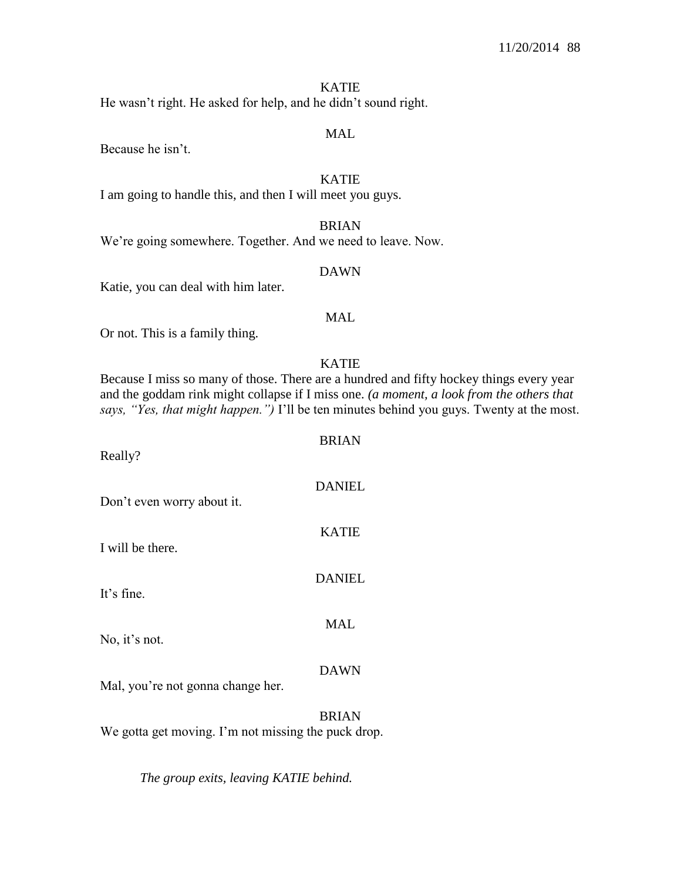He wasn't right. He asked for help, and he didn't sound right.

#### MAL

Because he isn't.

KATIE

I am going to handle this, and then I will meet you guys.

BRIAN We're going somewhere. Together. And we need to leave. Now.

#### DAWN

Katie, you can deal with him later.

#### MAL

Or not. This is a family thing.

#### KATIE

Because I miss so many of those. There are a hundred and fifty hockey things every year and the goddam rink might collapse if I miss one. *(a moment, a look from the others that says, "Yes, that might happen.")* I'll be ten minutes behind you guys. Twenty at the most.

BRIAN

DANIEL

KATIE

**DANIEL** 

MAL

Really?

Don't even worry about it.

I will be there.

It's fine.

No, it's not.

#### DAWN

Mal, you're not gonna change her.

BRIAN We gotta get moving. I'm not missing the puck drop.

*The group exits, leaving KATIE behind.*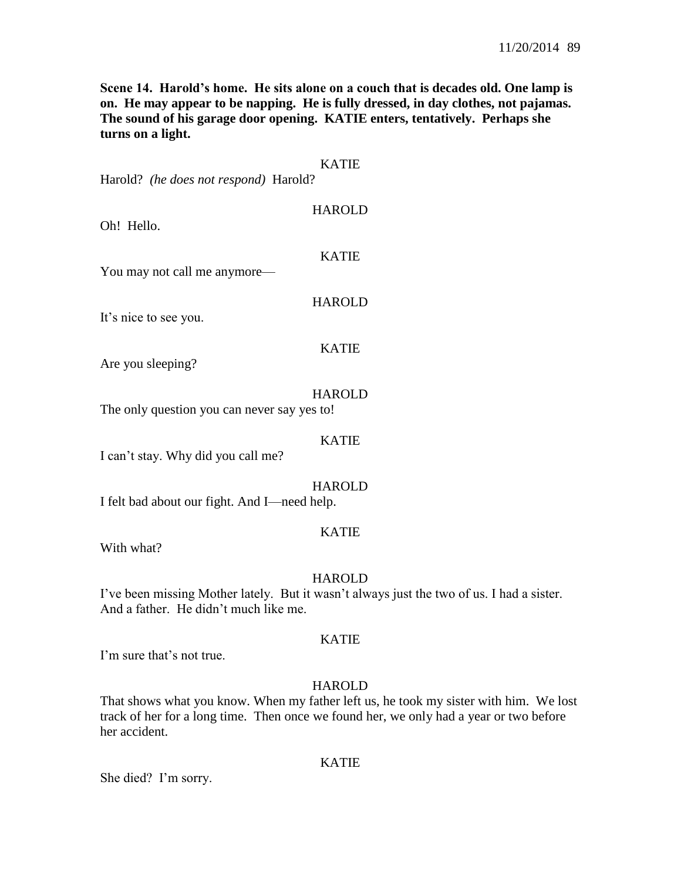**Scene 14. Harold's home. He sits alone on a couch that is decades old. One lamp is on. He may appear to be napping. He is fully dressed, in day clothes, not pajamas. The sound of his garage door opening. KATIE enters, tentatively. Perhaps she turns on a light.**

| Harold? (he does not respond) Harold?        | <b>KATIE</b>  |
|----------------------------------------------|---------------|
| Oh! Hello.                                   | <b>HAROLD</b> |
| You may not call me anymore—                 | <b>KATIE</b>  |
| It's nice to see you.                        | <b>HAROLD</b> |
| Are you sleeping?                            | <b>KATIE</b>  |
| The only question you can never say yes to!  | <b>HAROLD</b> |
| I can't stay. Why did you call me?           | <b>KATIE</b>  |
| I felt bad about our fight. And I-need help. | <b>HAROLD</b> |
|                                              | <b>KATIE</b>  |

With what?

# **HAROLD**

I've been missing Mother lately. But it wasn't always just the two of us. I had a sister. And a father. He didn't much like me.

# KATIE

I'm sure that's not true.

# **HAROLD**

That shows what you know. When my father left us, he took my sister with him. We lost track of her for a long time. Then once we found her, we only had a year or two before her accident.

# KATIE

She died? I'm sorry.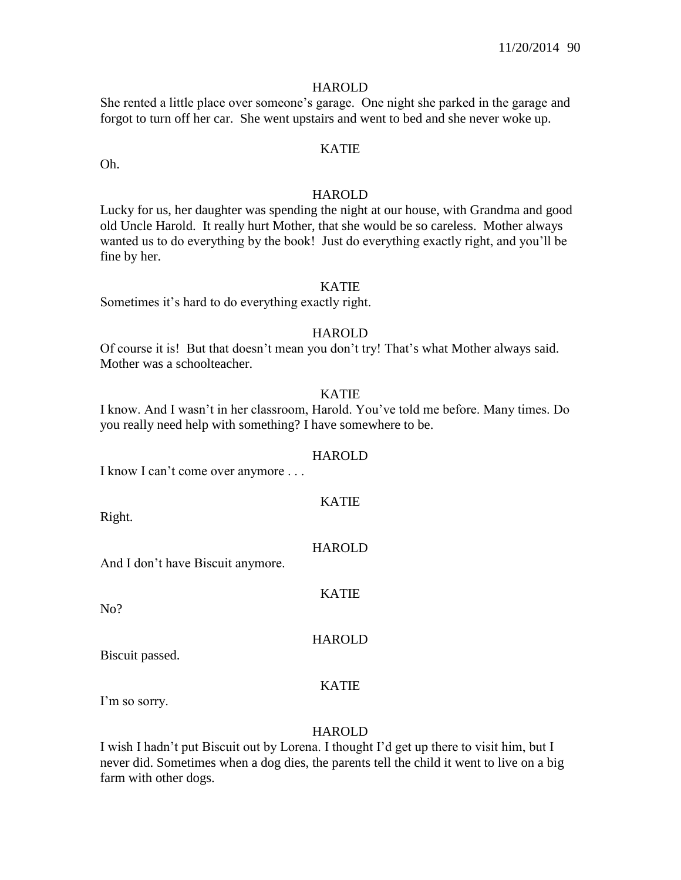She rented a little place over someone's garage. One night she parked in the garage and forgot to turn off her car. She went upstairs and went to bed and she never woke up.

Oh.

# KATIE

## **HAROLD**

Lucky for us, her daughter was spending the night at our house, with Grandma and good old Uncle Harold. It really hurt Mother, that she would be so careless. Mother always wanted us to do everything by the book! Just do everything exactly right, and you'll be fine by her.

# KATIE

Sometimes it's hard to do everything exactly right.

#### HAROLD

Of course it is! But that doesn't mean you don't try! That's what Mother always said. Mother was a schoolteacher.

## KATIE

I know. And I wasn't in her classroom, Harold. You've told me before. Many times. Do you really need help with something? I have somewhere to be.

# HAROLD

KATIE

I know I can't come over anymore . . .

Right.

# **HAROLD**

KATIE

**HAROLD** 

And I don't have Biscuit anymore.

No?

Biscuit passed.

# KATIE

I'm so sorry.

# **HAROLD**

I wish I hadn't put Biscuit out by Lorena. I thought I'd get up there to visit him, but I never did. Sometimes when a dog dies, the parents tell the child it went to live on a big farm with other dogs.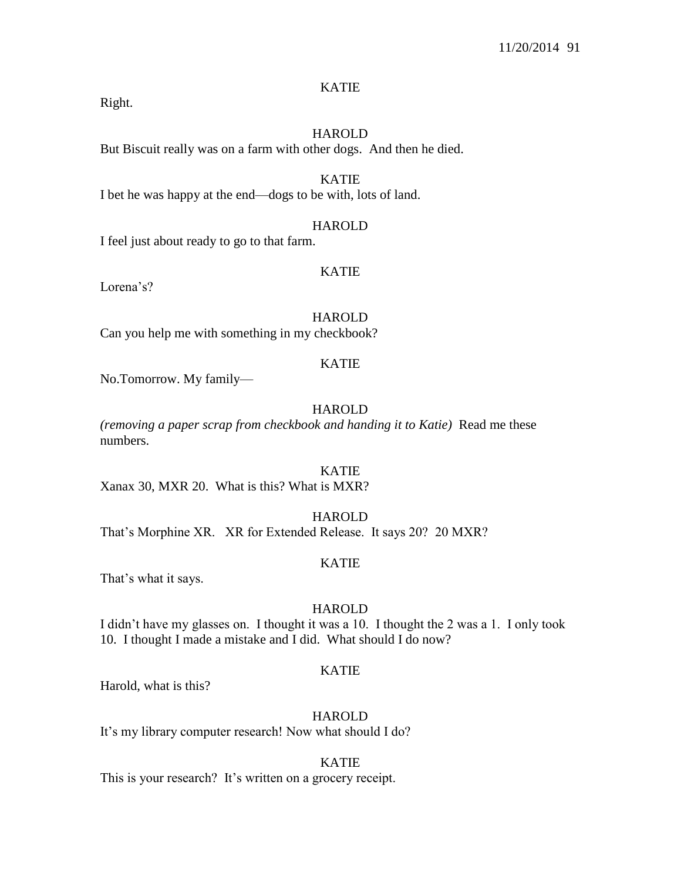Right.

# HAROLD

But Biscuit really was on a farm with other dogs. And then he died.

KATIE I bet he was happy at the end—dogs to be with, lots of land.

#### HAROLD

I feel just about ready to go to that farm.

#### KATIE

Lorena's?

HAROLD Can you help me with something in my checkbook?

#### KATIE

No.Tomorrow. My family—

# HAROLD

*(removing a paper scrap from checkbook and handing it to Katie)* Read me these numbers.

# KATIE

Xanax 30, MXR 20. What is this? What is MXR?

#### HAROLD

That's Morphine XR. XR for Extended Release. It says 20? 20 MXR?

# KATIE

That's what it says.

# HAROLD

I didn't have my glasses on. I thought it was a 10. I thought the 2 was a 1. I only took 10. I thought I made a mistake and I did. What should I do now?

#### KATIE

Harold, what is this?

# HAROLD

It's my library computer research! Now what should I do?

# KATIE

This is your research? It's written on a grocery receipt.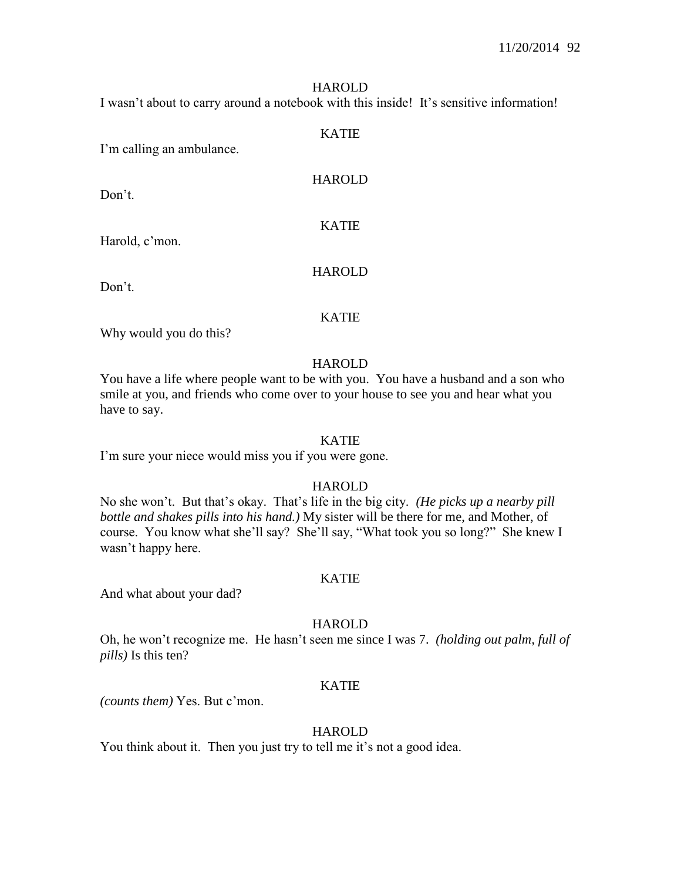I wasn't about to carry around a notebook with this inside! It's sensitive information!

#### KATIE

I'm calling an ambulance.

Don't

HAROLD

# KATIE

Harold, c'mon.

Don't.

# HAROLD

#### KATIE

Why would you do this?

#### HAROLD

You have a life where people want to be with you. You have a husband and a son who smile at you, and friends who come over to your house to see you and hear what you have to say.

#### KATIE

I'm sure your niece would miss you if you were gone.

# **HAROLD**

No she won't. But that's okay. That's life in the big city. *(He picks up a nearby pill bottle and shakes pills into his hand.)* My sister will be there for me, and Mother, of course. You know what she'll say? She'll say, "What took you so long?" She knew I wasn't happy here.

# KATIE

And what about your dad?

# **HAROLD**

Oh, he won't recognize me. He hasn't seen me since I was 7. *(holding out palm, full of pills)* Is this ten?

## KATIE

*(counts them)* Yes. But c'mon.

# **HAROLD**

You think about it. Then you just try to tell me it's not a good idea.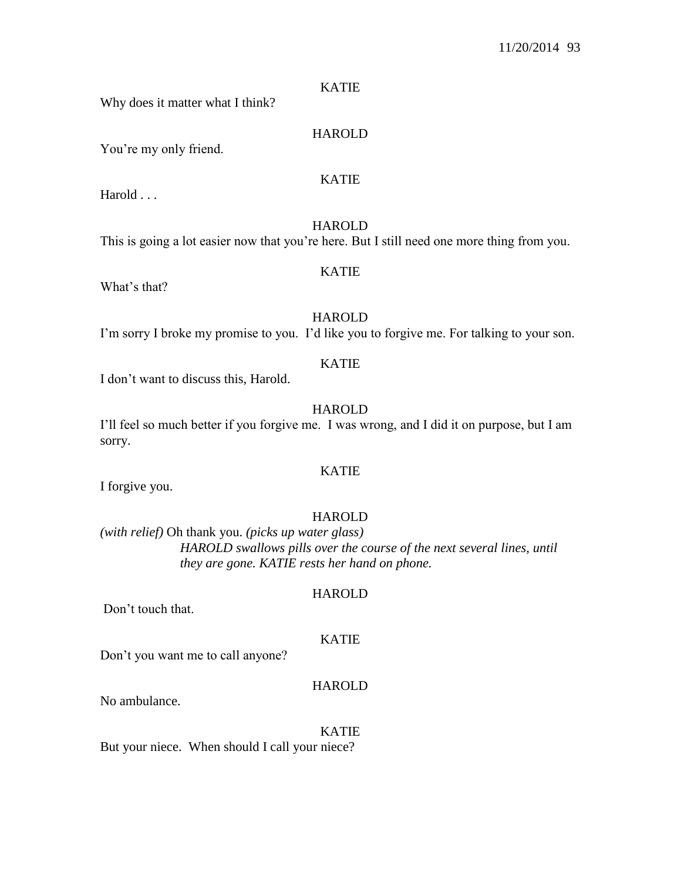# KATIE

Why does it matter what I think?

You're my only friend.

# HAROLD

#### KATIE

HAROLD

This is going a lot easier now that you're here. But I still need one more thing from you.

#### KATIE

What's that?

Harold . . .

**HAROLD** I'm sorry I broke my promise to you. I'd like you to forgive me. For talking to your son.

#### KATIE

I don't want to discuss this, Harold.

# HAROLD

I'll feel so much better if you forgive me. I was wrong, and I did it on purpose, but I am sorry.

# KATIE

I forgive you.

# HAROLD

*(with relief)* Oh thank you. *(picks up water glass) HAROLD swallows pills over the course of the next several lines, until they are gone. KATIE rests her hand on phone.*

Don't touch that.

# KATIE

HAROLD

Don't you want me to call anyone?

# HAROLD

No ambulance.

#### KATIE

But your niece. When should I call your niece?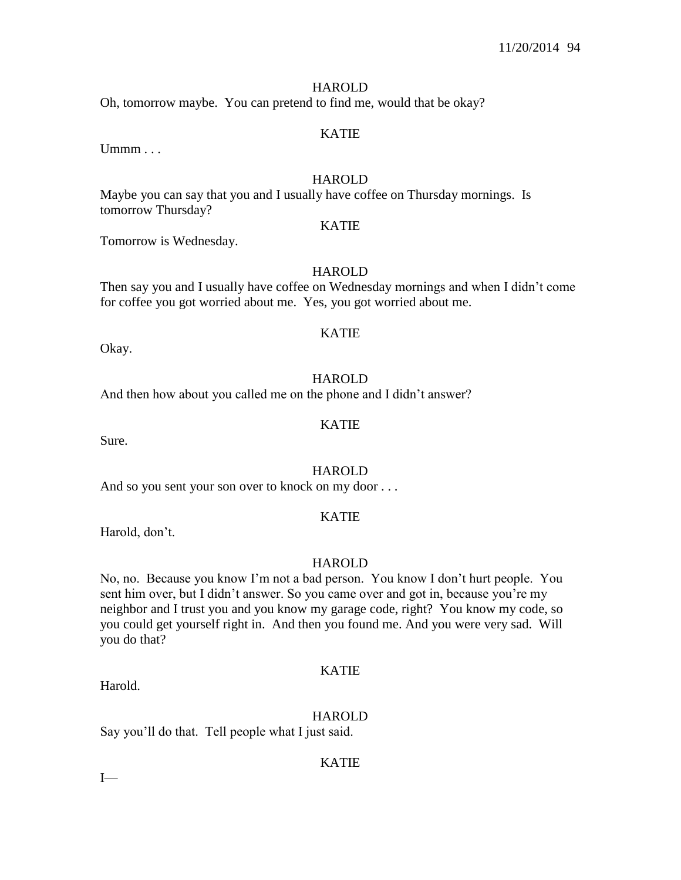Oh, tomorrow maybe. You can pretend to find me, would that be okay?

# KATIE

 $U$ mmm $\ldots$ 

#### HAROLD

KATIE

Maybe you can say that you and I usually have coffee on Thursday mornings. Is tomorrow Thursday?

Tomorrow is Wednesday.

#### HAROLD

Then say you and I usually have coffee on Wednesday mornings and when I didn't come for coffee you got worried about me. Yes, you got worried about me.

# KATIE

Okay.

#### **HAROLD**

And then how about you called me on the phone and I didn't answer?

#### KATIE

Sure.

# HAROLD

And so you sent your son over to knock on my door . . .

#### KATIE

Harold, don't.

#### **HAROLD**

No, no. Because you know I'm not a bad person. You know I don't hurt people. You sent him over, but I didn't answer. So you came over and got in, because you're my neighbor and I trust you and you know my garage code, right? You know my code, so you could get yourself right in. And then you found me. And you were very sad. Will you do that?

#### KATIE

HAROLD

Say you'll do that. Tell people what I just said.

#### KATIE

 $I$ —

Harold.